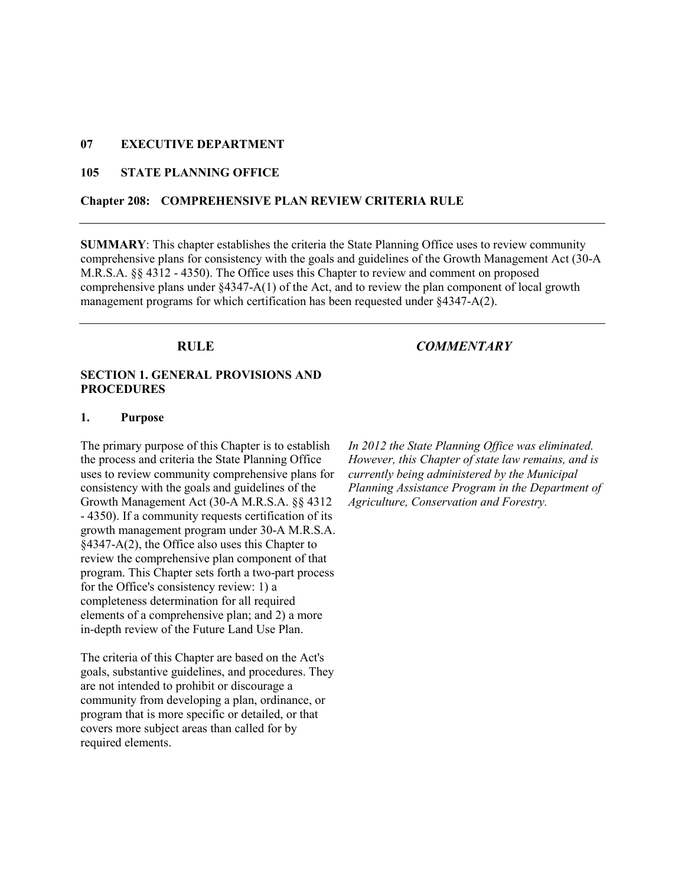#### 07 EXECUTIVE DEPARTMENT

## 105 STATE PLANNING OFFICE

#### Chapter 208: COMPREHENSIVE PLAN REVIEW CRITERIA RULE

SUMMARY: This chapter establishes the criteria the State Planning Office uses to review community comprehensive plans for consistency with the goals and guidelines of the Growth Management Act (30-A M.R.S.A. §§ 4312 - 4350). The Office uses this Chapter to review and comment on proposed comprehensive plans under §4347-A(1) of the Act, and to review the plan component of local growth management programs for which certification has been requested under §4347-A(2).

#### RULE COMMENTARY

#### SECTION 1. GENERAL PROVISIONS AND PROCEDURES

#### 1. Purpose

The primary purpose of this Chapter is to establish the process and criteria the State Planning Office uses to review community comprehensive plans for consistency with the goals and guidelines of the Growth Management Act (30-A M.R.S.A. §§ 4312 - 4350). If a community requests certification of its growth management program under 30-A M.R.S.A. §4347-A(2), the Office also uses this Chapter to review the comprehensive plan component of that program. This Chapter sets forth a two-part process for the Office's consistency review: 1) a completeness determination for all required elements of a comprehensive plan; and 2) a more in-depth review of the Future Land Use Plan.

The criteria of this Chapter are based on the Act's goals, substantive guidelines, and procedures. They are not intended to prohibit or discourage a community from developing a plan, ordinance, or program that is more specific or detailed, or that covers more subject areas than called for by required elements.

In 2012 the State Planning Office was eliminated. However, this Chapter of state law remains, and is currently being administered by the Municipal Planning Assistance Program in the Department of Agriculture, Conservation and Forestry.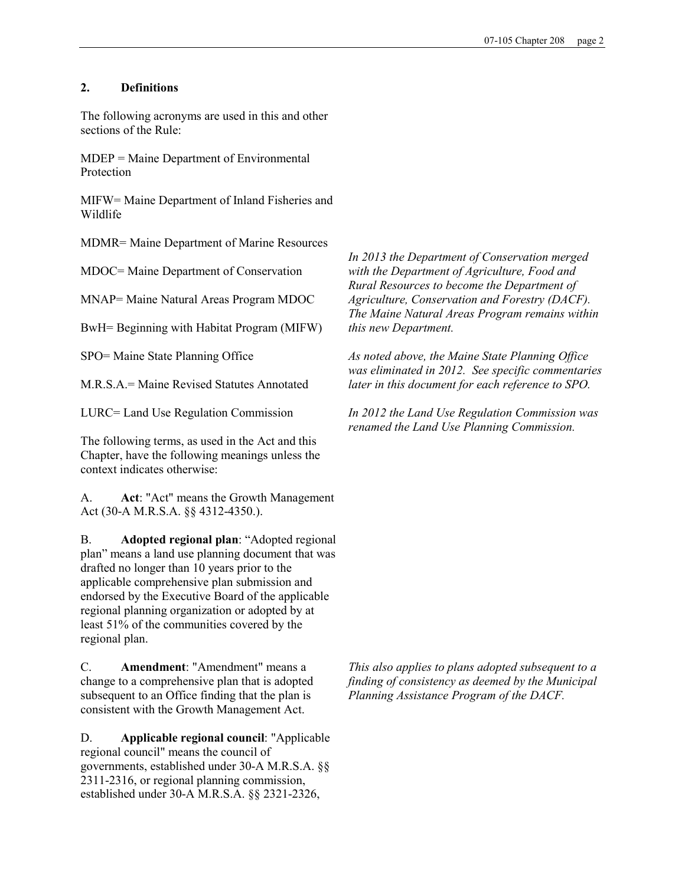## 2. Definitions

The following acronyms are used in this and other sections of the Rule:

MDEP = Maine Department of Environmental Protection

MIFW= Maine Department of Inland Fisheries and Wildlife

MDMR= Maine Department of Marine Resources

MDOC= Maine Department of Conservation

MNAP= Maine Natural Areas Program MDOC

BwH= Beginning with Habitat Program (MIFW)

SPO= Maine State Planning Office

M.R.S.A.= Maine Revised Statutes Annotated

LURC= Land Use Regulation Commission

The following terms, as used in the Act and this Chapter, have the following meanings unless the context indicates otherwise:

A. Act: "Act" means the Growth Management Act (30-A M.R.S.A. §§ 4312-4350.).

B. Adopted regional plan: "Adopted regional plan" means a land use planning document that was drafted no longer than 10 years prior to the applicable comprehensive plan submission and endorsed by the Executive Board of the applicable regional planning organization or adopted by at least 51% of the communities covered by the regional plan.

C. Amendment: "Amendment" means a change to a comprehensive plan that is adopted subsequent to an Office finding that the plan is consistent with the Growth Management Act.

D. Applicable regional council: "Applicable regional council" means the council of governments, established under 30-A M.R.S.A. §§ 2311-2316, or regional planning commission, established under 30-A M.R.S.A. §§ 2321-2326,

In 2013 the Department of Conservation merged with the Department of Agriculture, Food and Rural Resources to become the Department of Agriculture, Conservation and Forestry (DACF). The Maine Natural Areas Program remains within this new Department.

As noted above, the Maine State Planning Office was eliminated in 2012. See specific commentaries later in this document for each reference to SPO.

In 2012 the Land Use Regulation Commission was renamed the Land Use Planning Commission.

This also applies to plans adopted subsequent to a finding of consistency as deemed by the Municipal Planning Assistance Program of the DACF.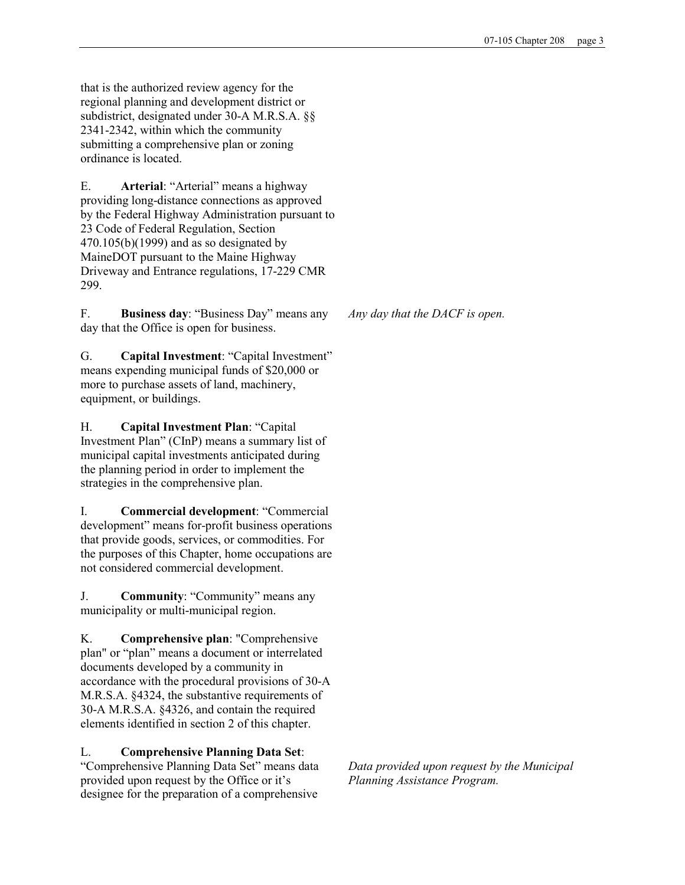that is the authorized review agency for the regional planning and development district or subdistrict, designated under 30-A M.R.S.A. §§ 2341-2342, within which the community submitting a comprehensive plan or zoning ordinance is located.

E. Arterial: "Arterial" means a highway providing long-distance connections as approved by the Federal Highway Administration pursuant to 23 Code of Federal Regulation, Section 470.105(b)(1999) and as so designated by MaineDOT pursuant to the Maine Highway Driveway and Entrance regulations, 17-229 CMR 299.

F. Business day: "Business Day" means any day that the Office is open for business.

G. Capital Investment: "Capital Investment" means expending municipal funds of \$20,000 or more to purchase assets of land, machinery, equipment, or buildings.

H. Capital Investment Plan: "Capital Investment Plan" (CInP) means a summary list of municipal capital investments anticipated during the planning period in order to implement the strategies in the comprehensive plan.

I. Commercial development: "Commercial development" means for-profit business operations that provide goods, services, or commodities. For the purposes of this Chapter, home occupations are not considered commercial development.

J. Community: "Community" means any municipality or multi-municipal region.

K. Comprehensive plan: "Comprehensive plan" or "plan" means a document or interrelated documents developed by a community in accordance with the procedural provisions of 30-A M.R.S.A. §4324, the substantive requirements of 30-A M.R.S.A. §4326, and contain the required elements identified in section 2 of this chapter.

L. Comprehensive Planning Data Set: "Comprehensive Planning Data Set" means data provided upon request by the Office or it's designee for the preparation of a comprehensive

Any day that the DACF is open.

Data provided upon request by the Municipal Planning Assistance Program.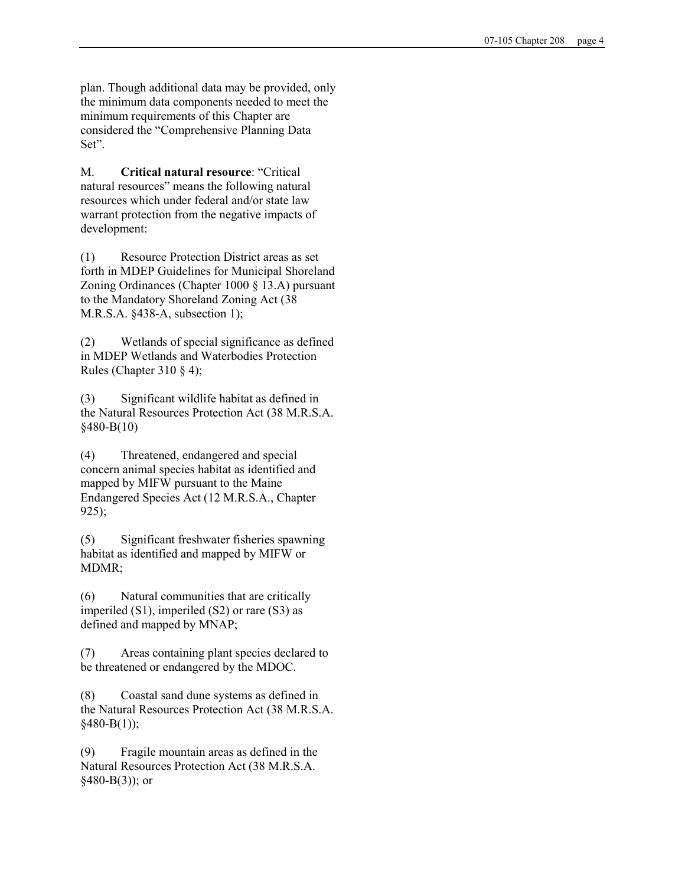plan. Though additional data may be provided, only the minimum data components needed to meet the minimum requirements of this Chapter are considered the "Comprehensive Planning Data Set".

M. Critical natural resource: "Critical natural resources" means the following natural resources which under federal and/or state law warrant protection from the negative impacts of development:

(1) Resource Protection District areas as set forth in MDEP Guidelines for Municipal Shoreland Zoning Ordinances (Chapter 1000 § 13.A) pursuant to the Mandatory Shoreland Zoning Act (38 M.R.S.A. §438-A, subsection 1);

(2) Wetlands of special significance as defined in MDEP Wetlands and Waterbodies Protection Rules (Chapter 310 § 4);

(3) Significant wildlife habitat as defined in the Natural Resources Protection Act (38 M.R.S.A. §480-B(10)

(4) Threatened, endangered and special concern animal species habitat as identified and mapped by MIFW pursuant to the Maine Endangered Species Act (12 M.R.S.A., Chapter 925);

(5) Significant freshwater fisheries spawning habitat as identified and mapped by MIFW or MDMR;

(6) Natural communities that are critically imperiled (S1), imperiled (S2) or rare (S3) as defined and mapped by MNAP;

(7) Areas containing plant species declared to be threatened or endangered by the MDOC.

(8) Coastal sand dune systems as defined in the Natural Resources Protection Act (38 M.R.S.A.  $§480-B(1));$ 

(9) Fragile mountain areas as defined in the Natural Resources Protection Act (38 M.R.S.A.  $§480-B(3)$ ; or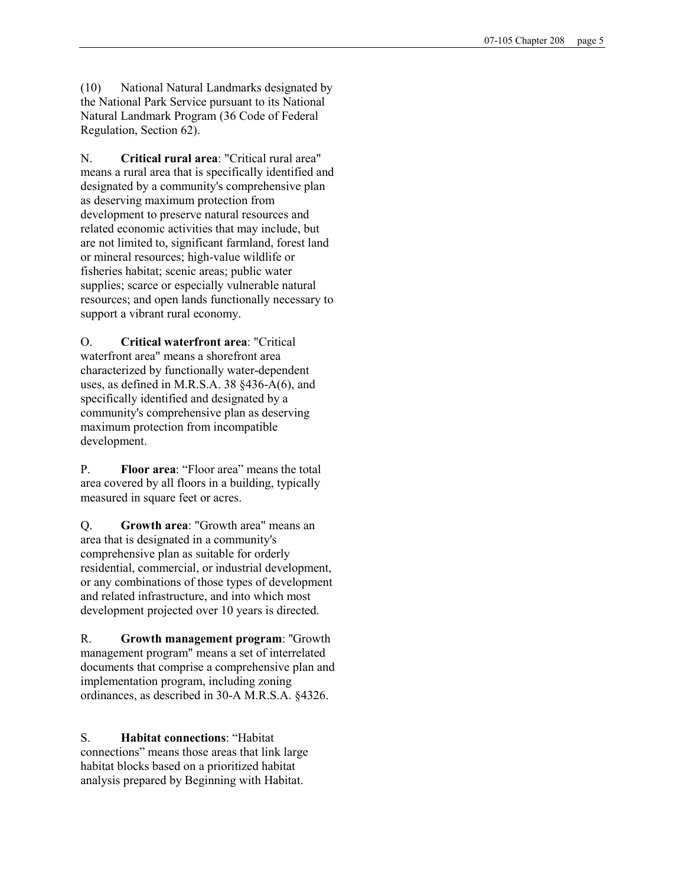(10) National Natural Landmarks designated by the National Park Service pursuant to its National Natural Landmark Program (36 Code of Federal Regulation, Section 62).

N. Critical rural area: "Critical rural area" means a rural area that is specifically identified and designated by a community's comprehensive plan as deserving maximum protection from development to preserve natural resources and related economic activities that may include, but are not limited to, significant farmland, forest land or mineral resources; high-value wildlife or fisheries habitat; scenic areas; public water supplies; scarce or especially vulnerable natural resources; and open lands functionally necessary to support a vibrant rural economy.

O. Critical waterfront area: "Critical waterfront area" means a shorefront area characterized by functionally water-dependent uses, as defined in M.R.S.A. 38 §436-A(6), and specifically identified and designated by a community's comprehensive plan as deserving maximum protection from incompatible development.

P. Floor area: "Floor area" means the total area covered by all floors in a building, typically measured in square feet or acres.

Q. Growth area: "Growth area" means an area that is designated in a community's comprehensive plan as suitable for orderly residential, commercial, or industrial development, or any combinations of those types of development and related infrastructure, and into which most development projected over 10 years is directed.

R. Growth management program: ''Growth management program" means a set of interrelated documents that comprise a comprehensive plan and implementation program, including zoning ordinances, as described in 30-A M.R.S.A. §4326.

S. Habitat connections: "Habitat connections" means those areas that link large habitat blocks based on a prioritized habitat analysis prepared by Beginning with Habitat.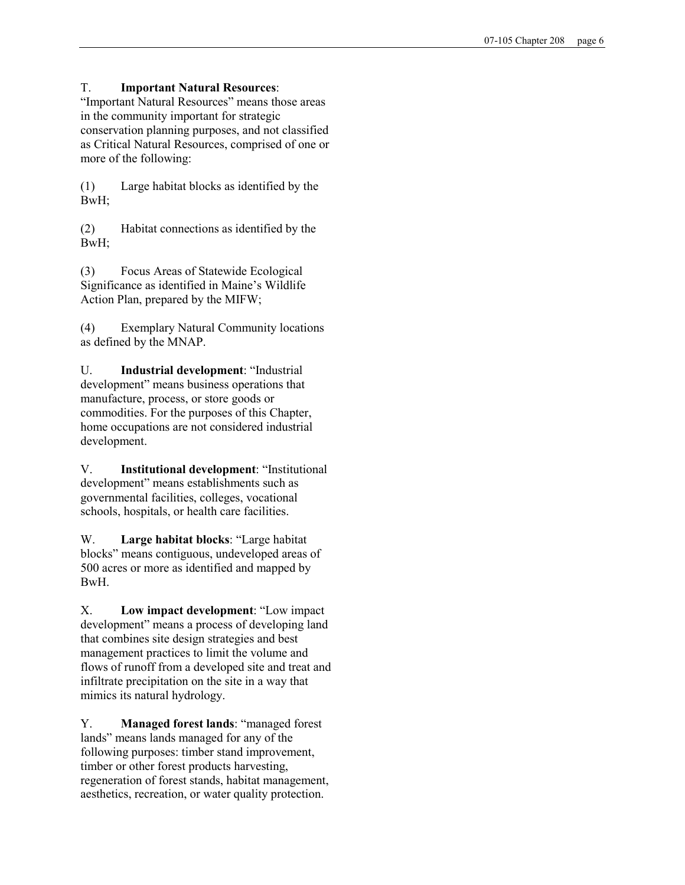## T. Important Natural Resources:

"Important Natural Resources" means those areas in the community important for strategic conservation planning purposes, and not classified as Critical Natural Resources, comprised of one or more of the following:

(1) Large habitat blocks as identified by the BwH;

(2) Habitat connections as identified by the BwH;

(3) Focus Areas of Statewide Ecological Significance as identified in Maine's Wildlife Action Plan, prepared by the MIFW;

(4) Exemplary Natural Community locations as defined by the MNAP.

U. Industrial development: "Industrial development" means business operations that manufacture, process, or store goods or commodities. For the purposes of this Chapter, home occupations are not considered industrial development.

V. Institutional development: "Institutional development" means establishments such as governmental facilities, colleges, vocational schools, hospitals, or health care facilities.

W. Large habitat blocks: "Large habitat blocks" means contiguous, undeveloped areas of 500 acres or more as identified and mapped by BwH.

X. Low impact development: "Low impact development" means a process of developing land that combines site design strategies and best management practices to limit the volume and flows of runoff from a developed site and treat and infiltrate precipitation on the site in a way that mimics its natural hydrology.

Y. Managed forest lands: "managed forest lands" means lands managed for any of the following purposes: timber stand improvement, timber or other forest products harvesting, regeneration of forest stands, habitat management, aesthetics, recreation, or water quality protection.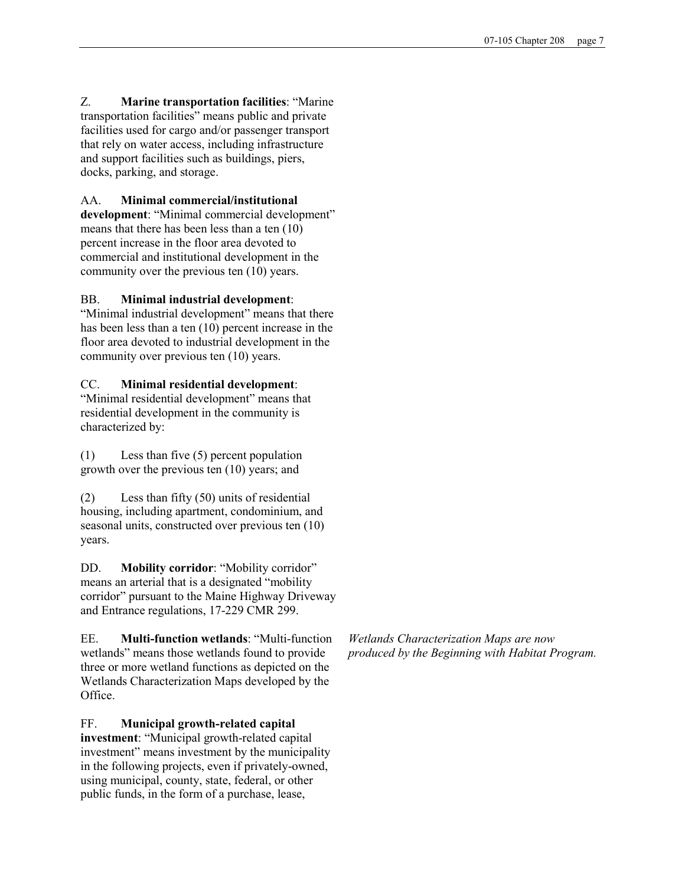Z. Marine transportation facilities: "Marine transportation facilities" means public and private facilities used for cargo and/or passenger transport that rely on water access, including infrastructure and support facilities such as buildings, piers, docks, parking, and storage.

## AA. Minimal commercial/institutional

development: "Minimal commercial development" means that there has been less than a ten (10) percent increase in the floor area devoted to commercial and institutional development in the community over the previous ten (10) years.

## BB. Minimal industrial development:

"Minimal industrial development" means that there has been less than a ten (10) percent increase in the floor area devoted to industrial development in the community over previous ten (10) years.

## CC. Minimal residential development:

"Minimal residential development" means that residential development in the community is characterized by:

(1) Less than five (5) percent population growth over the previous ten (10) years; and

(2) Less than fifty (50) units of residential housing, including apartment, condominium, and seasonal units, constructed over previous ten (10) years.

DD. Mobility corridor: "Mobility corridor" means an arterial that is a designated "mobility corridor" pursuant to the Maine Highway Driveway and Entrance regulations, 17-229 CMR 299.

EE. Multi-function wetlands: "Multi-function wetlands" means those wetlands found to provide three or more wetland functions as depicted on the Wetlands Characterization Maps developed by the Office.

FF. Municipal growth-related capital

investment: "Municipal growth-related capital investment" means investment by the municipality in the following projects, even if privately-owned, using municipal, county, state, federal, or other public funds, in the form of a purchase, lease,

Wetlands Characterization Maps are now produced by the Beginning with Habitat Program.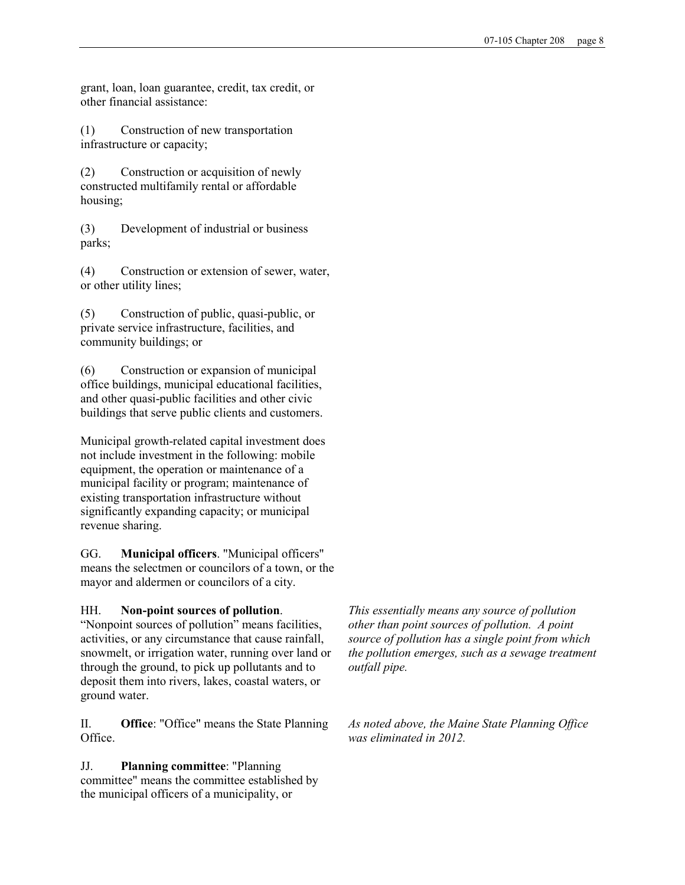grant, loan, loan guarantee, credit, tax credit, or other financial assistance:

(1) Construction of new transportation infrastructure or capacity;

(2) Construction or acquisition of newly constructed multifamily rental or affordable housing;

(3) Development of industrial or business parks;

(4) Construction or extension of sewer, water, or other utility lines;

(5) Construction of public, quasi-public, or private service infrastructure, facilities, and community buildings; or

(6) Construction or expansion of municipal office buildings, municipal educational facilities, and other quasi-public facilities and other civic buildings that serve public clients and customers.

Municipal growth-related capital investment does not include investment in the following: mobile equipment, the operation or maintenance of a municipal facility or program; maintenance of existing transportation infrastructure without significantly expanding capacity; or municipal revenue sharing.

GG. Municipal officers. "Municipal officers" means the selectmen or councilors of a town, or the mayor and aldermen or councilors of a city.

## HH. Non-point sources of pollution.

"Nonpoint sources of pollution" means facilities, activities, or any circumstance that cause rainfall, snowmelt, or irrigation water, running over land or through the ground, to pick up pollutants and to deposit them into rivers, lakes, coastal waters, or ground water.

II. Office: "Office" means the State Planning Office.

JJ. Planning committee: "Planning committee" means the committee established by the municipal officers of a municipality, or

This essentially means any source of pollution other than point sources of pollution. A point source of pollution has a single point from which the pollution emerges, such as a sewage treatment outfall pipe.

As noted above, the Maine State Planning Office was eliminated in 2012.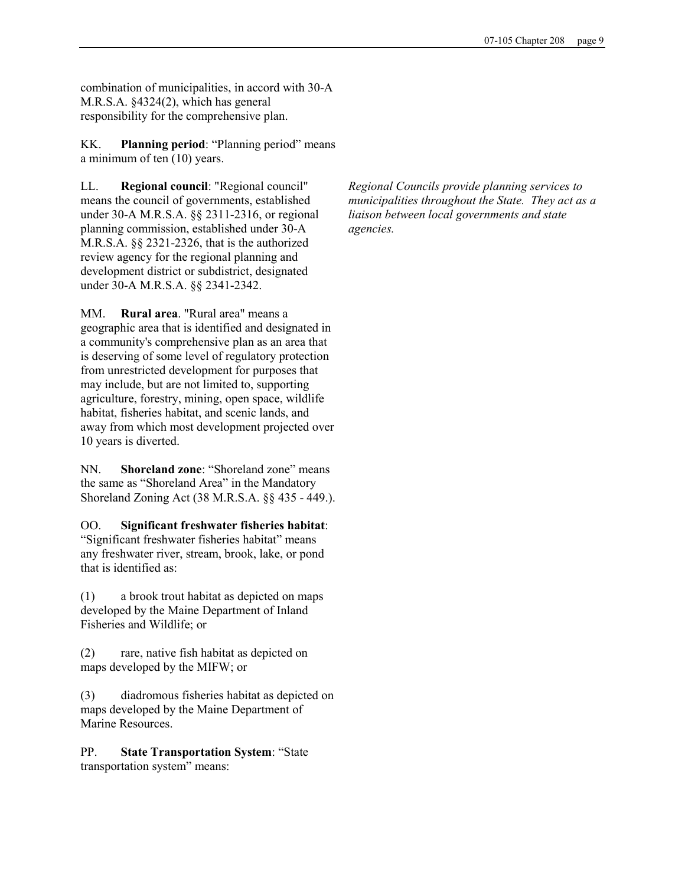combination of municipalities, in accord with 30-A M.R.S.A. §4324(2), which has general responsibility for the comprehensive plan.

KK. Planning period: "Planning period" means a minimum of ten (10) years.

LL. Regional council: "Regional council" means the council of governments, established under 30-A M.R.S.A. §§ 2311-2316, or regional planning commission, established under 30-A M.R.S.A. §§ 2321-2326, that is the authorized review agency for the regional planning and development district or subdistrict, designated under 30-A M.R.S.A. §§ 2341-2342.

MM. Rural area. "Rural area" means a geographic area that is identified and designated in a community's comprehensive plan as an area that is deserving of some level of regulatory protection from unrestricted development for purposes that may include, but are not limited to, supporting agriculture, forestry, mining, open space, wildlife habitat, fisheries habitat, and scenic lands, and away from which most development projected over 10 years is diverted.

NN. Shoreland zone: "Shoreland zone" means the same as "Shoreland Area" in the Mandatory Shoreland Zoning Act (38 M.R.S.A. §§ 435 - 449.).

OO. Significant freshwater fisheries habitat: "Significant freshwater fisheries habitat" means any freshwater river, stream, brook, lake, or pond that is identified as:

(1) a brook trout habitat as depicted on maps developed by the Maine Department of Inland Fisheries and Wildlife; or

(2) rare, native fish habitat as depicted on maps developed by the MIFW; or

(3) diadromous fisheries habitat as depicted on maps developed by the Maine Department of Marine Resources.

PP. State Transportation System: "State transportation system" means:

Regional Councils provide planning services to municipalities throughout the State. They act as a liaison between local governments and state agencies.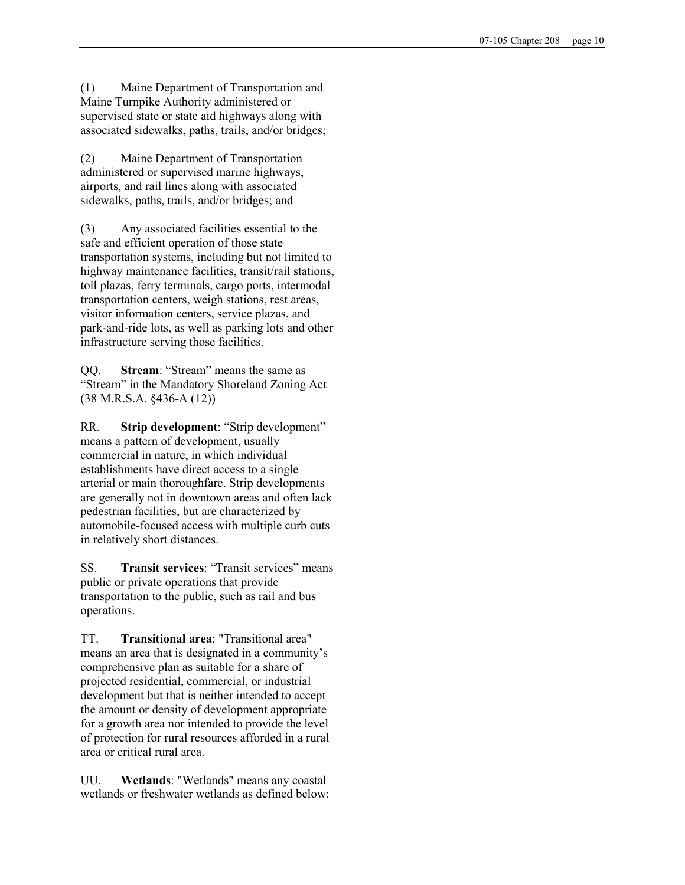(1) Maine Department of Transportation and Maine Turnpike Authority administered or supervised state or state aid highways along with associated sidewalks, paths, trails, and/or bridges;

(2) Maine Department of Transportation administered or supervised marine highways, airports, and rail lines along with associated sidewalks, paths, trails, and/or bridges; and

(3) Any associated facilities essential to the safe and efficient operation of those state transportation systems, including but not limited to highway maintenance facilities, transit/rail stations, toll plazas, ferry terminals, cargo ports, intermodal transportation centers, weigh stations, rest areas, visitor information centers, service plazas, and park-and-ride lots, as well as parking lots and other infrastructure serving those facilities.

QQ. Stream: "Stream" means the same as "Stream" in the Mandatory Shoreland Zoning Act (38 M.R.S.A. §436-A (12))

RR. Strip development: "Strip development" means a pattern of development, usually commercial in nature, in which individual establishments have direct access to a single arterial or main thoroughfare. Strip developments are generally not in downtown areas and often lack pedestrian facilities, but are characterized by automobile-focused access with multiple curb cuts in relatively short distances.

SS. Transit services: "Transit services" means public or private operations that provide transportation to the public, such as rail and bus operations.

TT. Transitional area: "Transitional area" means an area that is designated in a community's comprehensive plan as suitable for a share of projected residential, commercial, or industrial development but that is neither intended to accept the amount or density of development appropriate for a growth area nor intended to provide the level of protection for rural resources afforded in a rural area or critical rural area.

UU. Wetlands: "Wetlands" means any coastal wetlands or freshwater wetlands as defined below: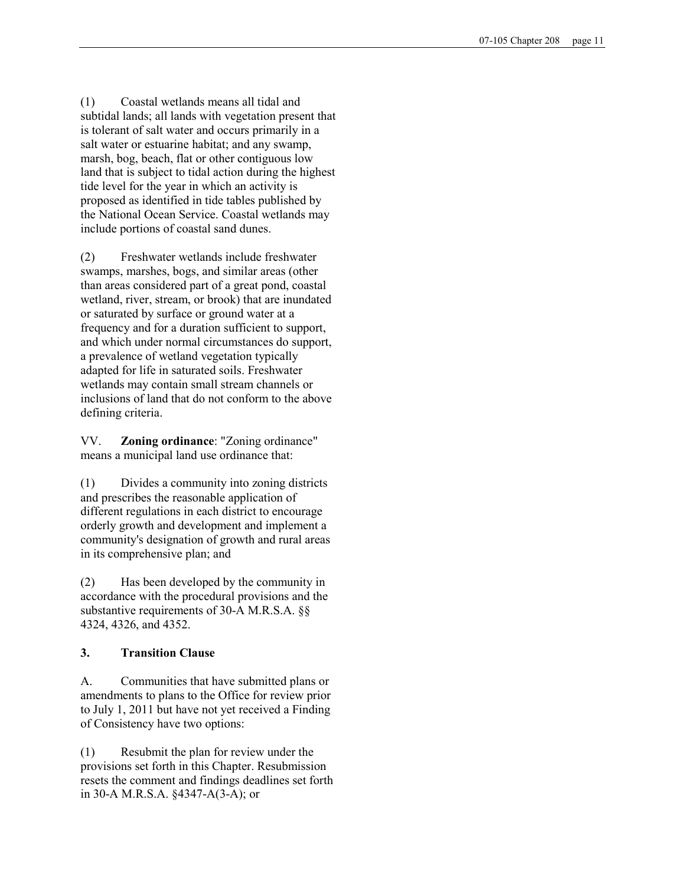(1) Coastal wetlands means all tidal and subtidal lands; all lands with vegetation present that is tolerant of salt water and occurs primarily in a salt water or estuarine habitat; and any swamp, marsh, bog, beach, flat or other contiguous low land that is subject to tidal action during the highest tide level for the year in which an activity is proposed as identified in tide tables published by the National Ocean Service. Coastal wetlands may include portions of coastal sand dunes.

(2) Freshwater wetlands include freshwater swamps, marshes, bogs, and similar areas (other than areas considered part of a great pond, coastal wetland, river, stream, or brook) that are inundated or saturated by surface or ground water at a frequency and for a duration sufficient to support, and which under normal circumstances do support, a prevalence of wetland vegetation typically adapted for life in saturated soils. Freshwater wetlands may contain small stream channels or inclusions of land that do not conform to the above defining criteria.

VV. Zoning ordinance: "Zoning ordinance" means a municipal land use ordinance that:

(1) Divides a community into zoning districts and prescribes the reasonable application of different regulations in each district to encourage orderly growth and development and implement a community's designation of growth and rural areas in its comprehensive plan; and

(2) Has been developed by the community in accordance with the procedural provisions and the substantive requirements of 30-A M.R.S.A. §§ 4324, 4326, and 4352.

# 3. Transition Clause

A. Communities that have submitted plans or amendments to plans to the Office for review prior to July 1, 2011 but have not yet received a Finding of Consistency have two options:

(1) Resubmit the plan for review under the provisions set forth in this Chapter. Resubmission resets the comment and findings deadlines set forth in 30-A M.R.S.A. §4347-A(3-A); or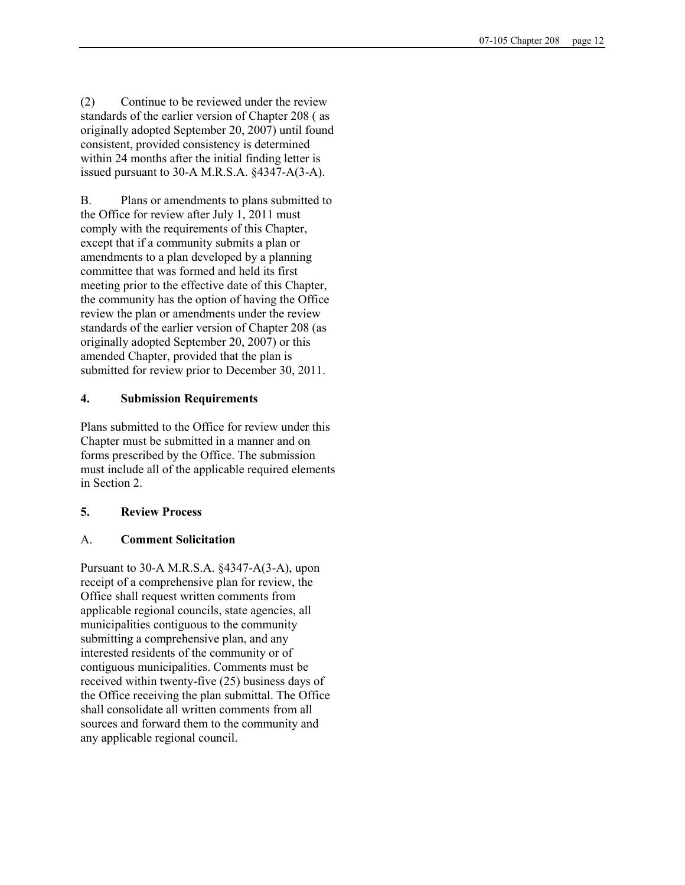(2) Continue to be reviewed under the review standards of the earlier version of Chapter 208 ( as originally adopted September 20, 2007) until found consistent, provided consistency is determined within 24 months after the initial finding letter is issued pursuant to 30-A M.R.S.A. §4347-A(3-A).

B. Plans or amendments to plans submitted to the Office for review after July 1, 2011 must comply with the requirements of this Chapter, except that if a community submits a plan or amendments to a plan developed by a planning committee that was formed and held its first meeting prior to the effective date of this Chapter, the community has the option of having the Office review the plan or amendments under the review standards of the earlier version of Chapter 208 (as originally adopted September 20, 2007) or this amended Chapter, provided that the plan is submitted for review prior to December 30, 2011.

## 4. Submission Requirements

Plans submitted to the Office for review under this Chapter must be submitted in a manner and on forms prescribed by the Office. The submission must include all of the applicable required elements in Section 2.

## 5. Review Process

# A. Comment Solicitation

Pursuant to 30-A M.R.S.A. §4347-A(3-A), upon receipt of a comprehensive plan for review, the Office shall request written comments from applicable regional councils, state agencies, all municipalities contiguous to the community submitting a comprehensive plan, and any interested residents of the community or of contiguous municipalities. Comments must be received within twenty-five (25) business days of the Office receiving the plan submittal. The Office shall consolidate all written comments from all sources and forward them to the community and any applicable regional council.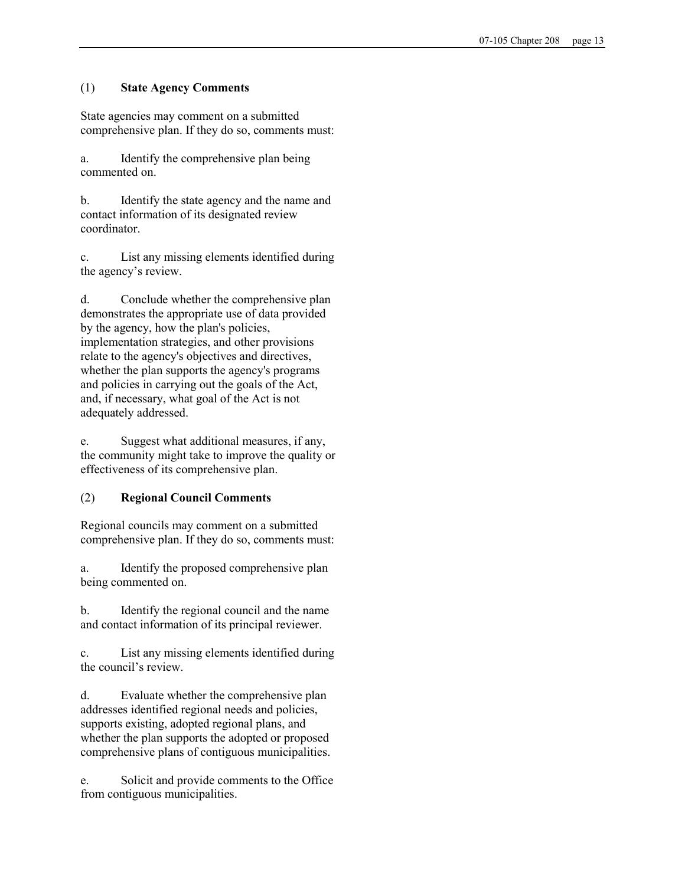### (1) State Agency Comments

State agencies may comment on a submitted comprehensive plan. If they do so, comments must:

a. Identify the comprehensive plan being commented on.

b. Identify the state agency and the name and contact information of its designated review coordinator.

c. List any missing elements identified during the agency's review.

d. Conclude whether the comprehensive plan demonstrates the appropriate use of data provided by the agency, how the plan's policies, implementation strategies, and other provisions relate to the agency's objectives and directives, whether the plan supports the agency's programs and policies in carrying out the goals of the Act, and, if necessary, what goal of the Act is not adequately addressed.

e. Suggest what additional measures, if any, the community might take to improve the quality or effectiveness of its comprehensive plan.

## (2) Regional Council Comments

Regional councils may comment on a submitted comprehensive plan. If they do so, comments must:

a. Identify the proposed comprehensive plan being commented on.

b. Identify the regional council and the name and contact information of its principal reviewer.

c. List any missing elements identified during the council's review.

d. Evaluate whether the comprehensive plan addresses identified regional needs and policies, supports existing, adopted regional plans, and whether the plan supports the adopted or proposed comprehensive plans of contiguous municipalities.

e. Solicit and provide comments to the Office from contiguous municipalities.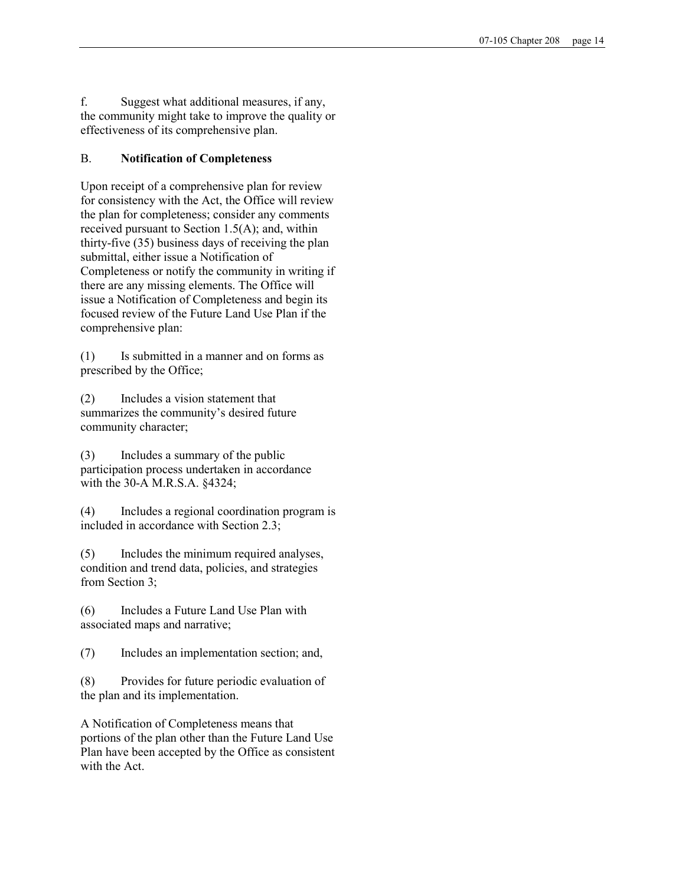f. Suggest what additional measures, if any, the community might take to improve the quality or effectiveness of its comprehensive plan.

## B. Notification of Completeness

Upon receipt of a comprehensive plan for review for consistency with the Act, the Office will review the plan for completeness; consider any comments received pursuant to Section 1.5(A); and, within thirty-five (35) business days of receiving the plan submittal, either issue a Notification of Completeness or notify the community in writing if there are any missing elements. The Office will issue a Notification of Completeness and begin its focused review of the Future Land Use Plan if the comprehensive plan:

(1) Is submitted in a manner and on forms as prescribed by the Office;

(2) Includes a vision statement that summarizes the community's desired future community character;

(3) Includes a summary of the public participation process undertaken in accordance with the 30-A M.R.S.A. §4324;

(4) Includes a regional coordination program is included in accordance with Section 2.3;

(5) Includes the minimum required analyses, condition and trend data, policies, and strategies from Section 3;

(6) Includes a Future Land Use Plan with associated maps and narrative;

(7) Includes an implementation section; and,

(8) Provides for future periodic evaluation of the plan and its implementation.

A Notification of Completeness means that portions of the plan other than the Future Land Use Plan have been accepted by the Office as consistent with the Act.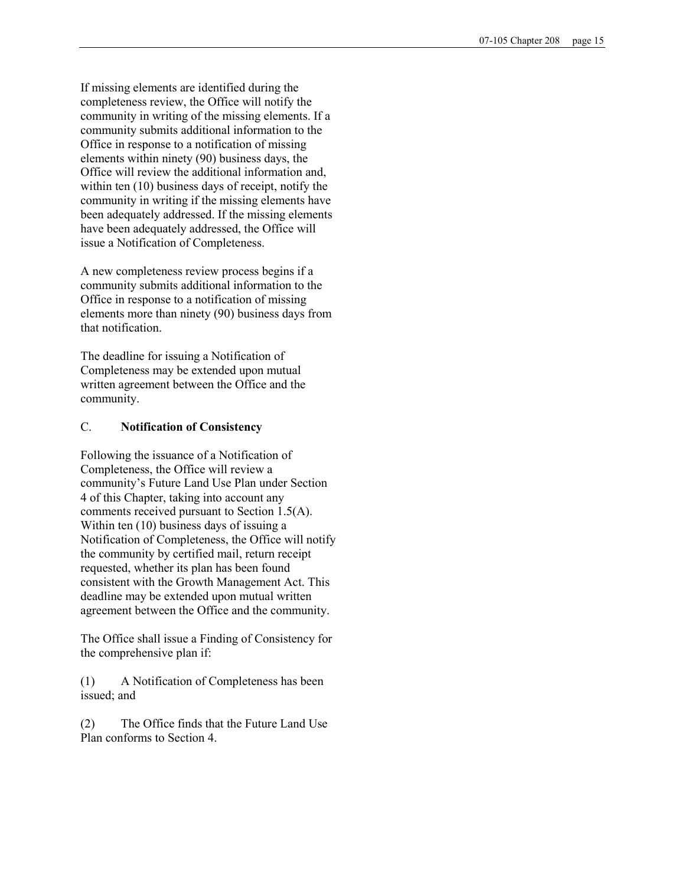If missing elements are identified during the completeness review, the Office will notify the community in writing of the missing elements. If a community submits additional information to the Office in response to a notification of missing elements within ninety (90) business days, the Office will review the additional information and, within ten (10) business days of receipt, notify the community in writing if the missing elements have been adequately addressed. If the missing elements have been adequately addressed, the Office will issue a Notification of Completeness.

A new completeness review process begins if a community submits additional information to the Office in response to a notification of missing elements more than ninety (90) business days from that notification.

The deadline for issuing a Notification of Completeness may be extended upon mutual written agreement between the Office and the community.

#### C. Notification of Consistency

Following the issuance of a Notification of Completeness, the Office will review a community's Future Land Use Plan under Section 4 of this Chapter, taking into account any comments received pursuant to Section 1.5(A). Within ten (10) business days of issuing a Notification of Completeness, the Office will notify the community by certified mail, return receipt requested, whether its plan has been found consistent with the Growth Management Act. This deadline may be extended upon mutual written agreement between the Office and the community.

The Office shall issue a Finding of Consistency for the comprehensive plan if:

(1) A Notification of Completeness has been issued; and

(2) The Office finds that the Future Land Use Plan conforms to Section 4.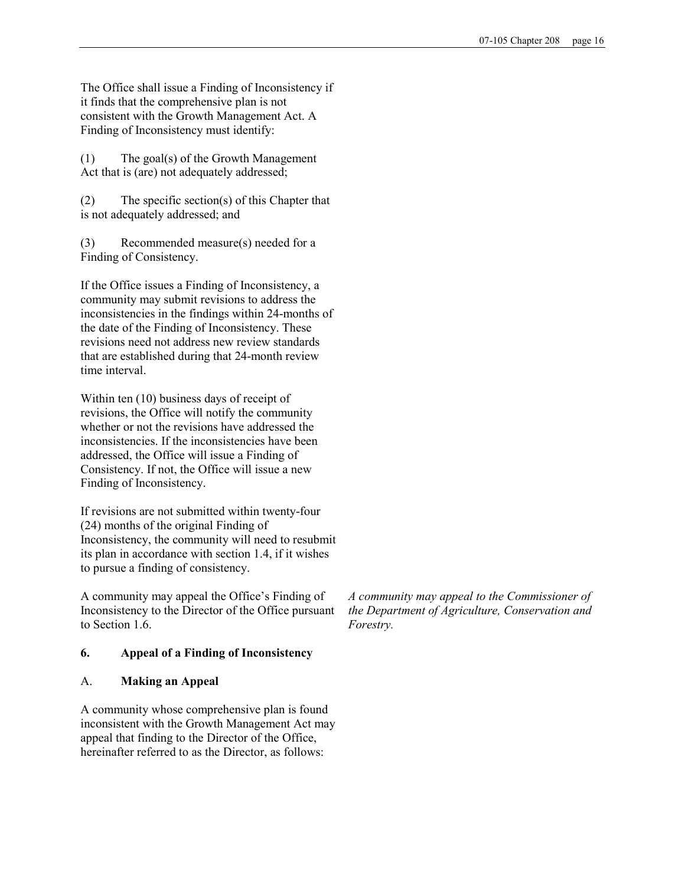The Office shall issue a Finding of Inconsistency if it finds that the comprehensive plan is not consistent with the Growth Management Act. A Finding of Inconsistency must identify:

(1) The goal(s) of the Growth Management Act that is (are) not adequately addressed;

(2) The specific section(s) of this Chapter that is not adequately addressed; and

(3) Recommended measure(s) needed for a Finding of Consistency.

If the Office issues a Finding of Inconsistency, a community may submit revisions to address the inconsistencies in the findings within 24-months of the date of the Finding of Inconsistency. These revisions need not address new review standards that are established during that 24-month review time interval.

Within ten (10) business days of receipt of revisions, the Office will notify the community whether or not the revisions have addressed the inconsistencies. If the inconsistencies have been addressed, the Office will issue a Finding of Consistency. If not, the Office will issue a new Finding of Inconsistency.

If revisions are not submitted within twenty-four (24) months of the original Finding of Inconsistency, the community will need to resubmit its plan in accordance with section 1.4, if it wishes to pursue a finding of consistency.

A community may appeal the Office's Finding of Inconsistency to the Director of the Office pursuant to Section 1.6.

# 6. Appeal of a Finding of Inconsistency

## A. Making an Appeal

A community whose comprehensive plan is found inconsistent with the Growth Management Act may appeal that finding to the Director of the Office, hereinafter referred to as the Director, as follows:

A community may appeal to the Commissioner of the Department of Agriculture, Conservation and Forestry.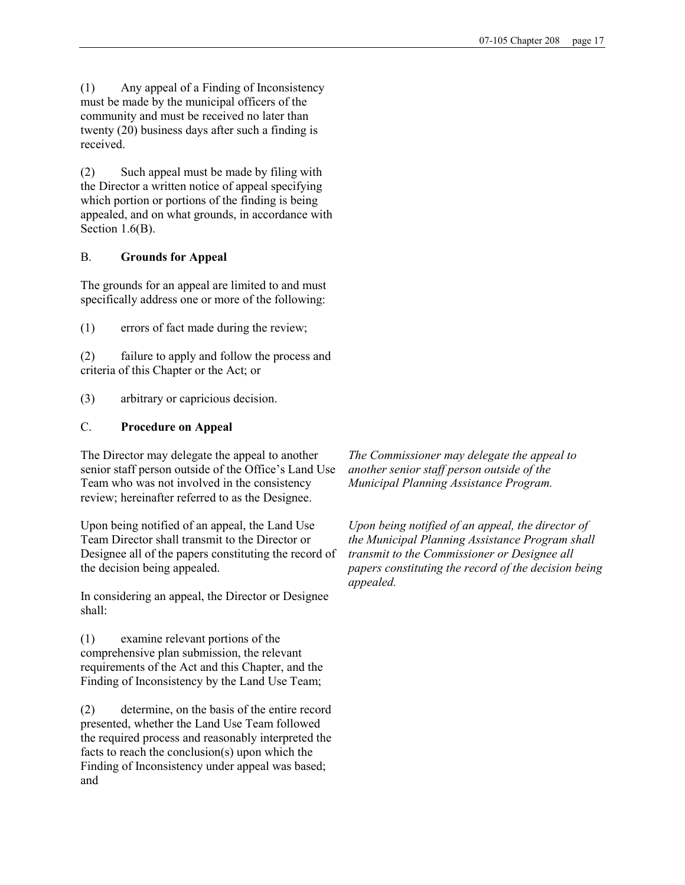(1) Any appeal of a Finding of Inconsistency must be made by the municipal officers of the community and must be received no later than twenty (20) business days after such a finding is received.

(2) Such appeal must be made by filing with the Director a written notice of appeal specifying which portion or portions of the finding is being appealed, and on what grounds, in accordance with Section 1.6(B).

# B. Grounds for Appeal

The grounds for an appeal are limited to and must specifically address one or more of the following:

(1) errors of fact made during the review;

(2) failure to apply and follow the process and criteria of this Chapter or the Act; or

(3) arbitrary or capricious decision.

# C. Procedure on Appeal

The Director may delegate the appeal to another senior staff person outside of the Office's Land Use Team who was not involved in the consistency review; hereinafter referred to as the Designee.

Upon being notified of an appeal, the Land Use Team Director shall transmit to the Director or Designee all of the papers constituting the record of the decision being appealed.

In considering an appeal, the Director or Designee shall:

(1) examine relevant portions of the comprehensive plan submission, the relevant requirements of the Act and this Chapter, and the Finding of Inconsistency by the Land Use Team;

(2) determine, on the basis of the entire record presented, whether the Land Use Team followed the required process and reasonably interpreted the facts to reach the conclusion(s) upon which the Finding of Inconsistency under appeal was based; and

The Commissioner may delegate the appeal to another senior staff person outside of the Municipal Planning Assistance Program.

Upon being notified of an appeal, the director of the Municipal Planning Assistance Program shall transmit to the Commissioner or Designee all papers constituting the record of the decision being appealed.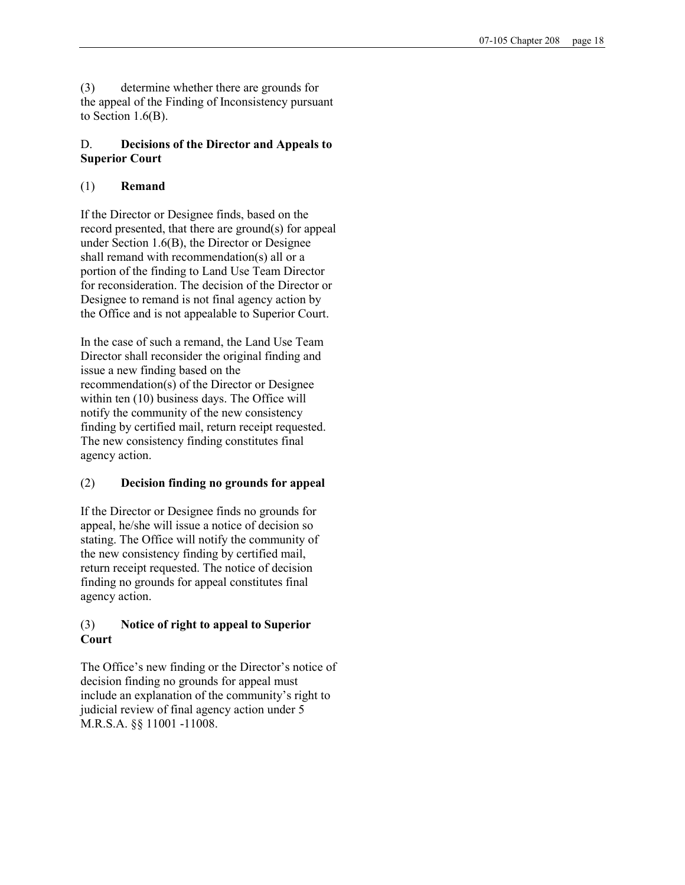(3) determine whether there are grounds for the appeal of the Finding of Inconsistency pursuant to Section 1.6(B).

# D. Decisions of the Director and Appeals to Superior Court

# (1) Remand

If the Director or Designee finds, based on the record presented, that there are ground(s) for appeal under Section 1.6(B), the Director or Designee shall remand with recommendation(s) all or a portion of the finding to Land Use Team Director for reconsideration. The decision of the Director or Designee to remand is not final agency action by the Office and is not appealable to Superior Court.

In the case of such a remand, the Land Use Team Director shall reconsider the original finding and issue a new finding based on the recommendation(s) of the Director or Designee within ten (10) business days. The Office will notify the community of the new consistency finding by certified mail, return receipt requested. The new consistency finding constitutes final agency action.

# (2) Decision finding no grounds for appeal

If the Director or Designee finds no grounds for appeal, he/she will issue a notice of decision so stating. The Office will notify the community of the new consistency finding by certified mail, return receipt requested. The notice of decision finding no grounds for appeal constitutes final agency action.

# (3) Notice of right to appeal to Superior **Court**

The Office's new finding or the Director's notice of decision finding no grounds for appeal must include an explanation of the community's right to judicial review of final agency action under 5 M.R.S.A. §§ 11001 -11008.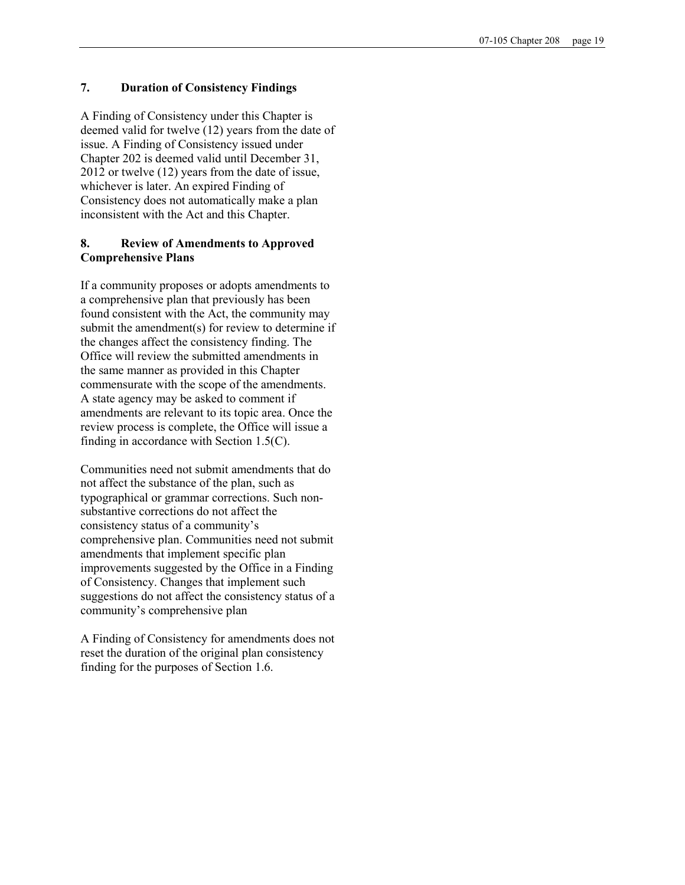#### 7. Duration of Consistency Findings

A Finding of Consistency under this Chapter is deemed valid for twelve (12) years from the date of issue. A Finding of Consistency issued under Chapter 202 is deemed valid until December 31, 2012 or twelve (12) years from the date of issue, whichever is later. An expired Finding of Consistency does not automatically make a plan inconsistent with the Act and this Chapter.

## 8. Review of Amendments to Approved Comprehensive Plans

If a community proposes or adopts amendments to a comprehensive plan that previously has been found consistent with the Act, the community may submit the amendment(s) for review to determine if the changes affect the consistency finding. The Office will review the submitted amendments in the same manner as provided in this Chapter commensurate with the scope of the amendments. A state agency may be asked to comment if amendments are relevant to its topic area. Once the review process is complete, the Office will issue a finding in accordance with Section 1.5(C).

Communities need not submit amendments that do not affect the substance of the plan, such as typographical or grammar corrections. Such nonsubstantive corrections do not affect the consistency status of a community's comprehensive plan. Communities need not submit amendments that implement specific plan improvements suggested by the Office in a Finding of Consistency. Changes that implement such suggestions do not affect the consistency status of a community's comprehensive plan

A Finding of Consistency for amendments does not reset the duration of the original plan consistency finding for the purposes of Section 1.6.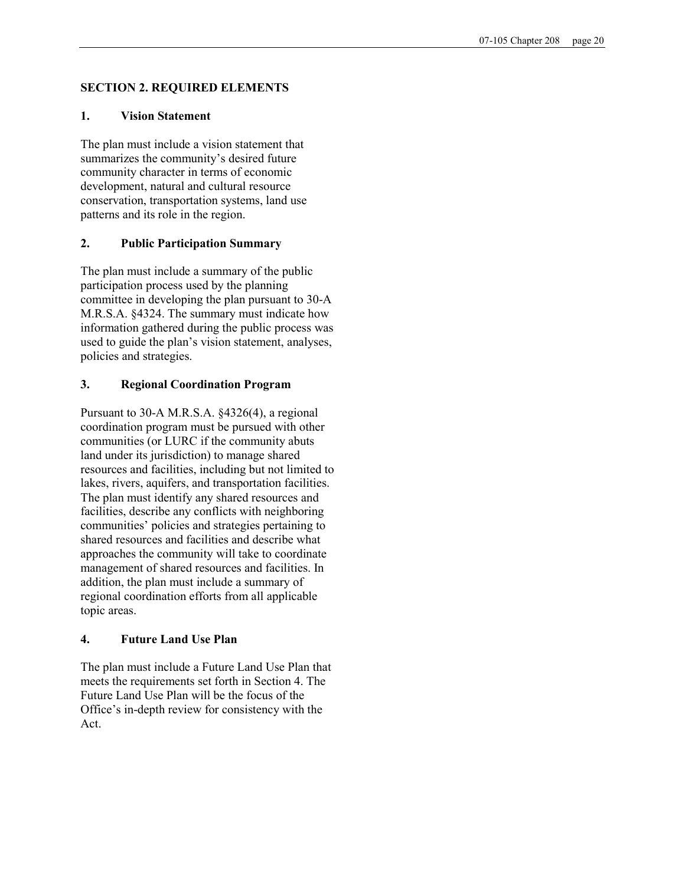## SECTION 2. REQUIRED ELEMENTS

## 1. Vision Statement

The plan must include a vision statement that summarizes the community's desired future community character in terms of economic development, natural and cultural resource conservation, transportation systems, land use patterns and its role in the region.

## 2. Public Participation Summary

The plan must include a summary of the public participation process used by the planning committee in developing the plan pursuant to 30-A M.R.S.A. §4324. The summary must indicate how information gathered during the public process was used to guide the plan's vision statement, analyses, policies and strategies.

## 3. Regional Coordination Program

Pursuant to 30-A M.R.S.A. §4326(4), a regional coordination program must be pursued with other communities (or LURC if the community abuts land under its jurisdiction) to manage shared resources and facilities, including but not limited to lakes, rivers, aquifers, and transportation facilities. The plan must identify any shared resources and facilities, describe any conflicts with neighboring communities' policies and strategies pertaining to shared resources and facilities and describe what approaches the community will take to coordinate management of shared resources and facilities. In addition, the plan must include a summary of regional coordination efforts from all applicable topic areas.

## 4. Future Land Use Plan

The plan must include a Future Land Use Plan that meets the requirements set forth in Section 4. The Future Land Use Plan will be the focus of the Office's in-depth review for consistency with the Act.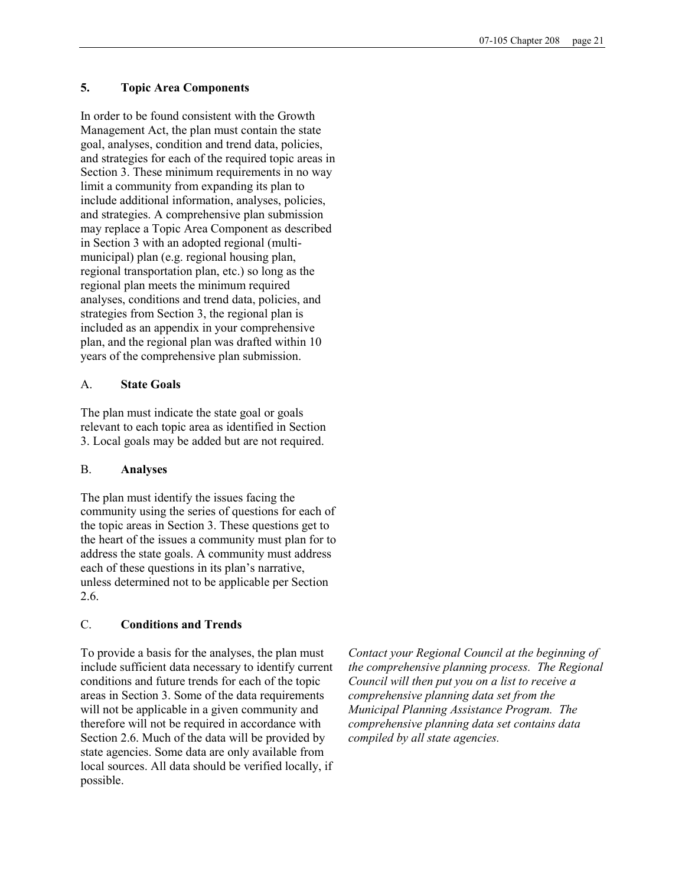#### 5. Topic Area Components

In order to be found consistent with the Growth Management Act, the plan must contain the state goal, analyses, condition and trend data, policies, and strategies for each of the required topic areas in Section 3. These minimum requirements in no way limit a community from expanding its plan to include additional information, analyses, policies, and strategies. A comprehensive plan submission may replace a Topic Area Component as described in Section 3 with an adopted regional (multimunicipal) plan (e.g. regional housing plan, regional transportation plan, etc.) so long as the regional plan meets the minimum required analyses, conditions and trend data, policies, and strategies from Section 3, the regional plan is included as an appendix in your comprehensive plan, and the regional plan was drafted within 10 years of the comprehensive plan submission.

#### A. State Goals

The plan must indicate the state goal or goals relevant to each topic area as identified in Section 3. Local goals may be added but are not required.

#### B. Analyses

The plan must identify the issues facing the community using the series of questions for each of the topic areas in Section 3. These questions get to the heart of the issues a community must plan for to address the state goals. A community must address each of these questions in its plan's narrative, unless determined not to be applicable per Section 2.6.

#### C. Conditions and Trends

To provide a basis for the analyses, the plan must include sufficient data necessary to identify current conditions and future trends for each of the topic areas in Section 3. Some of the data requirements will not be applicable in a given community and therefore will not be required in accordance with Section 2.6. Much of the data will be provided by state agencies. Some data are only available from local sources. All data should be verified locally, if possible.

Contact your Regional Council at the beginning of the comprehensive planning process. The Regional Council will then put you on a list to receive a comprehensive planning data set from the Municipal Planning Assistance Program. The comprehensive planning data set contains data compiled by all state agencies.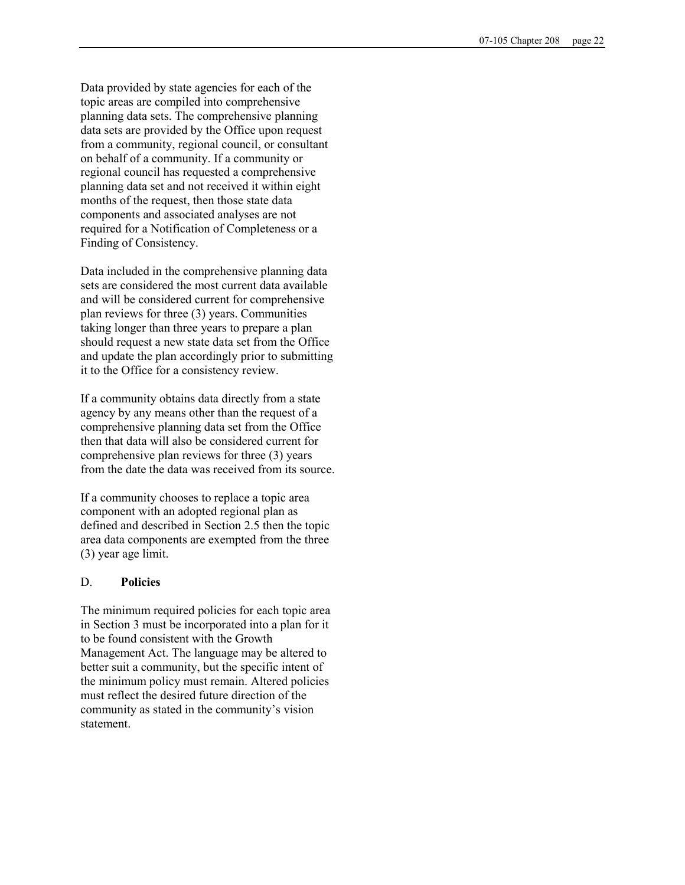Data provided by state agencies for each of the topic areas are compiled into comprehensive planning data sets. The comprehensive planning data sets are provided by the Office upon request from a community, regional council, or consultant on behalf of a community. If a community or regional council has requested a comprehensive planning data set and not received it within eight months of the request, then those state data components and associated analyses are not required for a Notification of Completeness or a Finding of Consistency.

Data included in the comprehensive planning data sets are considered the most current data available and will be considered current for comprehensive plan reviews for three (3) years. Communities taking longer than three years to prepare a plan should request a new state data set from the Office and update the plan accordingly prior to submitting it to the Office for a consistency review.

If a community obtains data directly from a state agency by any means other than the request of a comprehensive planning data set from the Office then that data will also be considered current for comprehensive plan reviews for three (3) years from the date the data was received from its source.

If a community chooses to replace a topic area component with an adopted regional plan as defined and described in Section 2.5 then the topic area data components are exempted from the three (3) year age limit.

#### D. Policies

The minimum required policies for each topic area in Section 3 must be incorporated into a plan for it to be found consistent with the Growth Management Act. The language may be altered to better suit a community, but the specific intent of the minimum policy must remain. Altered policies must reflect the desired future direction of the community as stated in the community's vision statement.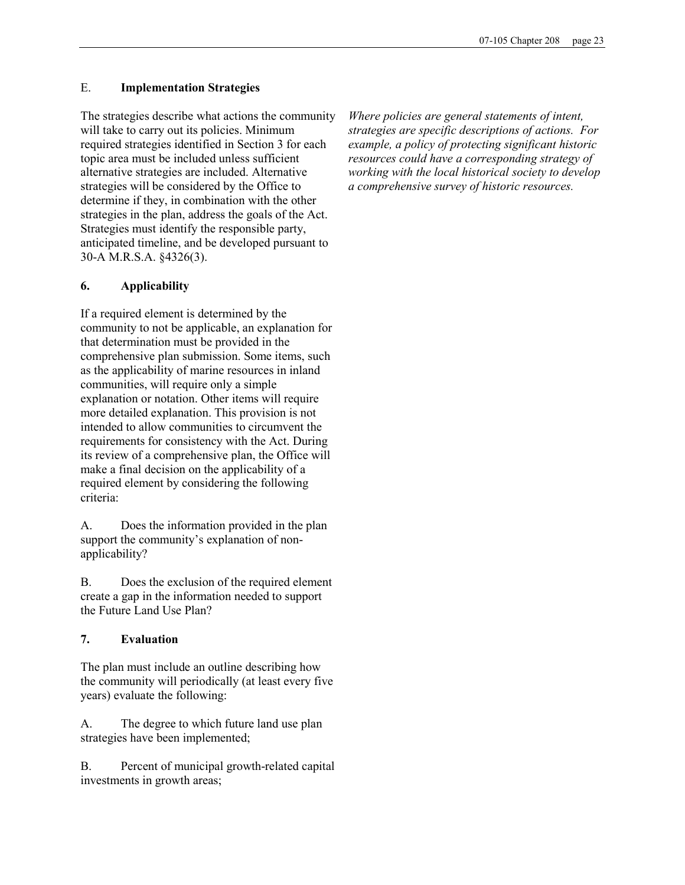## E. Implementation Strategies

The strategies describe what actions the community will take to carry out its policies. Minimum required strategies identified in Section 3 for each topic area must be included unless sufficient alternative strategies are included. Alternative strategies will be considered by the Office to determine if they, in combination with the other strategies in the plan, address the goals of the Act. Strategies must identify the responsible party, anticipated timeline, and be developed pursuant to 30-A M.R.S.A. §4326(3).

# 6. Applicability

If a required element is determined by the community to not be applicable, an explanation for that determination must be provided in the comprehensive plan submission. Some items, such as the applicability of marine resources in inland communities, will require only a simple explanation or notation. Other items will require more detailed explanation. This provision is not intended to allow communities to circumvent the requirements for consistency with the Act. During its review of a comprehensive plan, the Office will make a final decision on the applicability of a required element by considering the following criteria:

A. Does the information provided in the plan support the community's explanation of nonapplicability?

B. Does the exclusion of the required element create a gap in the information needed to support the Future Land Use Plan?

# 7. Evaluation

The plan must include an outline describing how the community will periodically (at least every five years) evaluate the following:

A. The degree to which future land use plan strategies have been implemented;

B. Percent of municipal growth-related capital investments in growth areas;

Where policies are general statements of intent, strategies are specific descriptions of actions. For example, a policy of protecting significant historic resources could have a corresponding strategy of working with the local historical society to develop a comprehensive survey of historic resources.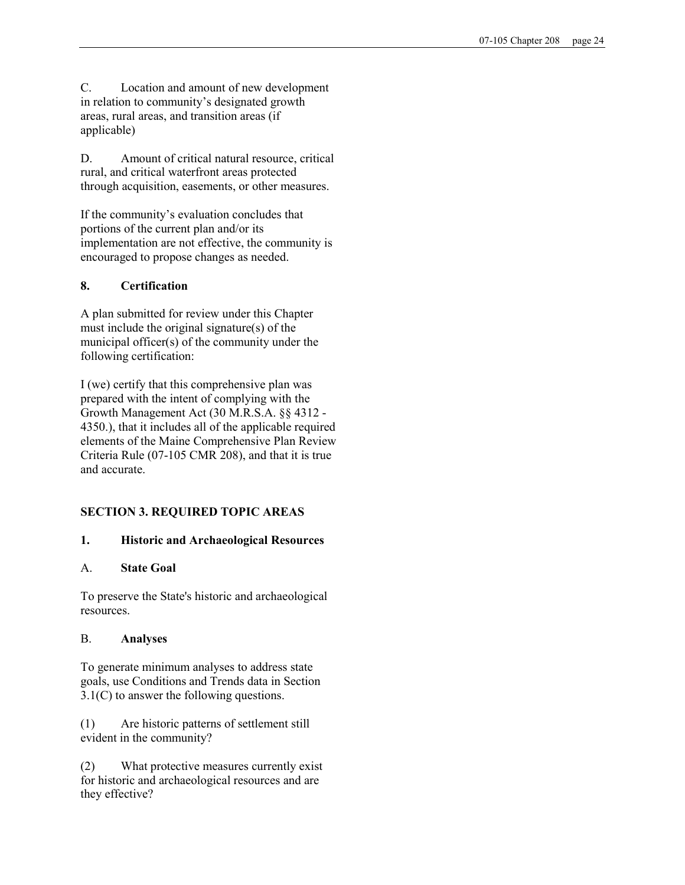C. Location and amount of new development in relation to community's designated growth areas, rural areas, and transition areas (if applicable)

D. Amount of critical natural resource, critical rural, and critical waterfront areas protected through acquisition, easements, or other measures.

If the community's evaluation concludes that portions of the current plan and/or its implementation are not effective, the community is encouraged to propose changes as needed.

# 8. Certification

A plan submitted for review under this Chapter must include the original signature(s) of the municipal officer(s) of the community under the following certification:

I (we) certify that this comprehensive plan was prepared with the intent of complying with the Growth Management Act (30 M.R.S.A. §§ 4312 - 4350.), that it includes all of the applicable required elements of the Maine Comprehensive Plan Review Criteria Rule (07-105 CMR 208), and that it is true and accurate.

# SECTION 3. REQUIRED TOPIC AREAS

# 1. Historic and Archaeological Resources

# A. State Goal

To preserve the State's historic and archaeological resources.

# B. Analyses

To generate minimum analyses to address state goals, use Conditions and Trends data in Section 3.1(C) to answer the following questions.

(1) Are historic patterns of settlement still evident in the community?

(2) What protective measures currently exist for historic and archaeological resources and are they effective?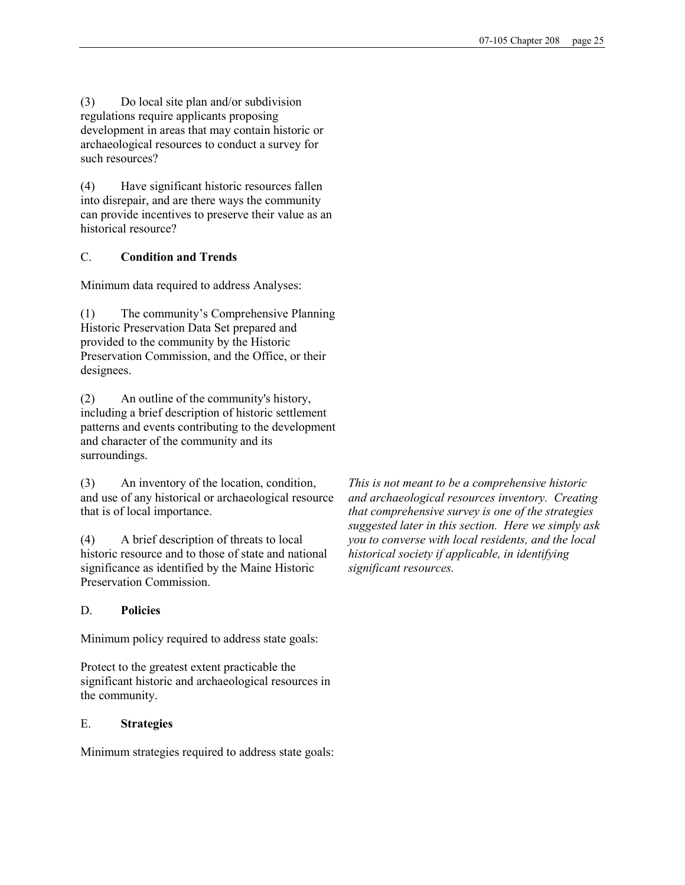(3) Do local site plan and/or subdivision regulations require applicants proposing development in areas that may contain historic or archaeological resources to conduct a survey for such resources?

(4) Have significant historic resources fallen into disrepair, and are there ways the community can provide incentives to preserve their value as an historical resource?

# C. Condition and Trends

Minimum data required to address Analyses:

(1) The community's Comprehensive Planning Historic Preservation Data Set prepared and provided to the community by the Historic Preservation Commission, and the Office, or their designees.

(2) An outline of the community's history, including a brief description of historic settlement patterns and events contributing to the development and character of the community and its surroundings.

(3) An inventory of the location, condition, and use of any historical or archaeological resource that is of local importance.

(4) A brief description of threats to local historic resource and to those of state and national significance as identified by the Maine Historic Preservation Commission.

## D. Policies

Minimum policy required to address state goals:

Protect to the greatest extent practicable the significant historic and archaeological resources in the community.

#### E. Strategies

Minimum strategies required to address state goals:

This is not meant to be a comprehensive historic and archaeological resources inventory. Creating that comprehensive survey is one of the strategies suggested later in this section. Here we simply ask you to converse with local residents, and the local historical society if applicable, in identifying significant resources.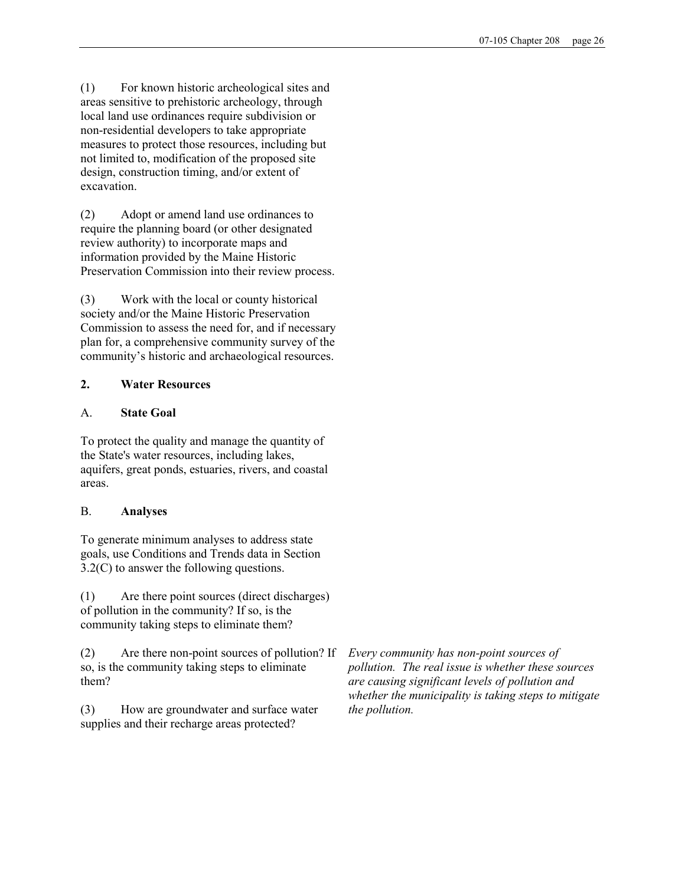(1) For known historic archeological sites and areas sensitive to prehistoric archeology, through local land use ordinances require subdivision or non-residential developers to take appropriate measures to protect those resources, including but not limited to, modification of the proposed site design, construction timing, and/or extent of excavation.

(2) Adopt or amend land use ordinances to require the planning board (or other designated review authority) to incorporate maps and information provided by the Maine Historic Preservation Commission into their review process.

(3) Work with the local or county historical society and/or the Maine Historic Preservation Commission to assess the need for, and if necessary plan for, a comprehensive community survey of the community's historic and archaeological resources.

# 2. Water Resources

# A. State Goal

To protect the quality and manage the quantity of the State's water resources, including lakes, aquifers, great ponds, estuaries, rivers, and coastal areas.

# B. Analyses

To generate minimum analyses to address state goals, use Conditions and Trends data in Section 3.2(C) to answer the following questions.

(1) Are there point sources (direct discharges) of pollution in the community? If so, is the community taking steps to eliminate them?

(2) Are there non-point sources of pollution? If so, is the community taking steps to eliminate them?

(3) How are groundwater and surface water supplies and their recharge areas protected?

Every community has non-point sources of pollution. The real issue is whether these sources are causing significant levels of pollution and whether the municipality is taking steps to mitigate the pollution.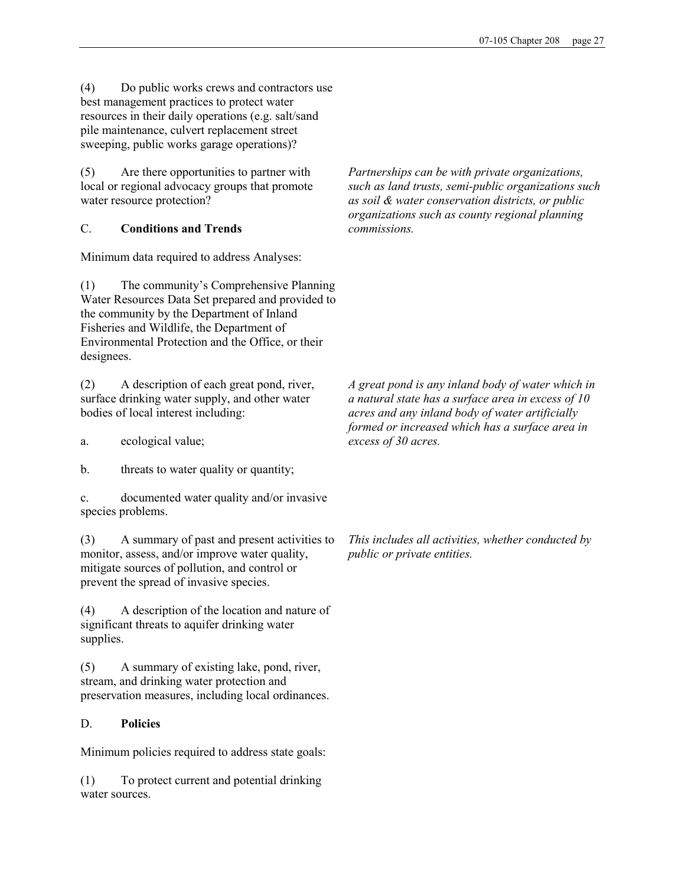(4) Do public works crews and contractors use best management practices to protect water resources in their daily operations (e.g. salt/sand pile maintenance, culvert replacement street sweeping, public works garage operations)?

(5) Are there opportunities to partner with local or regional advocacy groups that promote water resource protection?

# C. Conditions and Trends

Minimum data required to address Analyses:

(1) The community's Comprehensive Planning Water Resources Data Set prepared and provided to the community by the Department of Inland Fisheries and Wildlife, the Department of Environmental Protection and the Office, or their designees.

(2) A description of each great pond, river, surface drinking water supply, and other water bodies of local interest including:

a. ecological value;

b. threats to water quality or quantity;

c. documented water quality and/or invasive species problems.

(3) A summary of past and present activities to monitor, assess, and/or improve water quality, mitigate sources of pollution, and control or prevent the spread of invasive species.

(4) A description of the location and nature of significant threats to aquifer drinking water supplies.

(5) A summary of existing lake, pond, river, stream, and drinking water protection and preservation measures, including local ordinances.

# D. Policies

Minimum policies required to address state goals:

(1) To protect current and potential drinking water sources.

Partnerships can be with private organizations, such as land trusts, semi-public organizations such as soil & water conservation districts, or public organizations such as county regional planning commissions.

A great pond is any inland body of water which in a natural state has a surface area in excess of 10 acres and any inland body of water artificially formed or increased which has a surface area in excess of 30 acres.

This includes all activities, whether conducted by public or private entities.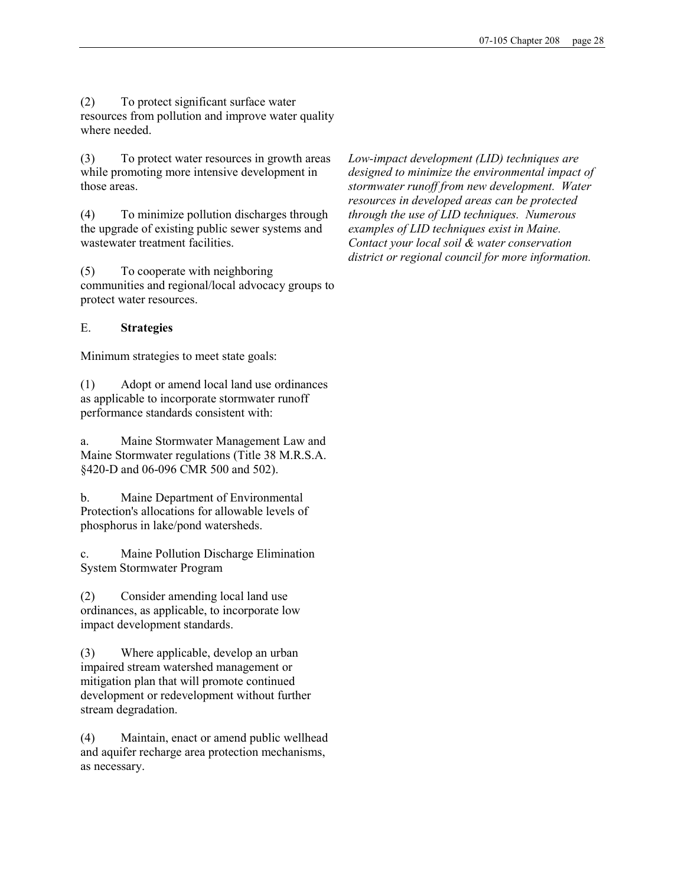(2) To protect significant surface water resources from pollution and improve water quality where needed.

(3) To protect water resources in growth areas while promoting more intensive development in those areas.

(4) To minimize pollution discharges through the upgrade of existing public sewer systems and wastewater treatment facilities.

(5) To cooperate with neighboring communities and regional/local advocacy groups to protect water resources.

#### E. Strategies

Minimum strategies to meet state goals:

(1) Adopt or amend local land use ordinances as applicable to incorporate stormwater runoff performance standards consistent with:

a. Maine Stormwater Management Law and Maine Stormwater regulations (Title 38 M.R.S.A. §420-D and 06-096 CMR 500 and 502).

b. Maine Department of Environmental Protection's allocations for allowable levels of phosphorus in lake/pond watersheds.

c. Maine Pollution Discharge Elimination System Stormwater Program

(2) Consider amending local land use ordinances, as applicable, to incorporate low impact development standards.

(3) Where applicable, develop an urban impaired stream watershed management or mitigation plan that will promote continued development or redevelopment without further stream degradation.

(4) Maintain, enact or amend public wellhead and aquifer recharge area protection mechanisms, as necessary.

Low-impact development (LID) techniques are designed to minimize the environmental impact of stormwater runoff from new development. Water resources in developed areas can be protected through the use of LID techniques. Numerous examples of LID techniques exist in Maine. Contact your local soil & water conservation district or regional council for more information.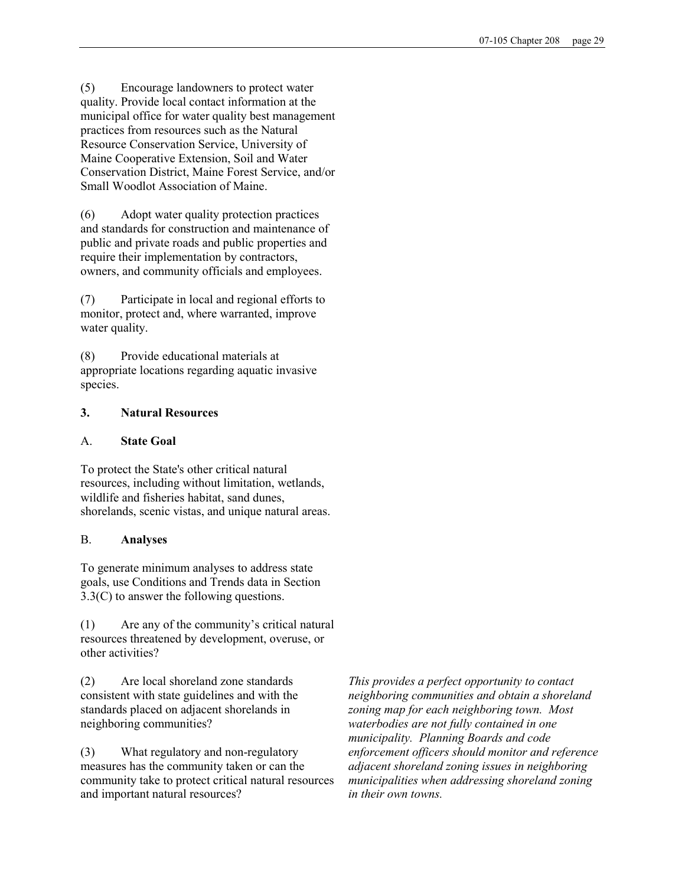(5) Encourage landowners to protect water quality. Provide local contact information at the municipal office for water quality best management practices from resources such as the Natural Resource Conservation Service, University of Maine Cooperative Extension, Soil and Water Conservation District, Maine Forest Service, and/or Small Woodlot Association of Maine.

(6) Adopt water quality protection practices and standards for construction and maintenance of public and private roads and public properties and require their implementation by contractors, owners, and community officials and employees.

(7) Participate in local and regional efforts to monitor, protect and, where warranted, improve water quality.

(8) Provide educational materials at appropriate locations regarding aquatic invasive species.

# 3. Natural Resources

## A. State Goal

To protect the State's other critical natural resources, including without limitation, wetlands, wildlife and fisheries habitat, sand dunes, shorelands, scenic vistas, and unique natural areas.

## B. Analyses

To generate minimum analyses to address state goals, use Conditions and Trends data in Section 3.3(C) to answer the following questions.

(1) Are any of the community's critical natural resources threatened by development, overuse, or other activities?

(2) Are local shoreland zone standards consistent with state guidelines and with the standards placed on adjacent shorelands in neighboring communities?

(3) What regulatory and non-regulatory measures has the community taken or can the community take to protect critical natural resources and important natural resources?

This provides a perfect opportunity to contact neighboring communities and obtain a shoreland zoning map for each neighboring town. Most waterbodies are not fully contained in one municipality. Planning Boards and code enforcement officers should monitor and reference adjacent shoreland zoning issues in neighboring municipalities when addressing shoreland zoning in their own towns.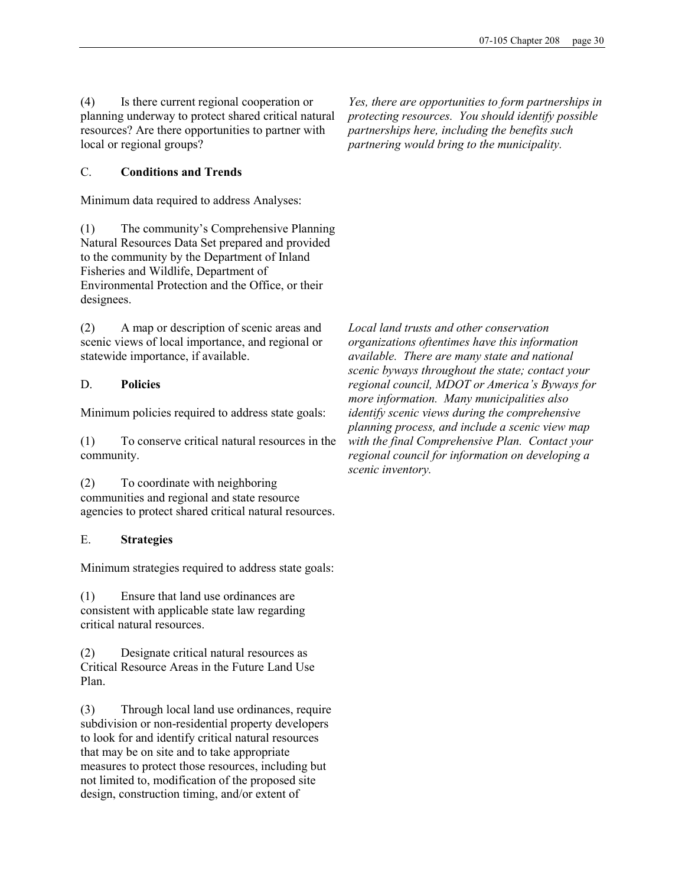(4) Is there current regional cooperation or planning underway to protect shared critical natural resources? Are there opportunities to partner with local or regional groups?

C. Conditions and Trends

Minimum data required to address Analyses:

(1) The community's Comprehensive Planning Natural Resources Data Set prepared and provided to the community by the Department of Inland Fisheries and Wildlife, Department of Environmental Protection and the Office, or their designees.

(2) A map or description of scenic areas and scenic views of local importance, and regional or statewide importance, if available.

# D. Policies

Minimum policies required to address state goals:

(1) To conserve critical natural resources in the community.

(2) To coordinate with neighboring communities and regional and state resource agencies to protect shared critical natural resources.

## E. Strategies

Minimum strategies required to address state goals:

(1) Ensure that land use ordinances are consistent with applicable state law regarding critical natural resources.

(2) Designate critical natural resources as Critical Resource Areas in the Future Land Use Plan.

(3) Through local land use ordinances, require subdivision or non-residential property developers to look for and identify critical natural resources that may be on site and to take appropriate measures to protect those resources, including but not limited to, modification of the proposed site design, construction timing, and/or extent of

Yes, there are opportunities to form partnerships in protecting resources. You should identify possible partnerships here, including the benefits such partnering would bring to the municipality.

Local land trusts and other conservation organizations oftentimes have this information available. There are many state and national scenic byways throughout the state; contact your regional council, MDOT or America's Byways for more information. Many municipalities also identify scenic views during the comprehensive planning process, and include a scenic view map with the final Comprehensive Plan. Contact your regional council for information on developing a scenic inventory.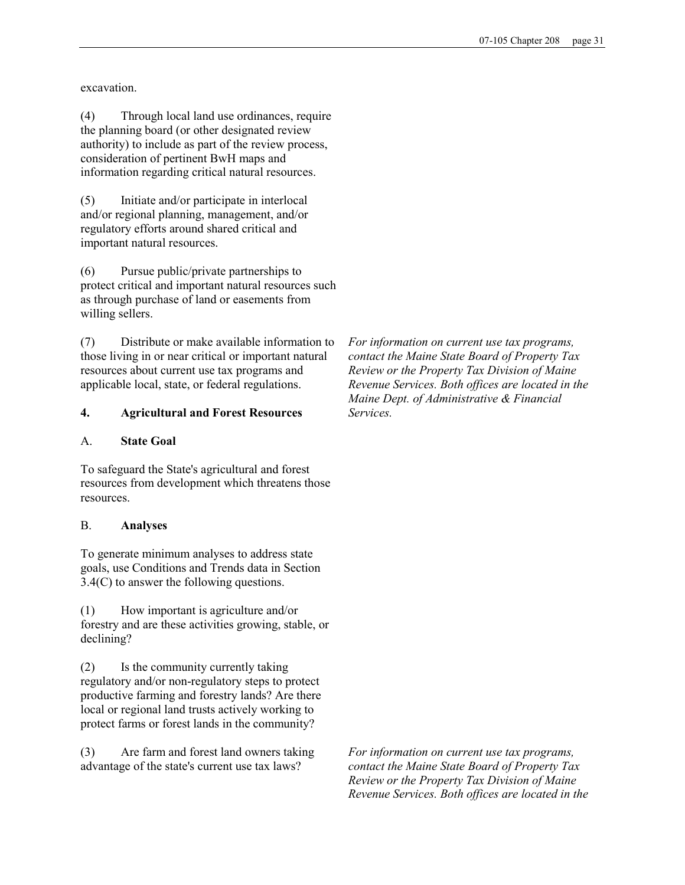excavation.

(4) Through local land use ordinances, require the planning board (or other designated review authority) to include as part of the review process, consideration of pertinent BwH maps and information regarding critical natural resources.

(5) Initiate and/or participate in interlocal and/or regional planning, management, and/or regulatory efforts around shared critical and important natural resources.

(6) Pursue public/private partnerships to protect critical and important natural resources such as through purchase of land or easements from willing sellers.

(7) Distribute or make available information to those living in or near critical or important natural resources about current use tax programs and applicable local, state, or federal regulations.

## 4. Agricultural and Forest Resources

#### A. State Goal

To safeguard the State's agricultural and forest resources from development which threatens those resources.

## B. Analyses

To generate minimum analyses to address state goals, use Conditions and Trends data in Section 3.4(C) to answer the following questions.

(1) How important is agriculture and/or forestry and are these activities growing, stable, or declining?

(2) Is the community currently taking regulatory and/or non-regulatory steps to protect productive farming and forestry lands? Are there local or regional land trusts actively working to protect farms or forest lands in the community?

(3) Are farm and forest land owners taking advantage of the state's current use tax laws?

For information on current use tax programs, contact the Maine State Board of Property Tax Review or the Property Tax Division of Maine Revenue Services. Both offices are located in the Maine Dept. of Administrative & Financial Services.

For information on current use tax programs, contact the Maine State Board of Property Tax Review or the Property Tax Division of Maine Revenue Services. Both offices are located in the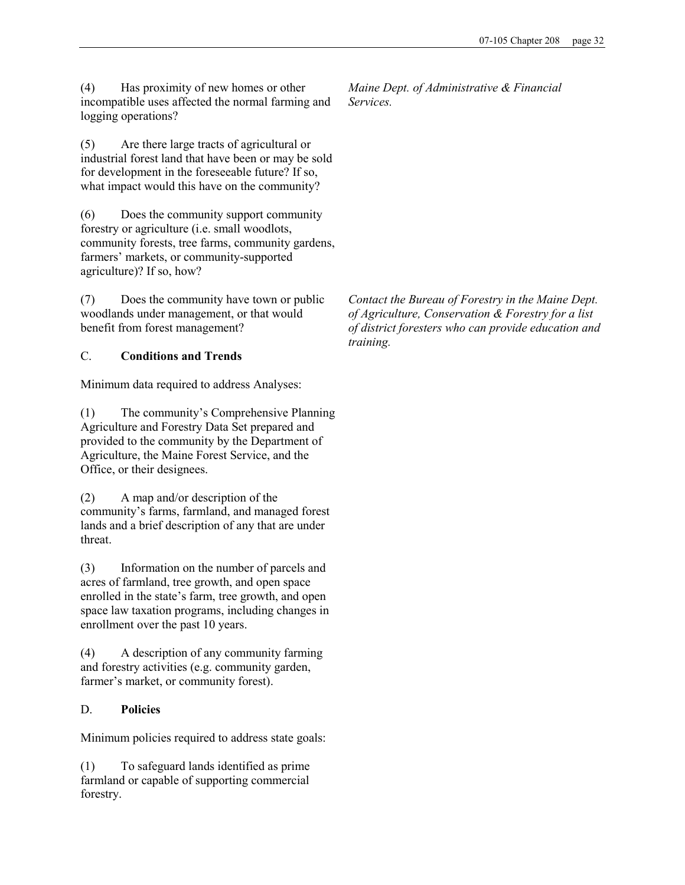(4) Has proximity of new homes or other incompatible uses affected the normal farming and logging operations?

(5) Are there large tracts of agricultural or industrial forest land that have been or may be sold for development in the foreseeable future? If so, what impact would this have on the community?

(6) Does the community support community forestry or agriculture (i.e. small woodlots, community forests, tree farms, community gardens, farmers' markets, or community-supported agriculture)? If so, how?

(7) Does the community have town or public woodlands under management, or that would benefit from forest management?

# C. Conditions and Trends

Minimum data required to address Analyses:

(1) The community's Comprehensive Planning Agriculture and Forestry Data Set prepared and provided to the community by the Department of Agriculture, the Maine Forest Service, and the Office, or their designees.

(2) A map and/or description of the community's farms, farmland, and managed forest lands and a brief description of any that are under threat.

(3) Information on the number of parcels and acres of farmland, tree growth, and open space enrolled in the state's farm, tree growth, and open space law taxation programs, including changes in enrollment over the past 10 years.

(4) A description of any community farming and forestry activities (e.g. community garden, farmer's market, or community forest).

# D. Policies

Minimum policies required to address state goals:

(1) To safeguard lands identified as prime farmland or capable of supporting commercial forestry.

Maine Dept. of Administrative & Financial Services.

Contact the Bureau of Forestry in the Maine Dept. of Agriculture, Conservation & Forestry for a list of district foresters who can provide education and training.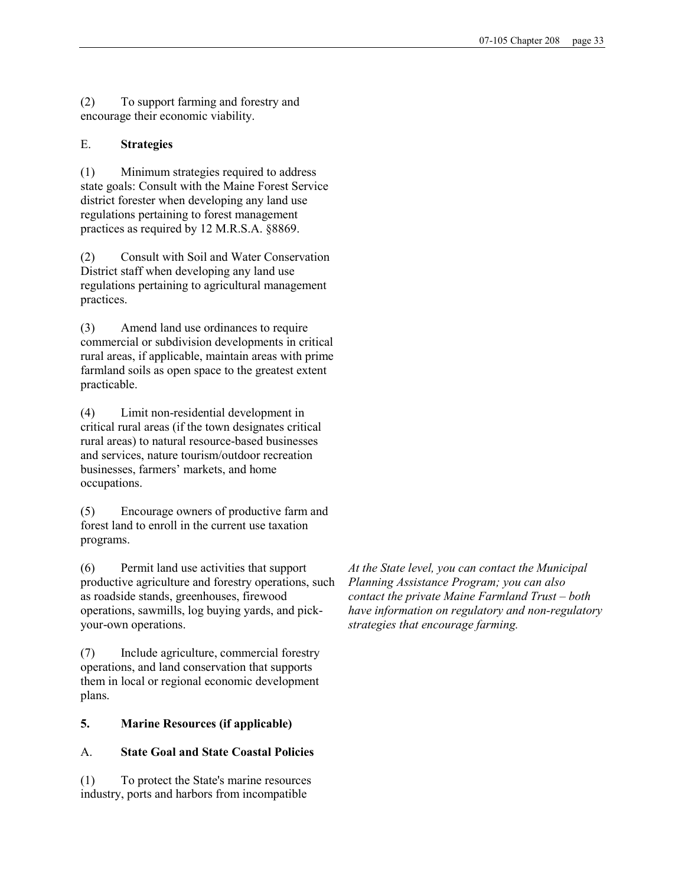(2) To support farming and forestry and encourage their economic viability.

## E. Strategies

(1) Minimum strategies required to address state goals: Consult with the Maine Forest Service district forester when developing any land use regulations pertaining to forest management practices as required by 12 M.R.S.A. §8869.

(2) Consult with Soil and Water Conservation District staff when developing any land use regulations pertaining to agricultural management practices.

(3) Amend land use ordinances to require commercial or subdivision developments in critical rural areas, if applicable, maintain areas with prime farmland soils as open space to the greatest extent practicable.

(4) Limit non-residential development in critical rural areas (if the town designates critical rural areas) to natural resource-based businesses and services, nature tourism/outdoor recreation businesses, farmers' markets, and home occupations.

(5) Encourage owners of productive farm and forest land to enroll in the current use taxation programs.

(6) Permit land use activities that support productive agriculture and forestry operations, such as roadside stands, greenhouses, firewood operations, sawmills, log buying yards, and pickyour-own operations.

(7) Include agriculture, commercial forestry operations, and land conservation that supports them in local or regional economic development plans.

## 5. Marine Resources (if applicable)

## A. State Goal and State Coastal Policies

(1) To protect the State's marine resources industry, ports and harbors from incompatible

At the State level, you can contact the Municipal Planning Assistance Program; you can also contact the private Maine Farmland Trust – both have information on regulatory and non-regulatory strategies that encourage farming.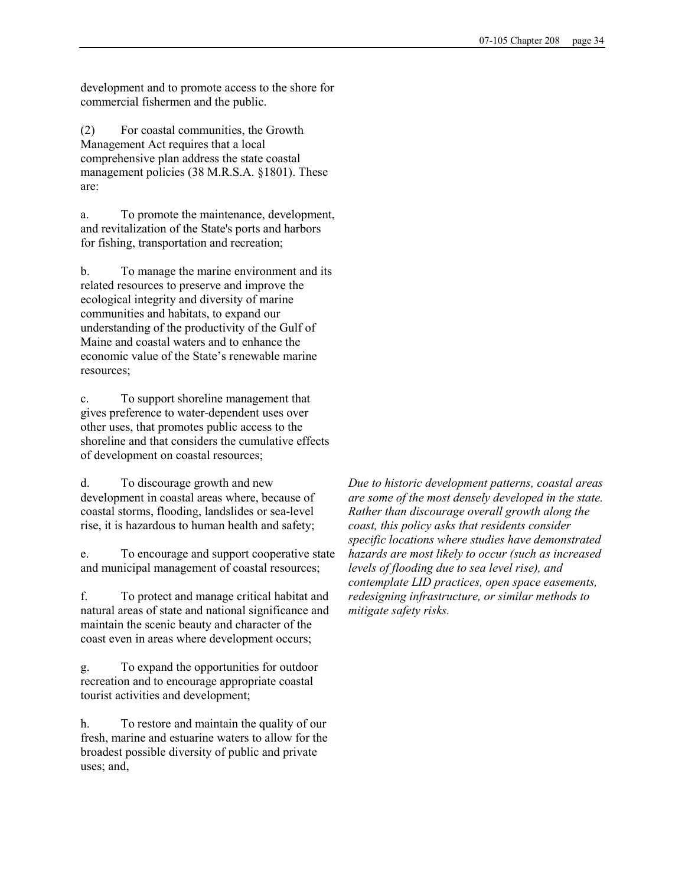development and to promote access to the shore for commercial fishermen and the public.

(2) For coastal communities, the Growth Management Act requires that a local comprehensive plan address the state coastal management policies (38 M.R.S.A. §1801). These are:

a. To promote the maintenance, development, and revitalization of the State's ports and harbors for fishing, transportation and recreation;

b. To manage the marine environment and its related resources to preserve and improve the ecological integrity and diversity of marine communities and habitats, to expand our understanding of the productivity of the Gulf of Maine and coastal waters and to enhance the economic value of the State's renewable marine resources;

c. To support shoreline management that gives preference to water-dependent uses over other uses, that promotes public access to the shoreline and that considers the cumulative effects of development on coastal resources;

d. To discourage growth and new development in coastal areas where, because of coastal storms, flooding, landslides or sea-level rise, it is hazardous to human health and safety;

e. To encourage and support cooperative state and municipal management of coastal resources;

f. To protect and manage critical habitat and natural areas of state and national significance and maintain the scenic beauty and character of the coast even in areas where development occurs;

g. To expand the opportunities for outdoor recreation and to encourage appropriate coastal tourist activities and development;

h. To restore and maintain the quality of our fresh, marine and estuarine waters to allow for the broadest possible diversity of public and private uses; and,

Due to historic development patterns, coastal areas are some of the most densely developed in the state. Rather than discourage overall growth along the coast, this policy asks that residents consider specific locations where studies have demonstrated hazards are most likely to occur (such as increased levels of flooding due to sea level rise), and contemplate LID practices, open space easements, redesigning infrastructure, or similar methods to mitigate safety risks.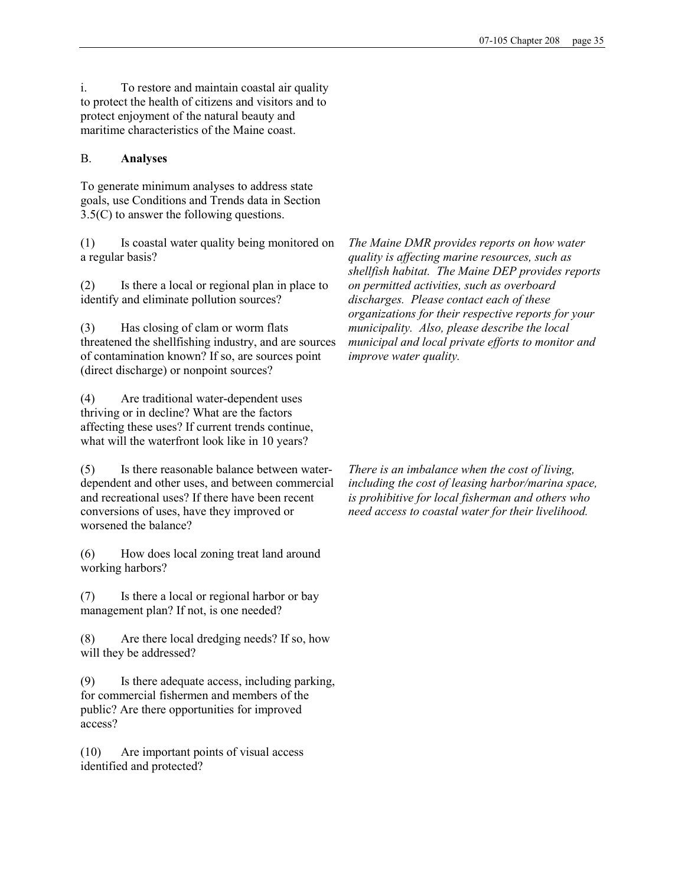i. To restore and maintain coastal air quality to protect the health of citizens and visitors and to protect enjoyment of the natural beauty and maritime characteristics of the Maine coast.

## B. Analyses

To generate minimum analyses to address state goals, use Conditions and Trends data in Section 3.5(C) to answer the following questions.

(1) Is coastal water quality being monitored on a regular basis?

(2) Is there a local or regional plan in place to identify and eliminate pollution sources?

(3) Has closing of clam or worm flats threatened the shellfishing industry, and are sources of contamination known? If so, are sources point (direct discharge) or nonpoint sources?

(4) Are traditional water-dependent uses thriving or in decline? What are the factors affecting these uses? If current trends continue, what will the waterfront look like in 10 years?

(5) Is there reasonable balance between waterdependent and other uses, and between commercial and recreational uses? If there have been recent conversions of uses, have they improved or worsened the balance?

(6) How does local zoning treat land around working harbors?

(7) Is there a local or regional harbor or bay management plan? If not, is one needed?

(8) Are there local dredging needs? If so, how will they be addressed?

(9) Is there adequate access, including parking, for commercial fishermen and members of the public? Are there opportunities for improved access?

(10) Are important points of visual access identified and protected?

The Maine DMR provides reports on how water quality is affecting marine resources, such as shellfish habitat. The Maine DEP provides reports on permitted activities, such as overboard discharges. Please contact each of these organizations for their respective reports for your municipality. Also, please describe the local municipal and local private efforts to monitor and improve water quality.

There is an imbalance when the cost of living, including the cost of leasing harbor/marina space, is prohibitive for local fisherman and others who need access to coastal water for their livelihood.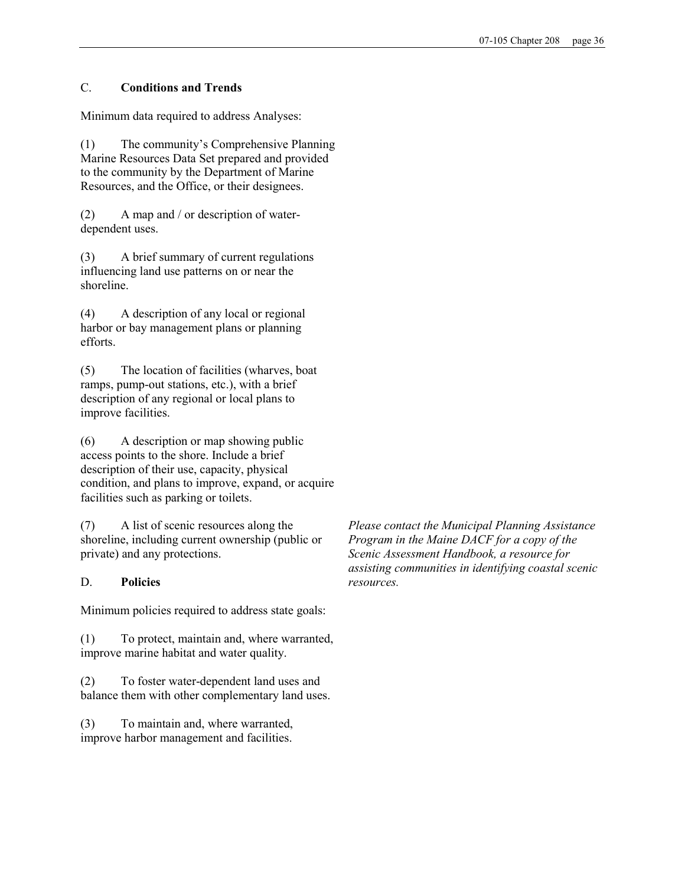## C. Conditions and Trends

Minimum data required to address Analyses:

(1) The community's Comprehensive Planning Marine Resources Data Set prepared and provided to the community by the Department of Marine Resources, and the Office, or their designees.

(2) A map and / or description of waterdependent uses.

(3) A brief summary of current regulations influencing land use patterns on or near the shoreline.

(4) A description of any local or regional harbor or bay management plans or planning efforts.

(5) The location of facilities (wharves, boat ramps, pump-out stations, etc.), with a brief description of any regional or local plans to improve facilities.

(6) A description or map showing public access points to the shore. Include a brief description of their use, capacity, physical condition, and plans to improve, expand, or acquire facilities such as parking or toilets.

(7) A list of scenic resources along the shoreline, including current ownership (public or private) and any protections.

## D. Policies

Minimum policies required to address state goals:

(1) To protect, maintain and, where warranted, improve marine habitat and water quality.

(2) To foster water-dependent land uses and balance them with other complementary land uses.

(3) To maintain and, where warranted, improve harbor management and facilities.

Please contact the Municipal Planning Assistance Program in the Maine DACF for a copy of the Scenic Assessment Handbook, a resource for assisting communities in identifying coastal scenic resources.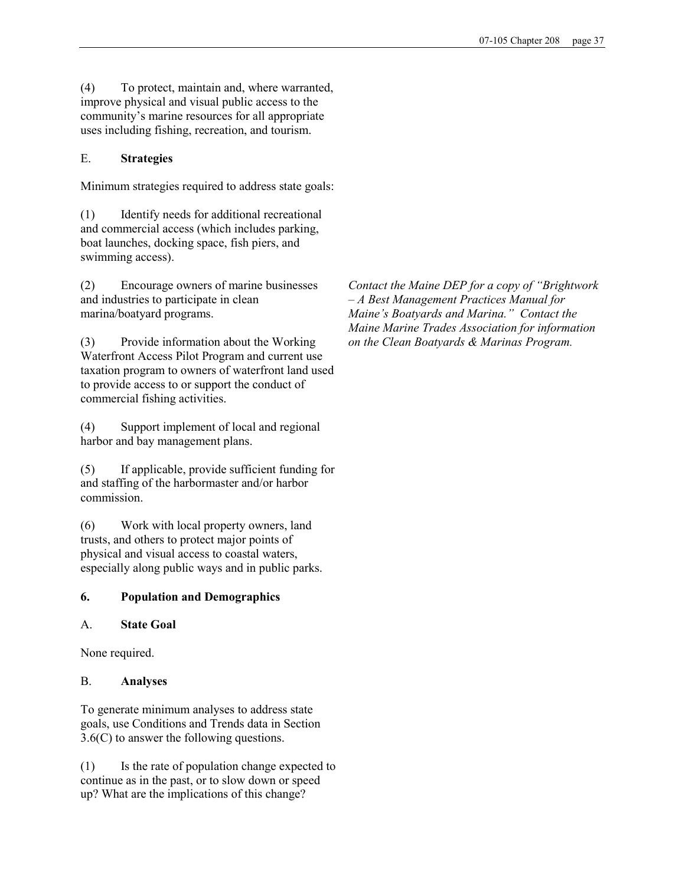(4) To protect, maintain and, where warranted, improve physical and visual public access to the community's marine resources for all appropriate uses including fishing, recreation, and tourism.

## E. Strategies

Minimum strategies required to address state goals:

(1) Identify needs for additional recreational and commercial access (which includes parking, boat launches, docking space, fish piers, and swimming access).

(2) Encourage owners of marine businesses and industries to participate in clean marina/boatyard programs.

(3) Provide information about the Working Waterfront Access Pilot Program and current use taxation program to owners of waterfront land used to provide access to or support the conduct of commercial fishing activities.

(4) Support implement of local and regional harbor and bay management plans.

(5) If applicable, provide sufficient funding for and staffing of the harbormaster and/or harbor commission.

(6) Work with local property owners, land trusts, and others to protect major points of physical and visual access to coastal waters, especially along public ways and in public parks.

# 6. Population and Demographics

## A. State Goal

None required.

## B. Analyses

To generate minimum analyses to address state goals, use Conditions and Trends data in Section 3.6(C) to answer the following questions.

(1) Is the rate of population change expected to continue as in the past, or to slow down or speed up? What are the implications of this change?

Contact the Maine DEP for a copy of "Brightwork – A Best Management Practices Manual for Maine's Boatyards and Marina." Contact the Maine Marine Trades Association for information on the Clean Boatyards & Marinas Program.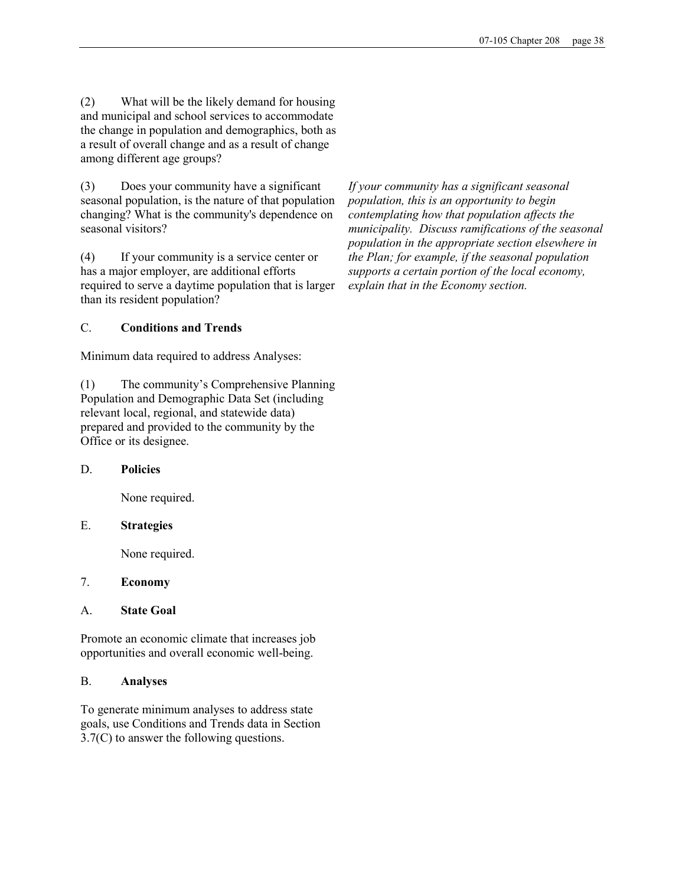(2) What will be the likely demand for housing and municipal and school services to accommodate the change in population and demographics, both as a result of overall change and as a result of change among different age groups?

(3) Does your community have a significant seasonal population, is the nature of that population changing? What is the community's dependence on seasonal visitors?

(4) If your community is a service center or has a major employer, are additional efforts required to serve a daytime population that is larger than its resident population?

#### C. Conditions and Trends

Minimum data required to address Analyses:

(1) The community's Comprehensive Planning Population and Demographic Data Set (including relevant local, regional, and statewide data) prepared and provided to the community by the Office or its designee.

#### D. Policies

None required.

#### E. Strategies

None required.

#### 7. Economy

#### A. State Goal

Promote an economic climate that increases job opportunities and overall economic well-being.

### B. Analyses

To generate minimum analyses to address state goals, use Conditions and Trends data in Section 3.7(C) to answer the following questions.

If your community has a significant seasonal population, this is an opportunity to begin contemplating how that population affects the municipality. Discuss ramifications of the seasonal population in the appropriate section elsewhere in the Plan; for example, if the seasonal population supports a certain portion of the local economy, explain that in the Economy section.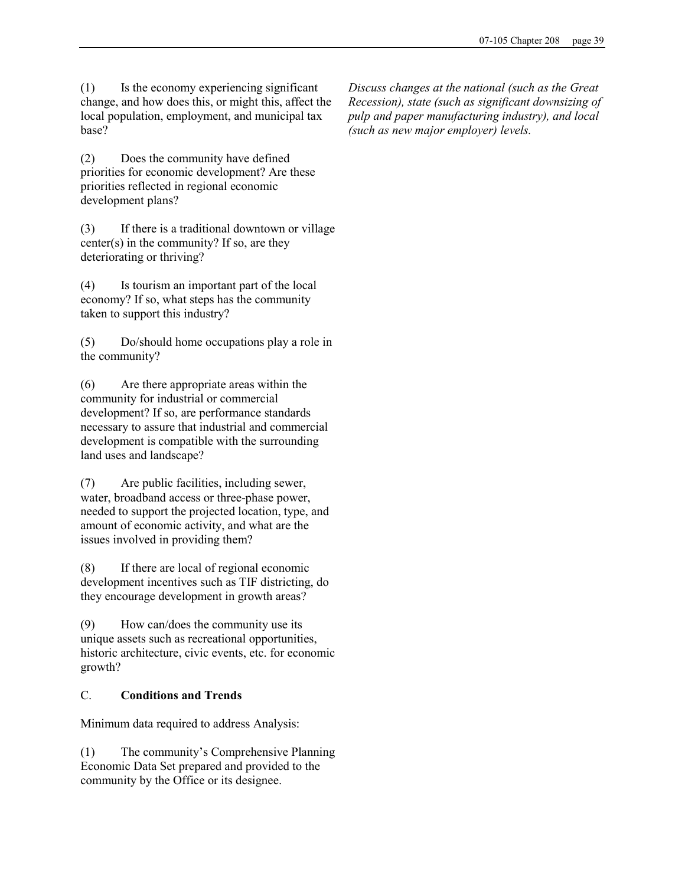(1) Is the economy experiencing significant change, and how does this, or might this, affect the local population, employment, and municipal tax base?

(2) Does the community have defined priorities for economic development? Are these priorities reflected in regional economic development plans?

(3) If there is a traditional downtown or village center(s) in the community? If so, are they deteriorating or thriving?

(4) Is tourism an important part of the local economy? If so, what steps has the community taken to support this industry?

(5) Do/should home occupations play a role in the community?

(6) Are there appropriate areas within the community for industrial or commercial development? If so, are performance standards necessary to assure that industrial and commercial development is compatible with the surrounding land uses and landscape?

(7) Are public facilities, including sewer, water, broadband access or three-phase power, needed to support the projected location, type, and amount of economic activity, and what are the issues involved in providing them?

(8) If there are local of regional economic development incentives such as TIF districting, do they encourage development in growth areas?

(9) How can/does the community use its unique assets such as recreational opportunities, historic architecture, civic events, etc. for economic growth?

## C. Conditions and Trends

Minimum data required to address Analysis:

(1) The community's Comprehensive Planning Economic Data Set prepared and provided to the community by the Office or its designee.

Discuss changes at the national (such as the Great Recession), state (such as significant downsizing of pulp and paper manufacturing industry), and local (such as new major employer) levels.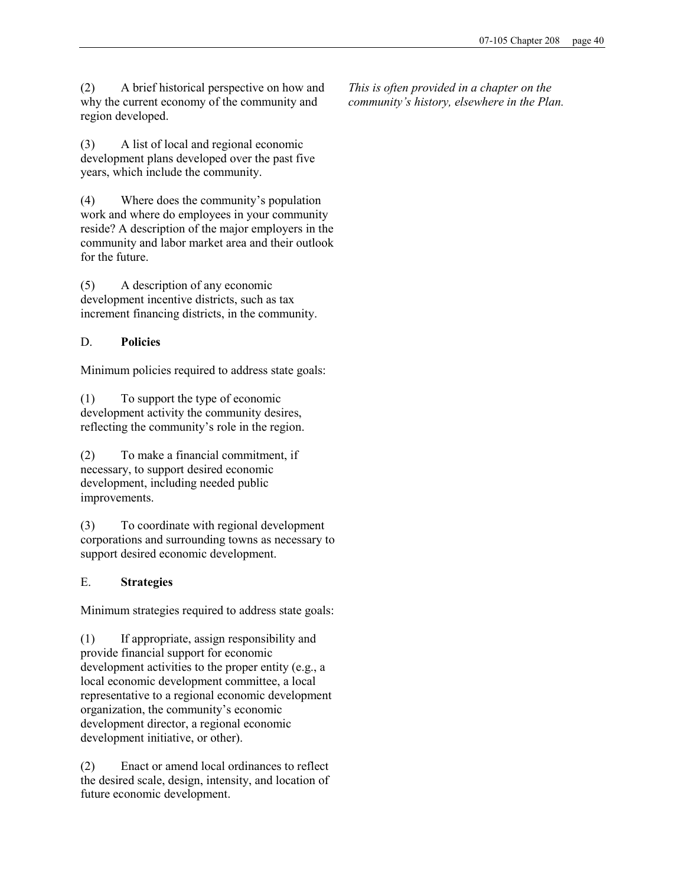(2) A brief historical perspective on how and why the current economy of the community and region developed.

(3) A list of local and regional economic development plans developed over the past five years, which include the community.

(4) Where does the community's population work and where do employees in your community reside? A description of the major employers in the community and labor market area and their outlook for the future.

(5) A description of any economic development incentive districts, such as tax increment financing districts, in the community.

# D. Policies

Minimum policies required to address state goals:

(1) To support the type of economic development activity the community desires, reflecting the community's role in the region.

(2) To make a financial commitment, if necessary, to support desired economic development, including needed public improvements.

(3) To coordinate with regional development corporations and surrounding towns as necessary to support desired economic development.

# E. Strategies

Minimum strategies required to address state goals:

(1) If appropriate, assign responsibility and provide financial support for economic development activities to the proper entity (e.g., a local economic development committee, a local representative to a regional economic development organization, the community's economic development director, a regional economic development initiative, or other).

(2) Enact or amend local ordinances to reflect the desired scale, design, intensity, and location of future economic development.

This is often provided in a chapter on the community's history, elsewhere in the Plan.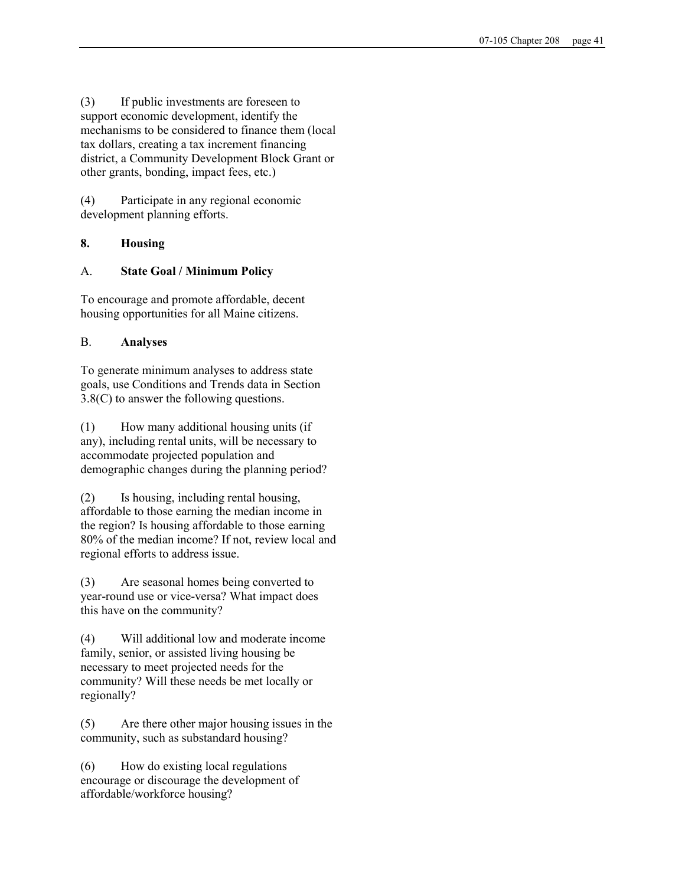(3) If public investments are foreseen to support economic development, identify the mechanisms to be considered to finance them (local tax dollars, creating a tax increment financing district, a Community Development Block Grant or other grants, bonding, impact fees, etc.)

(4) Participate in any regional economic development planning efforts.

# 8. Housing

# A. State Goal / Minimum Policy

To encourage and promote affordable, decent housing opportunities for all Maine citizens.

# B. Analyses

To generate minimum analyses to address state goals, use Conditions and Trends data in Section 3.8(C) to answer the following questions.

(1) How many additional housing units (if any), including rental units, will be necessary to accommodate projected population and demographic changes during the planning period?

(2) Is housing, including rental housing, affordable to those earning the median income in the region? Is housing affordable to those earning 80% of the median income? If not, review local and regional efforts to address issue.

(3) Are seasonal homes being converted to year-round use or vice-versa? What impact does this have on the community?

(4) Will additional low and moderate income family, senior, or assisted living housing be necessary to meet projected needs for the community? Will these needs be met locally or regionally?

(5) Are there other major housing issues in the community, such as substandard housing?

(6) How do existing local regulations encourage or discourage the development of affordable/workforce housing?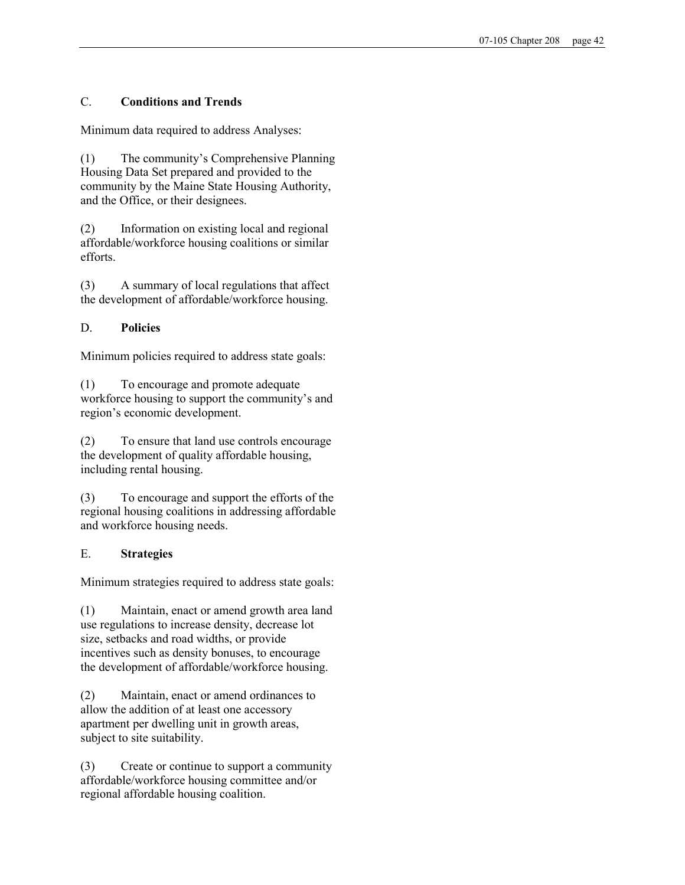# C. Conditions and Trends

Minimum data required to address Analyses:

(1) The community's Comprehensive Planning Housing Data Set prepared and provided to the community by the Maine State Housing Authority, and the Office, or their designees.

(2) Information on existing local and regional affordable/workforce housing coalitions or similar efforts.

(3) A summary of local regulations that affect the development of affordable/workforce housing.

## D. Policies

Minimum policies required to address state goals:

(1) To encourage and promote adequate workforce housing to support the community's and region's economic development.

(2) To ensure that land use controls encourage the development of quality affordable housing, including rental housing.

(3) To encourage and support the efforts of the regional housing coalitions in addressing affordable and workforce housing needs.

# E. Strategies

Minimum strategies required to address state goals:

(1) Maintain, enact or amend growth area land use regulations to increase density, decrease lot size, setbacks and road widths, or provide incentives such as density bonuses, to encourage the development of affordable/workforce housing.

(2) Maintain, enact or amend ordinances to allow the addition of at least one accessory apartment per dwelling unit in growth areas, subject to site suitability.

(3) Create or continue to support a community affordable/workforce housing committee and/or regional affordable housing coalition.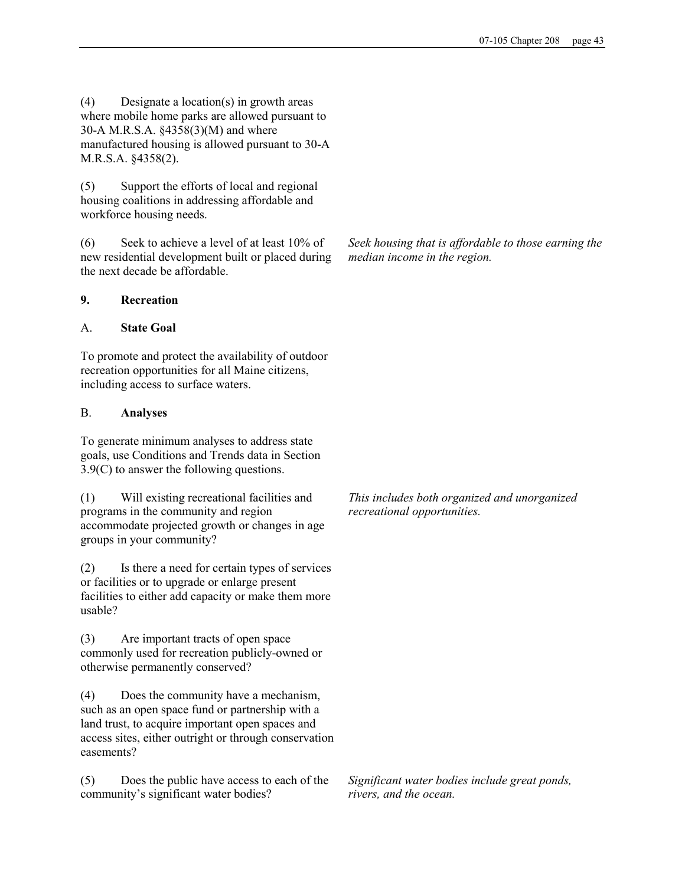(4) Designate a location(s) in growth areas where mobile home parks are allowed pursuant to 30-A M.R.S.A. §4358(3)(M) and where manufactured housing is allowed pursuant to 30-A M.R.S.A. §4358(2).

(5) Support the efforts of local and regional housing coalitions in addressing affordable and workforce housing needs.

(6) Seek to achieve a level of at least 10% of new residential development built or placed during the next decade be affordable.

## 9. Recreation

## A. State Goal

To promote and protect the availability of outdoor recreation opportunities for all Maine citizens, including access to surface waters.

## B. Analyses

To generate minimum analyses to address state goals, use Conditions and Trends data in Section 3.9(C) to answer the following questions.

(1) Will existing recreational facilities and programs in the community and region accommodate projected growth or changes in age groups in your community?

(2) Is there a need for certain types of services or facilities or to upgrade or enlarge present facilities to either add capacity or make them more usable?

(3) Are important tracts of open space commonly used for recreation publicly-owned or otherwise permanently conserved?

(4) Does the community have a mechanism, such as an open space fund or partnership with a land trust, to acquire important open spaces and access sites, either outright or through conservation easements?

(5) Does the public have access to each of the community's significant water bodies?

Seek housing that is affordable to those earning the median income in the region.

This includes both organized and unorganized recreational opportunities.

Significant water bodies include great ponds, rivers, and the ocean.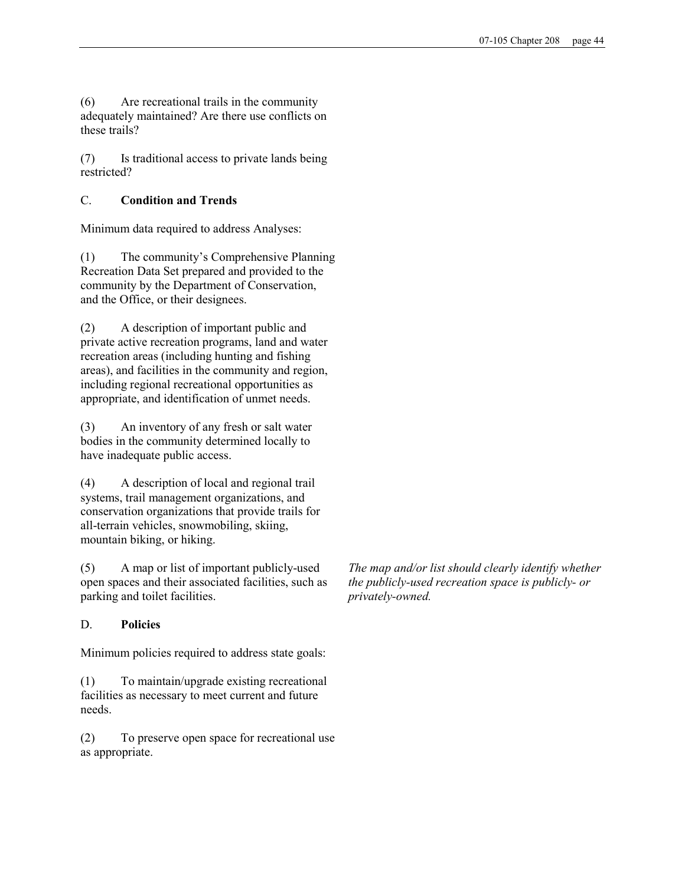(6) Are recreational trails in the community adequately maintained? Are there use conflicts on these trails?

(7) Is traditional access to private lands being restricted?

# C. Condition and Trends

Minimum data required to address Analyses:

(1) The community's Comprehensive Planning Recreation Data Set prepared and provided to the community by the Department of Conservation, and the Office, or their designees.

(2) A description of important public and private active recreation programs, land and water recreation areas (including hunting and fishing areas), and facilities in the community and region, including regional recreational opportunities as appropriate, and identification of unmet needs.

(3) An inventory of any fresh or salt water bodies in the community determined locally to have inadequate public access.

(4) A description of local and regional trail systems, trail management organizations, and conservation organizations that provide trails for all-terrain vehicles, snowmobiling, skiing, mountain biking, or hiking.

(5) A map or list of important publicly-used open spaces and their associated facilities, such as parking and toilet facilities.

## D. Policies

Minimum policies required to address state goals:

(1) To maintain/upgrade existing recreational facilities as necessary to meet current and future needs.

(2) To preserve open space for recreational use as appropriate.

The map and/or list should clearly identify whether the publicly-used recreation space is publicly- or privately-owned.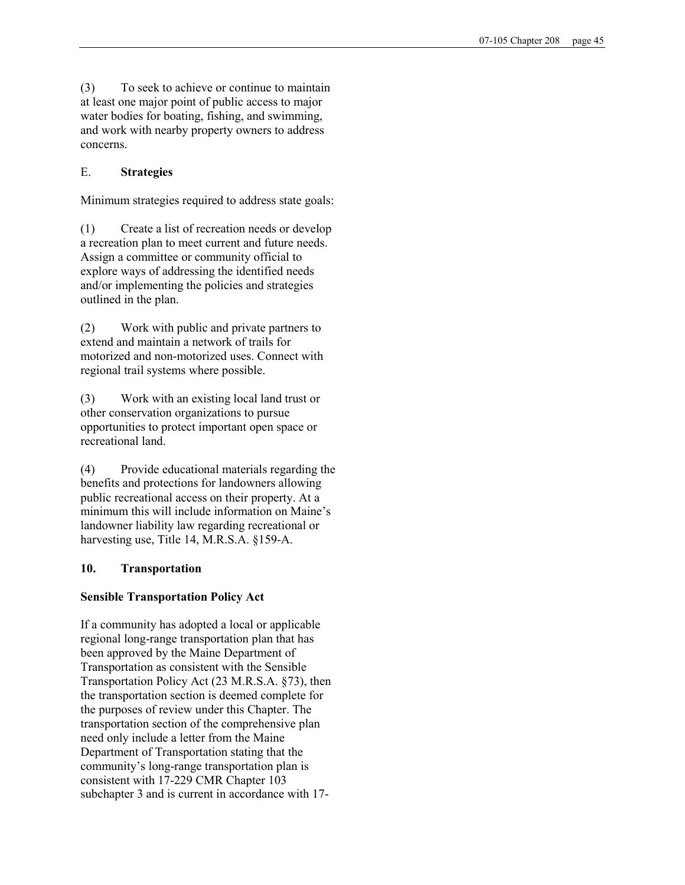(3) To seek to achieve or continue to maintain at least one major point of public access to major water bodies for boating, fishing, and swimming, and work with nearby property owners to address concerns.

# E. Strategies

Minimum strategies required to address state goals:

(1) Create a list of recreation needs or develop a recreation plan to meet current and future needs. Assign a committee or community official to explore ways of addressing the identified needs and/or implementing the policies and strategies outlined in the plan.

(2) Work with public and private partners to extend and maintain a network of trails for motorized and non-motorized uses. Connect with regional trail systems where possible.

(3) Work with an existing local land trust or other conservation organizations to pursue opportunities to protect important open space or recreational land.

(4) Provide educational materials regarding the benefits and protections for landowners allowing public recreational access on their property. At a minimum this will include information on Maine's landowner liability law regarding recreational or harvesting use, Title 14, M.R.S.A. §159-A.

## 10. Transportation

## Sensible Transportation Policy Act

If a community has adopted a local or applicable regional long-range transportation plan that has been approved by the Maine Department of Transportation as consistent with the Sensible Transportation Policy Act (23 M.R.S.A. §73), then the transportation section is deemed complete for the purposes of review under this Chapter. The transportation section of the comprehensive plan need only include a letter from the Maine Department of Transportation stating that the community's long-range transportation plan is consistent with 17-229 CMR Chapter 103 subchapter 3 and is current in accordance with 17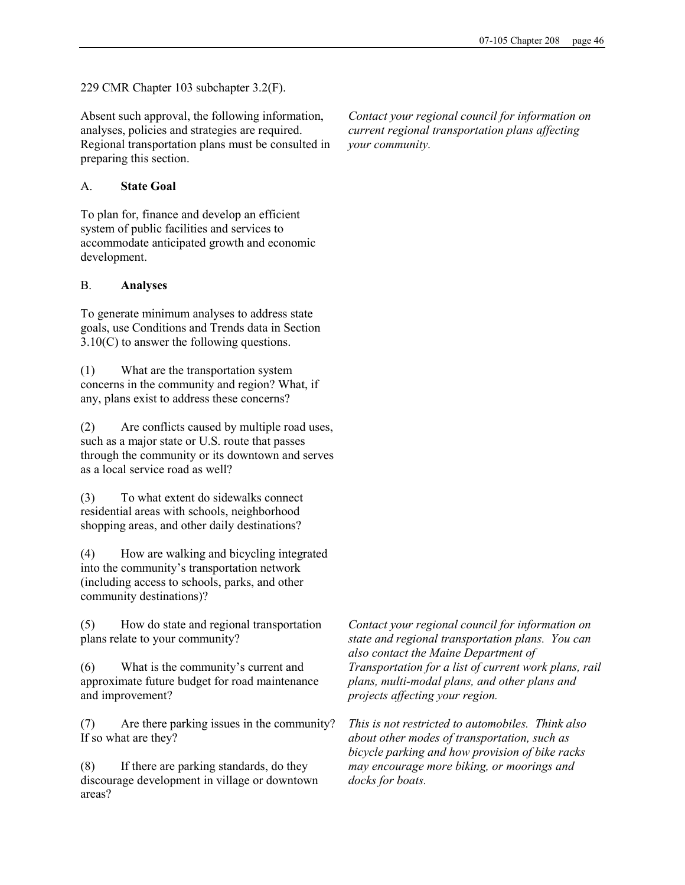229 CMR Chapter 103 subchapter 3.2(F).

Absent such approval, the following information, analyses, policies and strategies are required. Regional transportation plans must be consulted in preparing this section.

## A. State Goal

To plan for, finance and develop an efficient system of public facilities and services to accommodate anticipated growth and economic development.

## B. Analyses

To generate minimum analyses to address state goals, use Conditions and Trends data in Section 3.10(C) to answer the following questions.

(1) What are the transportation system concerns in the community and region? What, if any, plans exist to address these concerns?

(2) Are conflicts caused by multiple road uses, such as a major state or U.S. route that passes through the community or its downtown and serves as a local service road as well?

(3) To what extent do sidewalks connect residential areas with schools, neighborhood shopping areas, and other daily destinations?

(4) How are walking and bicycling integrated into the community's transportation network (including access to schools, parks, and other community destinations)?

(5) How do state and regional transportation plans relate to your community?

(6) What is the community's current and approximate future budget for road maintenance and improvement?

(7) Are there parking issues in the community? If so what are they?

(8) If there are parking standards, do they discourage development in village or downtown areas?

Contact your regional council for information on current regional transportation plans affecting your community.

Contact your regional council for information on state and regional transportation plans. You can also contact the Maine Department of Transportation for a list of current work plans, rail plans, multi-modal plans, and other plans and projects affecting your region.

This is not restricted to automobiles. Think also about other modes of transportation, such as bicycle parking and how provision of bike racks may encourage more biking, or moorings and docks for boats.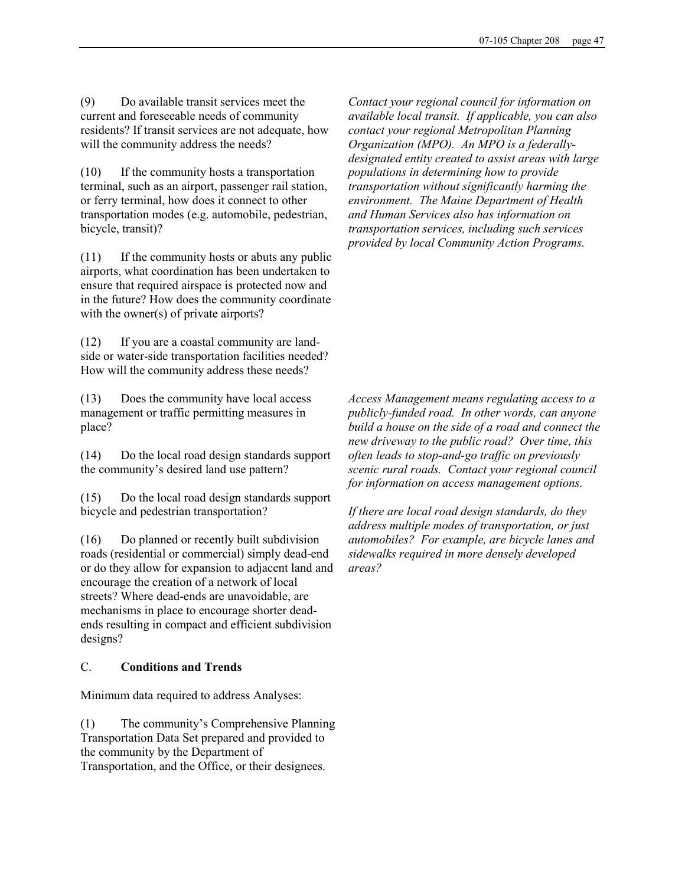(9) Do available transit services meet the current and foreseeable needs of community residents? If transit services are not adequate, how will the community address the needs?

(10) If the community hosts a transportation terminal, such as an airport, passenger rail station, or ferry terminal, how does it connect to other transportation modes (e.g. automobile, pedestrian, bicycle, transit)?

(11) If the community hosts or abuts any public airports, what coordination has been undertaken to ensure that required airspace is protected now and in the future? How does the community coordinate with the owner(s) of private airports?

(12) If you are a coastal community are landside or water-side transportation facilities needed? How will the community address these needs?

(13) Does the community have local access management or traffic permitting measures in place?

(14) Do the local road design standards support the community's desired land use pattern?

(15) Do the local road design standards support bicycle and pedestrian transportation?

(16) Do planned or recently built subdivision roads (residential or commercial) simply dead-end or do they allow for expansion to adjacent land and encourage the creation of a network of local streets? Where dead-ends are unavoidable, are mechanisms in place to encourage shorter deadends resulting in compact and efficient subdivision designs?

## C. Conditions and Trends

Minimum data required to address Analyses:

(1) The community's Comprehensive Planning Transportation Data Set prepared and provided to the community by the Department of Transportation, and the Office, or their designees.

Contact your regional council for information on available local transit. If applicable, you can also contact your regional Metropolitan Planning Organization (MPO). An MPO is a federallydesignated entity created to assist areas with large populations in determining how to provide transportation without significantly harming the environment. The Maine Department of Health and Human Services also has information on transportation services, including such services provided by local Community Action Programs.

Access Management means regulating access to a publicly-funded road. In other words, can anyone build a house on the side of a road and connect the new driveway to the public road? Over time, this often leads to stop-and-go traffic on previously scenic rural roads. Contact your regional council for information on access management options.

If there are local road design standards, do they address multiple modes of transportation, or just automobiles? For example, are bicycle lanes and sidewalks required in more densely developed areas?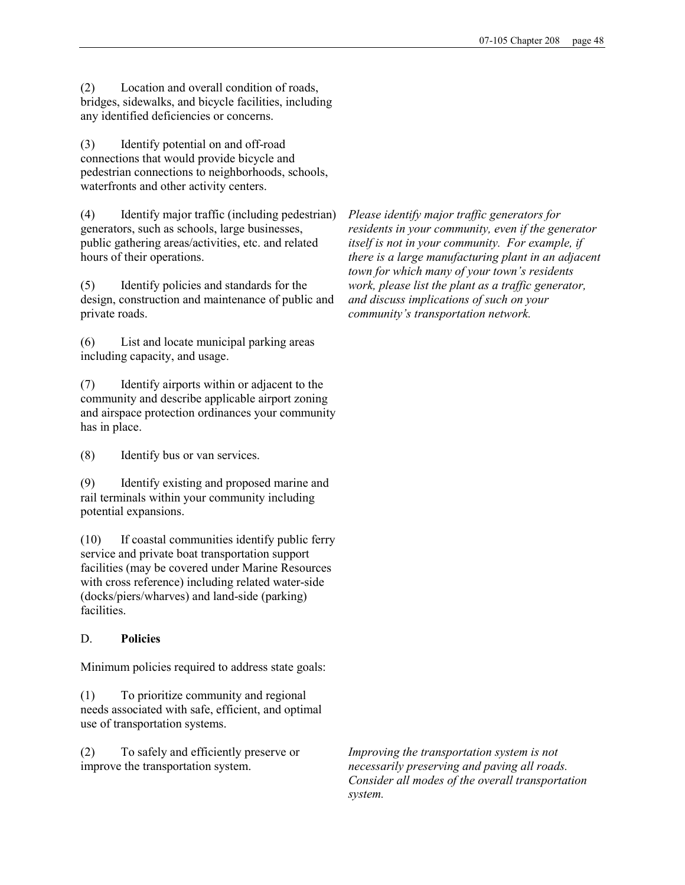(2) Location and overall condition of roads, bridges, sidewalks, and bicycle facilities, including any identified deficiencies or concerns.

(3) Identify potential on and off-road connections that would provide bicycle and pedestrian connections to neighborhoods, schools, waterfronts and other activity centers.

(4) Identify major traffic (including pedestrian) generators, such as schools, large businesses, public gathering areas/activities, etc. and related hours of their operations.

(5) Identify policies and standards for the design, construction and maintenance of public and private roads.

(6) List and locate municipal parking areas including capacity, and usage.

(7) Identify airports within or adjacent to the community and describe applicable airport zoning and airspace protection ordinances your community has in place.

(8) Identify bus or van services.

(9) Identify existing and proposed marine and rail terminals within your community including potential expansions.

(10) If coastal communities identify public ferry service and private boat transportation support facilities (may be covered under Marine Resources with cross reference) including related water-side (docks/piers/wharves) and land-side (parking) facilities.

## D. Policies

Minimum policies required to address state goals:

(1) To prioritize community and regional needs associated with safe, efficient, and optimal use of transportation systems.

(2) To safely and efficiently preserve or improve the transportation system.

Please identify major traffic generators for residents in your community, even if the generator itself is not in your community. For example, if there is a large manufacturing plant in an adjacent town for which many of your town's residents work, please list the plant as a traffic generator, and discuss implications of such on your community's transportation network.

Improving the transportation system is not necessarily preserving and paving all roads. Consider all modes of the overall transportation system.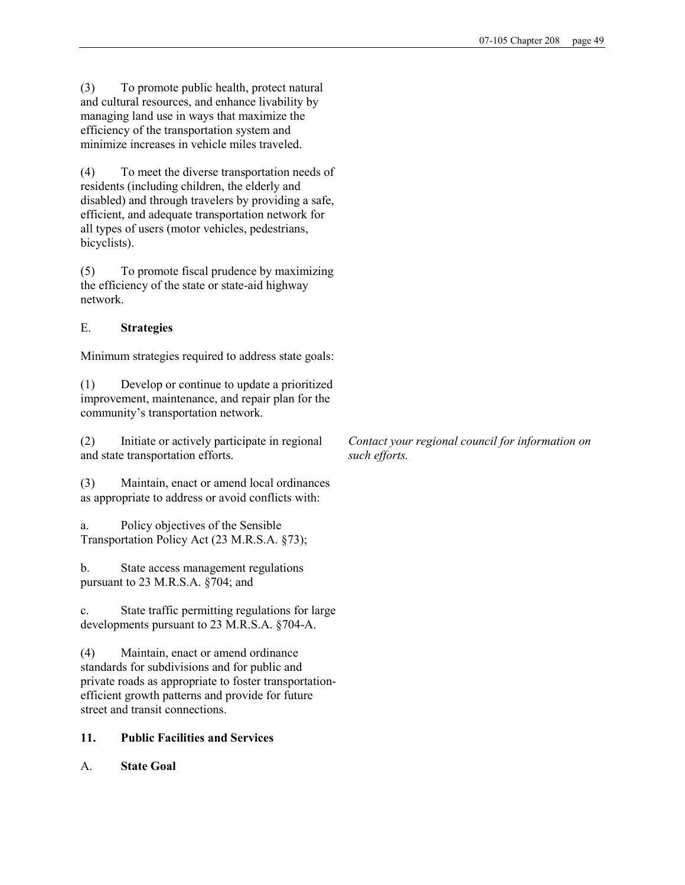(3) To promote public health, protect natural and cultural resources, and enhance livability by managing land use in ways that maximize the efficiency of the transportation system and minimize increases in vehicle miles traveled.

(4) To meet the diverse transportation needs of residents (including children, the elderly and disabled) and through travelers by providing a safe, efficient, and adequate transportation network for all types of users (motor vehicles, pedestrians, bicyclists).

(5) To promote fiscal prudence by maximizing the efficiency of the state or state-aid highway network.

# E. Strategies

Minimum strategies required to address state goals:

(1) Develop or continue to update a prioritized improvement, maintenance, and repair plan for the community's transportation network.

(2) Initiate or actively participate in regional and state transportation efforts.

(3) Maintain, enact or amend local ordinances as appropriate to address or avoid conflicts with:

a. Policy objectives of the Sensible Transportation Policy Act (23 M.R.S.A. §73);

b. State access management regulations pursuant to 23 M.R.S.A. §704; and

c. State traffic permitting regulations for large developments pursuant to 23 M.R.S.A. §704-A.

(4) Maintain, enact or amend ordinance standards for subdivisions and for public and private roads as appropriate to foster transportationefficient growth patterns and provide for future street and transit connections.

# 11. Public Facilities and Services

A. State Goal

Contact your regional council for information on such efforts.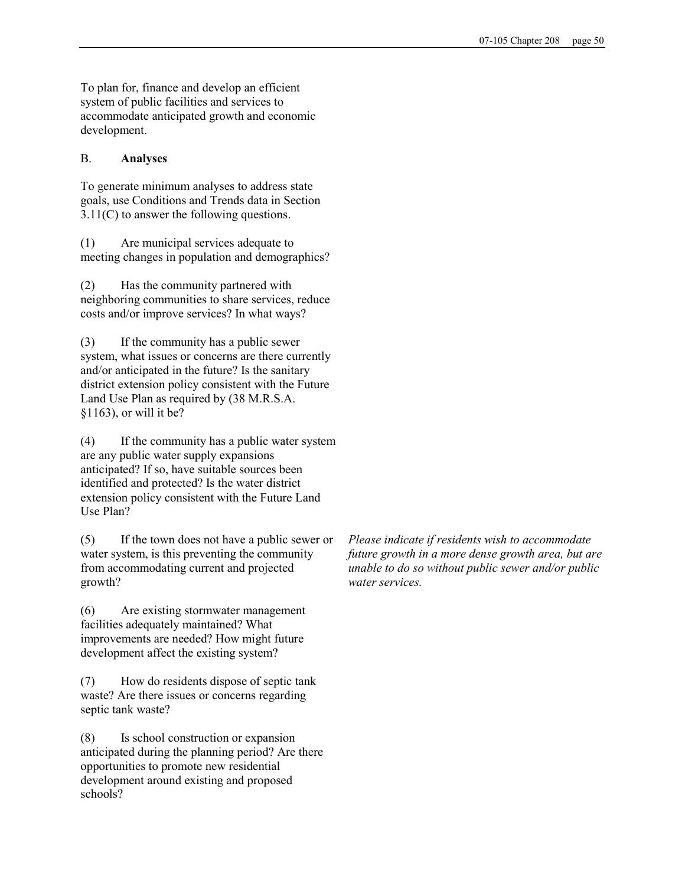To plan for, finance and develop an efficient system of public facilities and services to accommodate anticipated growth and economic development.

## B. Analyses

To generate minimum analyses to address state goals, use Conditions and Trends data in Section 3.11(C) to answer the following questions.

(1) Are municipal services adequate to meeting changes in population and demographics?

(2) Has the community partnered with neighboring communities to share services, reduce costs and/or improve services? In what ways?

(3) If the community has a public sewer system, what issues or concerns are there currently and/or anticipated in the future? Is the sanitary district extension policy consistent with the Future Land Use Plan as required by (38 M.R.S.A. §1163), or will it be?

(4) If the community has a public water system are any public water supply expansions anticipated? If so, have suitable sources been identified and protected? Is the water district extension policy consistent with the Future Land Use Plan?

(5) If the town does not have a public sewer or water system, is this preventing the community from accommodating current and projected growth?

(6) Are existing stormwater management facilities adequately maintained? What improvements are needed? How might future development affect the existing system?

(7) How do residents dispose of septic tank waste? Are there issues or concerns regarding septic tank waste?

(8) Is school construction or expansion anticipated during the planning period? Are there opportunities to promote new residential development around existing and proposed schools?

Please indicate if residents wish to accommodate future growth in a more dense growth area, but are unable to do so without public sewer and/or public water services.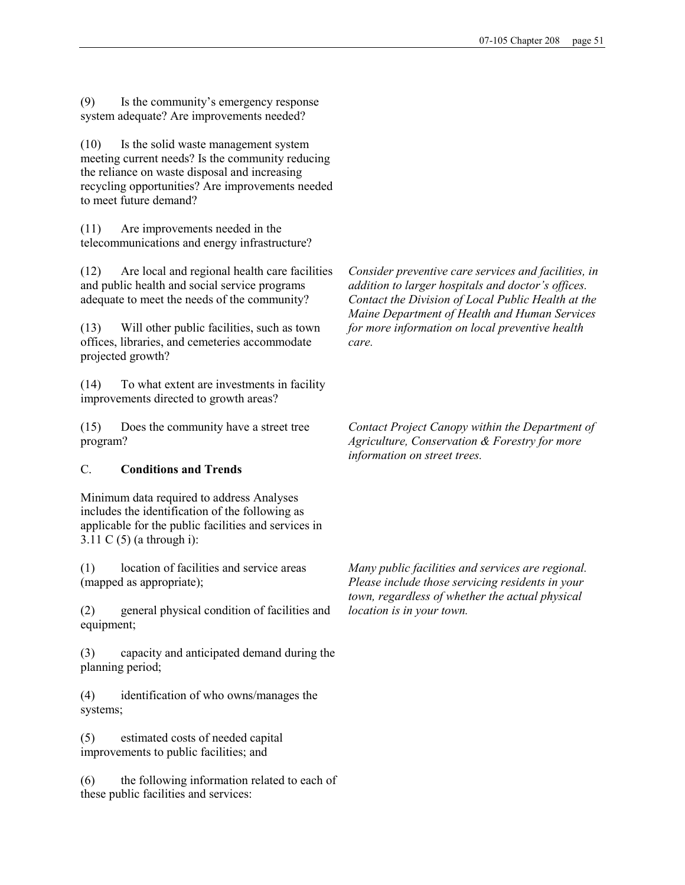(9) Is the community's emergency response system adequate? Are improvements needed?

(10) Is the solid waste management system meeting current needs? Is the community reducing the reliance on waste disposal and increasing recycling opportunities? Are improvements needed to meet future demand?

(11) Are improvements needed in the telecommunications and energy infrastructure?

(12) Are local and regional health care facilities and public health and social service programs adequate to meet the needs of the community?

(13) Will other public facilities, such as town offices, libraries, and cemeteries accommodate projected growth?

(14) To what extent are investments in facility improvements directed to growth areas?

(15) Does the community have a street tree program?

## C. Conditions and Trends

Minimum data required to address Analyses includes the identification of the following as applicable for the public facilities and services in 3.11 C (5) (a through i):

(1) location of facilities and service areas (mapped as appropriate);

(2) general physical condition of facilities and equipment;

(3) capacity and anticipated demand during the planning period;

(4) identification of who owns/manages the systems;

(5) estimated costs of needed capital improvements to public facilities; and

(6) the following information related to each of these public facilities and services:

Consider preventive care services and facilities, in addition to larger hospitals and doctor's offices. Contact the Division of Local Public Health at the Maine Department of Health and Human Services for more information on local preventive health care.

Contact Project Canopy within the Department of Agriculture, Conservation & Forestry for more information on street trees.

Many public facilities and services are regional. Please include those servicing residents in your town, regardless of whether the actual physical location is in your town.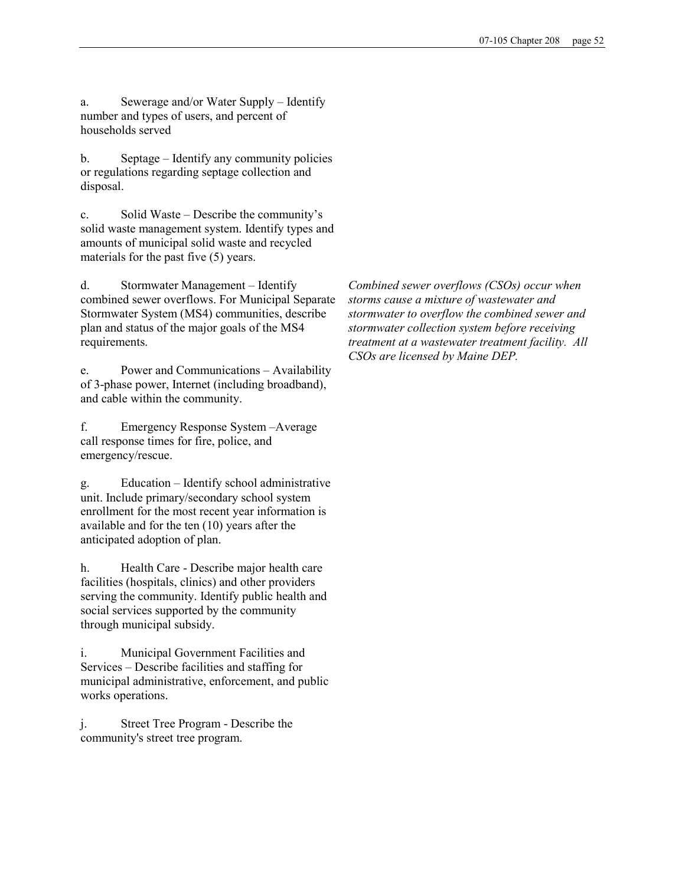a. Sewerage and/or Water Supply – Identify number and types of users, and percent of households served

b. Septage – Identify any community policies or regulations regarding septage collection and disposal.

c. Solid Waste – Describe the community's solid waste management system. Identify types and amounts of municipal solid waste and recycled materials for the past five (5) years.

d. Stormwater Management – Identify combined sewer overflows. For Municipal Separate Stormwater System (MS4) communities, describe plan and status of the major goals of the MS4 requirements.

e. Power and Communications – Availability of 3-phase power, Internet (including broadband), and cable within the community.

f. Emergency Response System –Average call response times for fire, police, and emergency/rescue.

g. Education – Identify school administrative unit. Include primary/secondary school system enrollment for the most recent year information is available and for the ten (10) years after the anticipated adoption of plan.

h. Health Care - Describe major health care facilities (hospitals, clinics) and other providers serving the community. Identify public health and social services supported by the community through municipal subsidy.

i. Municipal Government Facilities and Services – Describe facilities and staffing for municipal administrative, enforcement, and public works operations.

j. Street Tree Program - Describe the community's street tree program.

Combined sewer overflows (CSOs) occur when storms cause a mixture of wastewater and stormwater to overflow the combined sewer and stormwater collection system before receiving treatment at a wastewater treatment facility. All CSOs are licensed by Maine DEP.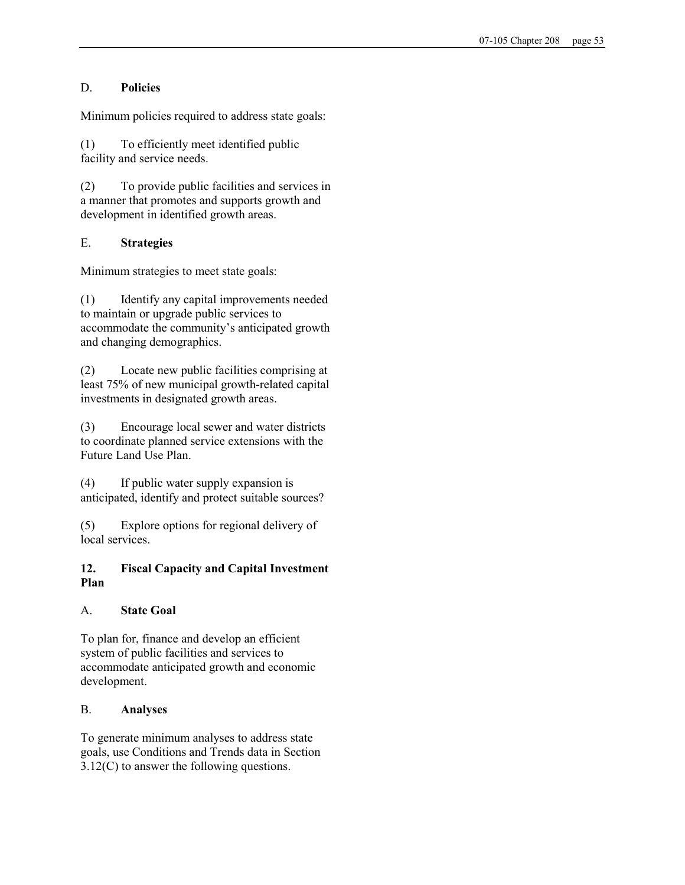## D. Policies

Minimum policies required to address state goals:

(1) To efficiently meet identified public facility and service needs.

(2) To provide public facilities and services in a manner that promotes and supports growth and development in identified growth areas.

# E. Strategies

Minimum strategies to meet state goals:

(1) Identify any capital improvements needed to maintain or upgrade public services to accommodate the community's anticipated growth and changing demographics.

(2) Locate new public facilities comprising at least 75% of new municipal growth-related capital investments in designated growth areas.

(3) Encourage local sewer and water districts to coordinate planned service extensions with the Future Land Use Plan.

(4) If public water supply expansion is anticipated, identify and protect suitable sources?

(5) Explore options for regional delivery of local services.

## 12. Fiscal Capacity and Capital Investment Plan

## A. State Goal

To plan for, finance and develop an efficient system of public facilities and services to accommodate anticipated growth and economic development.

## B. Analyses

To generate minimum analyses to address state goals, use Conditions and Trends data in Section 3.12(C) to answer the following questions.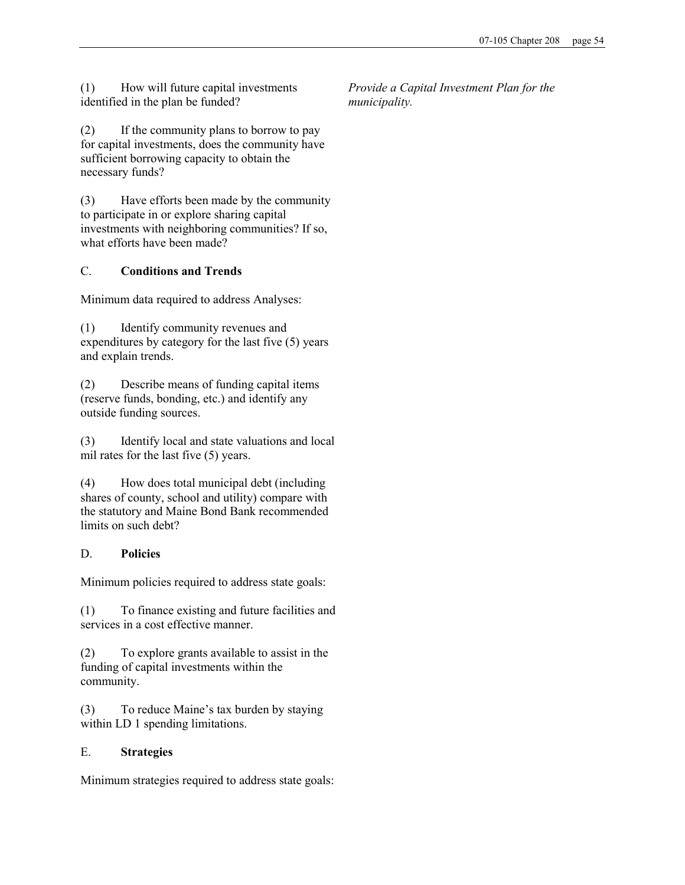(1) How will future capital investments identified in the plan be funded?

(2) If the community plans to borrow to pay for capital investments, does the community have sufficient borrowing capacity to obtain the necessary funds?

(3) Have efforts been made by the community to participate in or explore sharing capital investments with neighboring communities? If so, what efforts have been made?

## C. Conditions and Trends

Minimum data required to address Analyses:

(1) Identify community revenues and expenditures by category for the last five (5) years and explain trends.

(2) Describe means of funding capital items (reserve funds, bonding, etc.) and identify any outside funding sources.

(3) Identify local and state valuations and local mil rates for the last five (5) years.

(4) How does total municipal debt (including shares of county, school and utility) compare with the statutory and Maine Bond Bank recommended limits on such debt?

## D. Policies

Minimum policies required to address state goals:

(1) To finance existing and future facilities and services in a cost effective manner.

(2) To explore grants available to assist in the funding of capital investments within the community.

(3) To reduce Maine's tax burden by staying within LD 1 spending limitations.

## E. Strategies

Minimum strategies required to address state goals:

Provide a Capital Investment Plan for the municipality.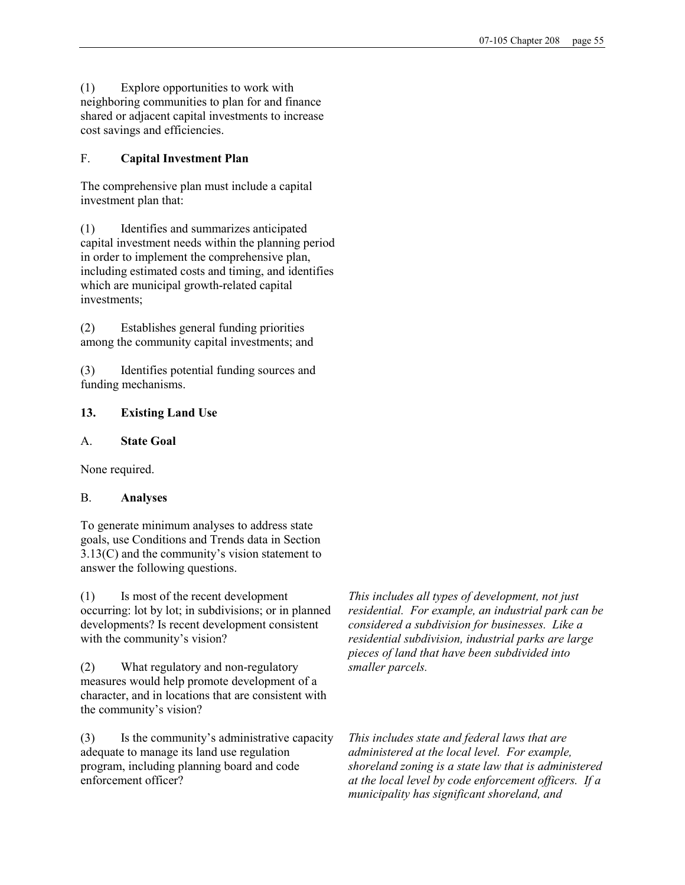(1) Explore opportunities to work with neighboring communities to plan for and finance shared or adjacent capital investments to increase cost savings and efficiencies.

## F. Capital Investment Plan

The comprehensive plan must include a capital investment plan that:

(1) Identifies and summarizes anticipated capital investment needs within the planning period in order to implement the comprehensive plan, including estimated costs and timing, and identifies which are municipal growth-related capital investments;

(2) Establishes general funding priorities among the community capital investments; and

(3) Identifies potential funding sources and funding mechanisms.

## 13. Existing Land Use

#### A. State Goal

None required.

## B. Analyses

To generate minimum analyses to address state goals, use Conditions and Trends data in Section 3.13(C) and the community's vision statement to answer the following questions.

(1) Is most of the recent development occurring: lot by lot; in subdivisions; or in planned developments? Is recent development consistent with the community's vision?

(2) What regulatory and non-regulatory measures would help promote development of a character, and in locations that are consistent with the community's vision?

(3) Is the community's administrative capacity adequate to manage its land use regulation program, including planning board and code enforcement officer?

This includes all types of development, not just residential. For example, an industrial park can be considered a subdivision for businesses. Like a residential subdivision, industrial parks are large pieces of land that have been subdivided into smaller parcels.

This includes state and federal laws that are administered at the local level. For example, shoreland zoning is a state law that is administered at the local level by code enforcement officers. If a municipality has significant shoreland, and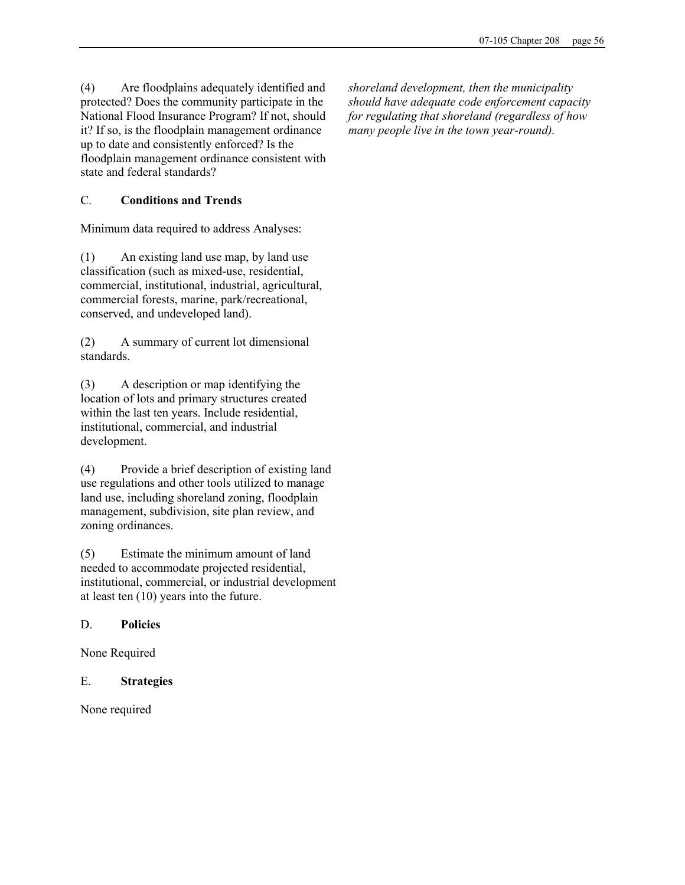(4) Are floodplains adequately identified and protected? Does the community participate in the National Flood Insurance Program? If not, should it? If so, is the floodplain management ordinance up to date and consistently enforced? Is the floodplain management ordinance consistent with state and federal standards?

# C. Conditions and Trends

Minimum data required to address Analyses:

(1) An existing land use map, by land use classification (such as mixed-use, residential, commercial, institutional, industrial, agricultural, commercial forests, marine, park/recreational, conserved, and undeveloped land).

(2) A summary of current lot dimensional standards.

(3) A description or map identifying the location of lots and primary structures created within the last ten years. Include residential, institutional, commercial, and industrial development.

(4) Provide a brief description of existing land use regulations and other tools utilized to manage land use, including shoreland zoning, floodplain management, subdivision, site plan review, and zoning ordinances.

(5) Estimate the minimum amount of land needed to accommodate projected residential, institutional, commercial, or industrial development at least ten (10) years into the future.

## D. Policies

None Required

## E. Strategies

None required

shoreland development, then the municipality should have adequate code enforcement capacity for regulating that shoreland (regardless of how many people live in the town year-round).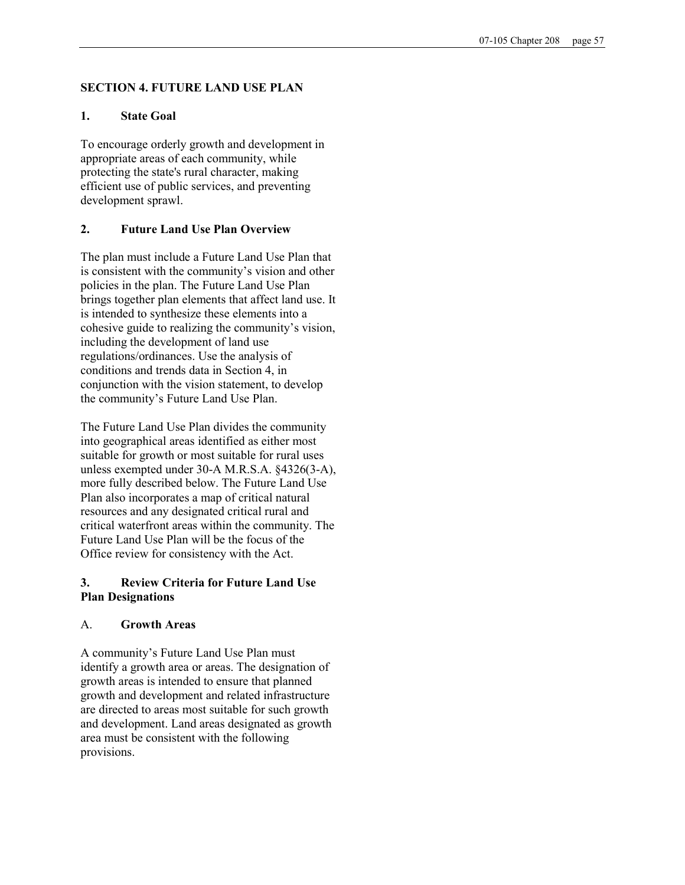#### SECTION 4. FUTURE LAND USE PLAN

#### 1. State Goal

To encourage orderly growth and development in appropriate areas of each community, while protecting the state's rural character, making efficient use of public services, and preventing development sprawl.

#### 2. Future Land Use Plan Overview

The plan must include a Future Land Use Plan that is consistent with the community's vision and other policies in the plan. The Future Land Use Plan brings together plan elements that affect land use. It is intended to synthesize these elements into a cohesive guide to realizing the community's vision, including the development of land use regulations/ordinances. Use the analysis of conditions and trends data in Section 4, in conjunction with the vision statement, to develop the community's Future Land Use Plan.

The Future Land Use Plan divides the community into geographical areas identified as either most suitable for growth or most suitable for rural uses unless exempted under 30-A M.R.S.A. §4326(3-A), more fully described below. The Future Land Use Plan also incorporates a map of critical natural resources and any designated critical rural and critical waterfront areas within the community. The Future Land Use Plan will be the focus of the Office review for consistency with the Act.

#### 3. Review Criteria for Future Land Use Plan Designations

#### A. Growth Areas

A community's Future Land Use Plan must identify a growth area or areas. The designation of growth areas is intended to ensure that planned growth and development and related infrastructure are directed to areas most suitable for such growth and development. Land areas designated as growth area must be consistent with the following provisions.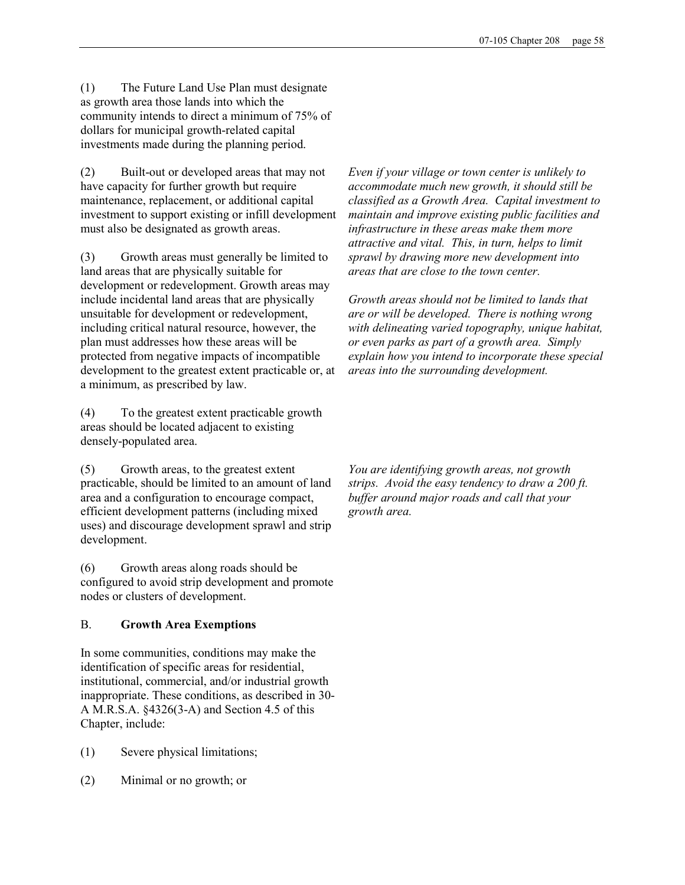(1) The Future Land Use Plan must designate as growth area those lands into which the community intends to direct a minimum of 75% of dollars for municipal growth-related capital investments made during the planning period.

(2) Built-out or developed areas that may not have capacity for further growth but require maintenance, replacement, or additional capital investment to support existing or infill development must also be designated as growth areas.

(3) Growth areas must generally be limited to land areas that are physically suitable for development or redevelopment. Growth areas may include incidental land areas that are physically unsuitable for development or redevelopment, including critical natural resource, however, the plan must addresses how these areas will be protected from negative impacts of incompatible development to the greatest extent practicable or, at a minimum, as prescribed by law.

(4) To the greatest extent practicable growth areas should be located adjacent to existing densely-populated area.

(5) Growth areas, to the greatest extent practicable, should be limited to an amount of land area and a configuration to encourage compact, efficient development patterns (including mixed uses) and discourage development sprawl and strip development.

(6) Growth areas along roads should be configured to avoid strip development and promote nodes or clusters of development.

## B. Growth Area Exemptions

In some communities, conditions may make the identification of specific areas for residential, institutional, commercial, and/or industrial growth inappropriate. These conditions, as described in 30- A M.R.S.A. §4326(3-A) and Section 4.5 of this Chapter, include:

- (1) Severe physical limitations;
- (2) Minimal or no growth; or

Even if your village or town center is unlikely to accommodate much new growth, it should still be classified as a Growth Area. Capital investment to maintain and improve existing public facilities and infrastructure in these areas make them more attractive and vital. This, in turn, helps to limit sprawl by drawing more new development into areas that are close to the town center.

Growth areas should not be limited to lands that are or will be developed. There is nothing wrong with delineating varied topography, unique habitat, or even parks as part of a growth area. Simply explain how you intend to incorporate these special areas into the surrounding development.

You are identifying growth areas, not growth strips. Avoid the easy tendency to draw a 200 ft. buffer around major roads and call that your growth area.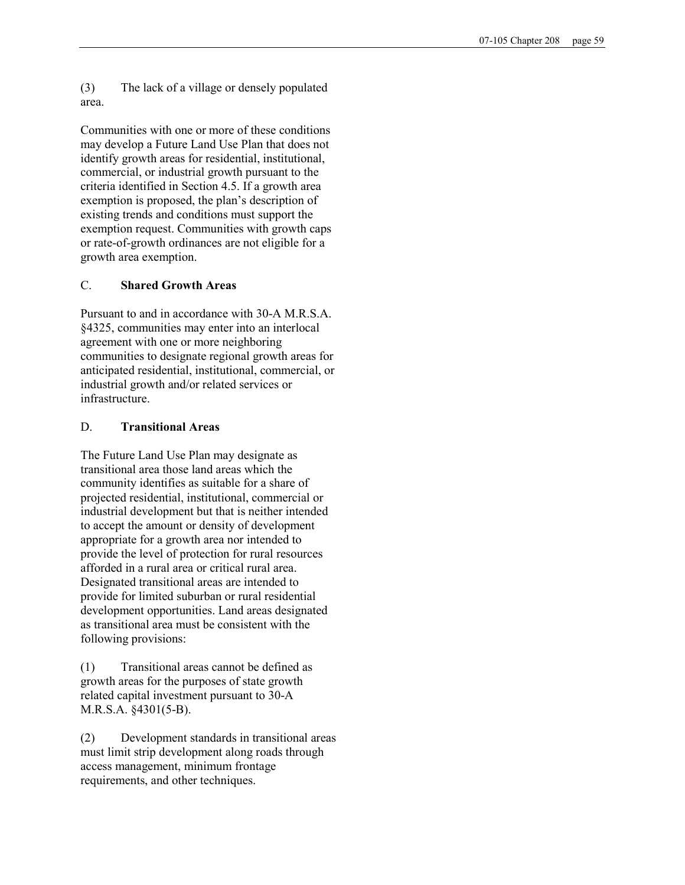(3) The lack of a village or densely populated area.

Communities with one or more of these conditions may develop a Future Land Use Plan that does not identify growth areas for residential, institutional, commercial, or industrial growth pursuant to the criteria identified in Section 4.5. If a growth area exemption is proposed, the plan's description of existing trends and conditions must support the exemption request. Communities with growth caps or rate-of-growth ordinances are not eligible for a growth area exemption.

#### C. Shared Growth Areas

Pursuant to and in accordance with 30-A M.R.S.A. §4325, communities may enter into an interlocal agreement with one or more neighboring communities to designate regional growth areas for anticipated residential, institutional, commercial, or industrial growth and/or related services or infrastructure.

#### D. Transitional Areas

The Future Land Use Plan may designate as transitional area those land areas which the community identifies as suitable for a share of projected residential, institutional, commercial or industrial development but that is neither intended to accept the amount or density of development appropriate for a growth area nor intended to provide the level of protection for rural resources afforded in a rural area or critical rural area. Designated transitional areas are intended to provide for limited suburban or rural residential development opportunities. Land areas designated as transitional area must be consistent with the following provisions:

(1) Transitional areas cannot be defined as growth areas for the purposes of state growth related capital investment pursuant to 30-A M.R.S.A. §4301(5-B).

(2) Development standards in transitional areas must limit strip development along roads through access management, minimum frontage requirements, and other techniques.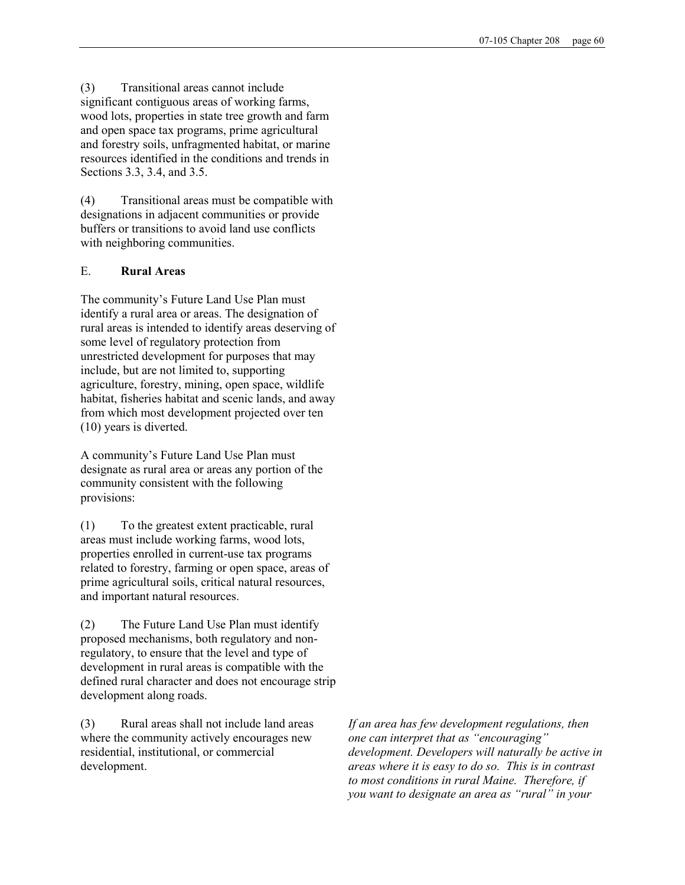(3) Transitional areas cannot include significant contiguous areas of working farms, wood lots, properties in state tree growth and farm and open space tax programs, prime agricultural and forestry soils, unfragmented habitat, or marine resources identified in the conditions and trends in Sections 3.3, 3.4, and 3.5.

(4) Transitional areas must be compatible with designations in adjacent communities or provide buffers or transitions to avoid land use conflicts with neighboring communities.

## E. Rural Areas

The community's Future Land Use Plan must identify a rural area or areas. The designation of rural areas is intended to identify areas deserving of some level of regulatory protection from unrestricted development for purposes that may include, but are not limited to, supporting agriculture, forestry, mining, open space, wildlife habitat, fisheries habitat and scenic lands, and away from which most development projected over ten (10) years is diverted.

A community's Future Land Use Plan must designate as rural area or areas any portion of the community consistent with the following provisions:

(1) To the greatest extent practicable, rural areas must include working farms, wood lots, properties enrolled in current-use tax programs related to forestry, farming or open space, areas of prime agricultural soils, critical natural resources, and important natural resources.

(2) The Future Land Use Plan must identify proposed mechanisms, both regulatory and nonregulatory, to ensure that the level and type of development in rural areas is compatible with the defined rural character and does not encourage strip development along roads.

(3) Rural areas shall not include land areas where the community actively encourages new residential, institutional, or commercial development.

If an area has few development regulations, then one can interpret that as "encouraging" development. Developers will naturally be active in areas where it is easy to do so. This is in contrast to most conditions in rural Maine. Therefore, if you want to designate an area as "rural" in your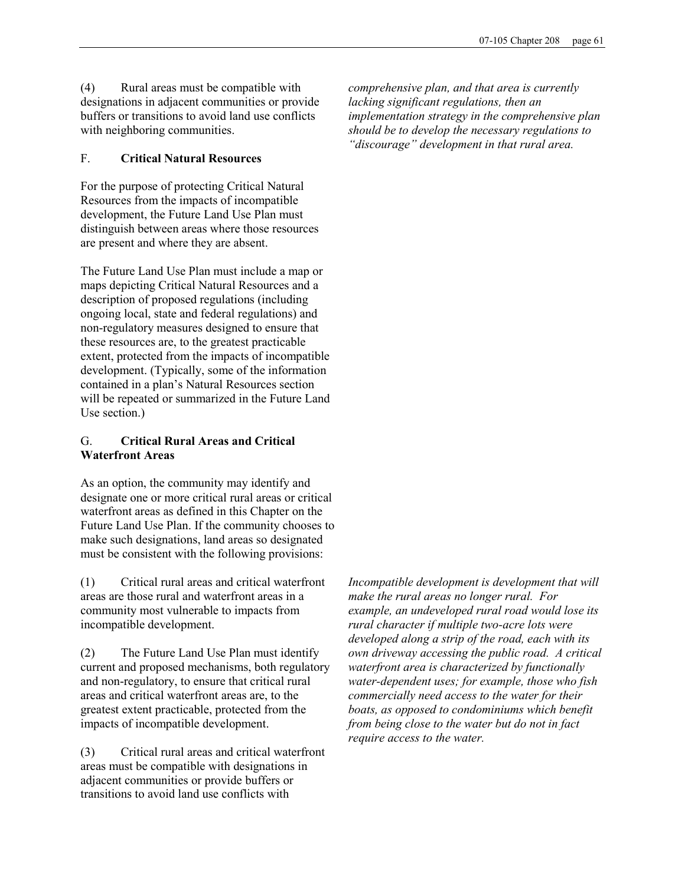(4) Rural areas must be compatible with designations in adjacent communities or provide buffers or transitions to avoid land use conflicts with neighboring communities.

# F. Critical Natural Resources

For the purpose of protecting Critical Natural Resources from the impacts of incompatible development, the Future Land Use Plan must distinguish between areas where those resources are present and where they are absent.

The Future Land Use Plan must include a map or maps depicting Critical Natural Resources and a description of proposed regulations (including ongoing local, state and federal regulations) and non-regulatory measures designed to ensure that these resources are, to the greatest practicable extent, protected from the impacts of incompatible development. (Typically, some of the information contained in a plan's Natural Resources section will be repeated or summarized in the Future Land Use section.)

## G. Critical Rural Areas and Critical Waterfront Areas

As an option, the community may identify and designate one or more critical rural areas or critical waterfront areas as defined in this Chapter on the Future Land Use Plan. If the community chooses to make such designations, land areas so designated must be consistent with the following provisions:

(1) Critical rural areas and critical waterfront areas are those rural and waterfront areas in a community most vulnerable to impacts from incompatible development.

(2) The Future Land Use Plan must identify current and proposed mechanisms, both regulatory and non-regulatory, to ensure that critical rural areas and critical waterfront areas are, to the greatest extent practicable, protected from the impacts of incompatible development.

(3) Critical rural areas and critical waterfront areas must be compatible with designations in adjacent communities or provide buffers or transitions to avoid land use conflicts with

comprehensive plan, and that area is currently lacking significant regulations, then an implementation strategy in the comprehensive plan should be to develop the necessary regulations to "discourage" development in that rural area.

Incompatible development is development that will make the rural areas no longer rural. For example, an undeveloped rural road would lose its rural character if multiple two-acre lots were developed along a strip of the road, each with its own driveway accessing the public road. A critical waterfront area is characterized by functionally water-dependent uses; for example, those who fish commercially need access to the water for their boats, as opposed to condominiums which benefit from being close to the water but do not in fact require access to the water.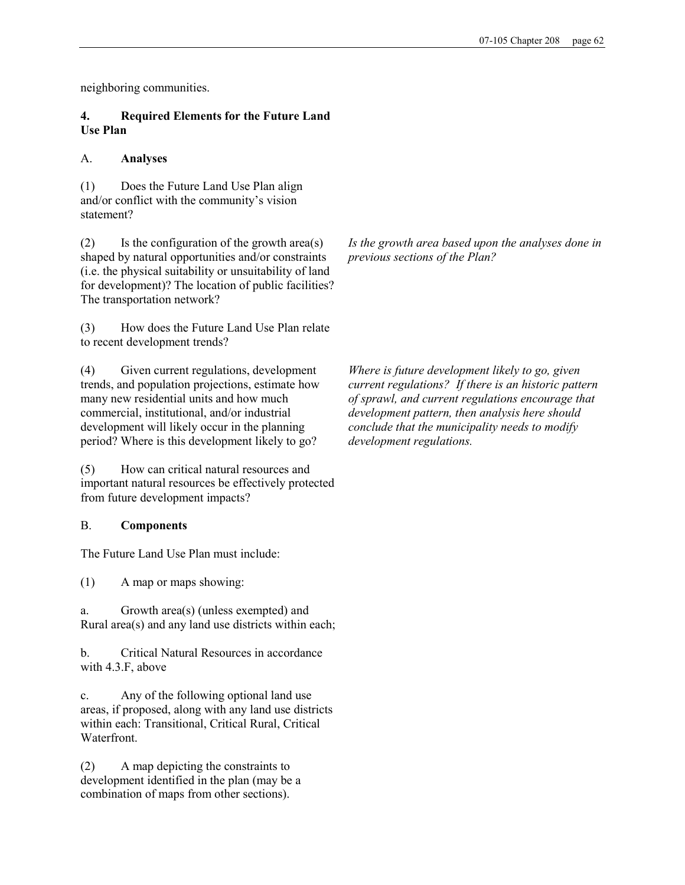neighboring communities.

## 4. Required Elements for the Future Land Use Plan

## A. Analyses

(1) Does the Future Land Use Plan align and/or conflict with the community's vision statement?

(2) Is the configuration of the growth area(s) shaped by natural opportunities and/or constraints (i.e. the physical suitability or unsuitability of land for development)? The location of public facilities? The transportation network?

(3) How does the Future Land Use Plan relate to recent development trends?

(4) Given current regulations, development trends, and population projections, estimate how many new residential units and how much commercial, institutional, and/or industrial development will likely occur in the planning period? Where is this development likely to go?

(5) How can critical natural resources and important natural resources be effectively protected from future development impacts?

## B. Components

The Future Land Use Plan must include:

(1) A map or maps showing:

a. Growth area(s) (unless exempted) and Rural area(s) and any land use districts within each;

b. Critical Natural Resources in accordance with 4.3.F, above

c. Any of the following optional land use areas, if proposed, along with any land use districts within each: Transitional, Critical Rural, Critical Waterfront.

(2) A map depicting the constraints to development identified in the plan (may be a combination of maps from other sections).

Is the growth area based upon the analyses done in previous sections of the Plan?

Where is future development likely to go, given current regulations? If there is an historic pattern of sprawl, and current regulations encourage that development pattern, then analysis here should conclude that the municipality needs to modify development regulations.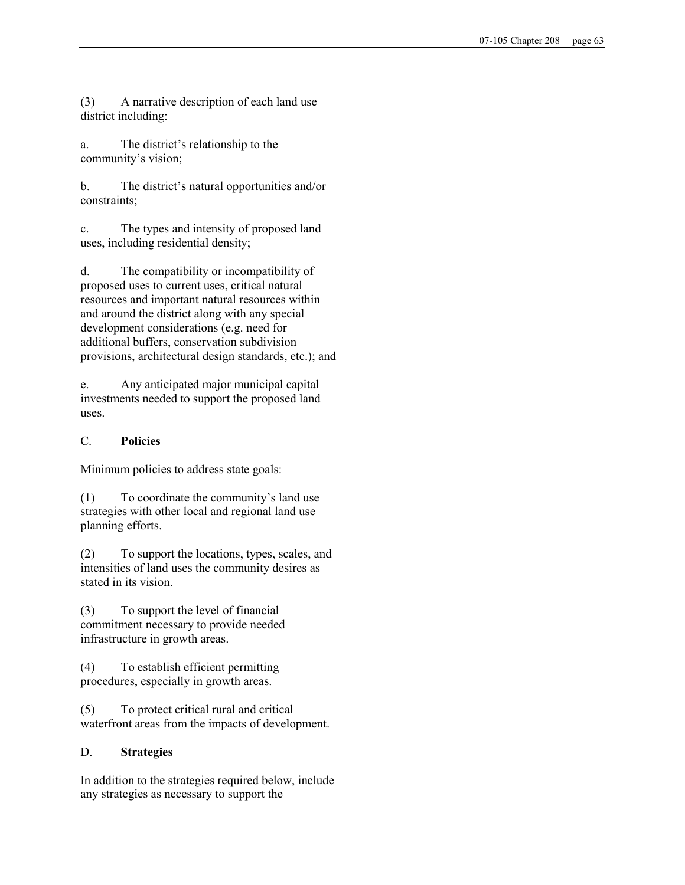(3) A narrative description of each land use district including:

a. The district's relationship to the community's vision;

b. The district's natural opportunities and/or constraints;

c. The types and intensity of proposed land uses, including residential density;

d. The compatibility or incompatibility of proposed uses to current uses, critical natural resources and important natural resources within and around the district along with any special development considerations (e.g. need for additional buffers, conservation subdivision provisions, architectural design standards, etc.); and

e. Any anticipated major municipal capital investments needed to support the proposed land uses.

## C. Policies

Minimum policies to address state goals:

(1) To coordinate the community's land use strategies with other local and regional land use planning efforts.

(2) To support the locations, types, scales, and intensities of land uses the community desires as stated in its vision.

(3) To support the level of financial commitment necessary to provide needed infrastructure in growth areas.

(4) To establish efficient permitting procedures, especially in growth areas.

(5) To protect critical rural and critical waterfront areas from the impacts of development.

# D. Strategies

In addition to the strategies required below, include any strategies as necessary to support the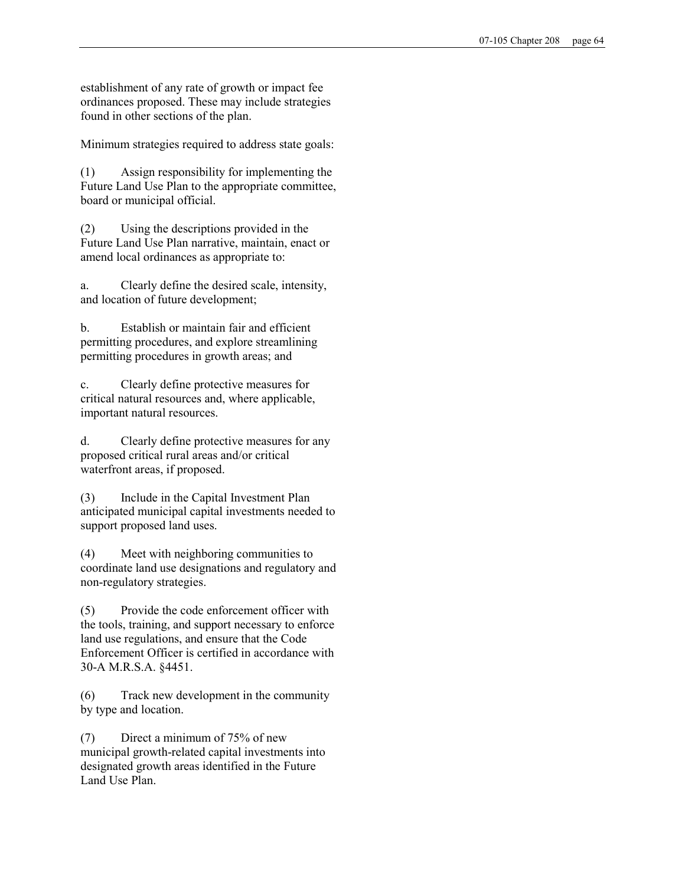establishment of any rate of growth or impact fee ordinances proposed. These may include strategies found in other sections of the plan.

Minimum strategies required to address state goals:

(1) Assign responsibility for implementing the Future Land Use Plan to the appropriate committee, board or municipal official.

(2) Using the descriptions provided in the Future Land Use Plan narrative, maintain, enact or amend local ordinances as appropriate to:

a. Clearly define the desired scale, intensity, and location of future development;

b. Establish or maintain fair and efficient permitting procedures, and explore streamlining permitting procedures in growth areas; and

c. Clearly define protective measures for critical natural resources and, where applicable, important natural resources.

d. Clearly define protective measures for any proposed critical rural areas and/or critical waterfront areas, if proposed.

(3) Include in the Capital Investment Plan anticipated municipal capital investments needed to support proposed land uses.

(4) Meet with neighboring communities to coordinate land use designations and regulatory and non-regulatory strategies.

(5) Provide the code enforcement officer with the tools, training, and support necessary to enforce land use regulations, and ensure that the Code Enforcement Officer is certified in accordance with 30-A M.R.S.A. §4451.

(6) Track new development in the community by type and location.

(7) Direct a minimum of 75% of new municipal growth-related capital investments into designated growth areas identified in the Future Land Use Plan.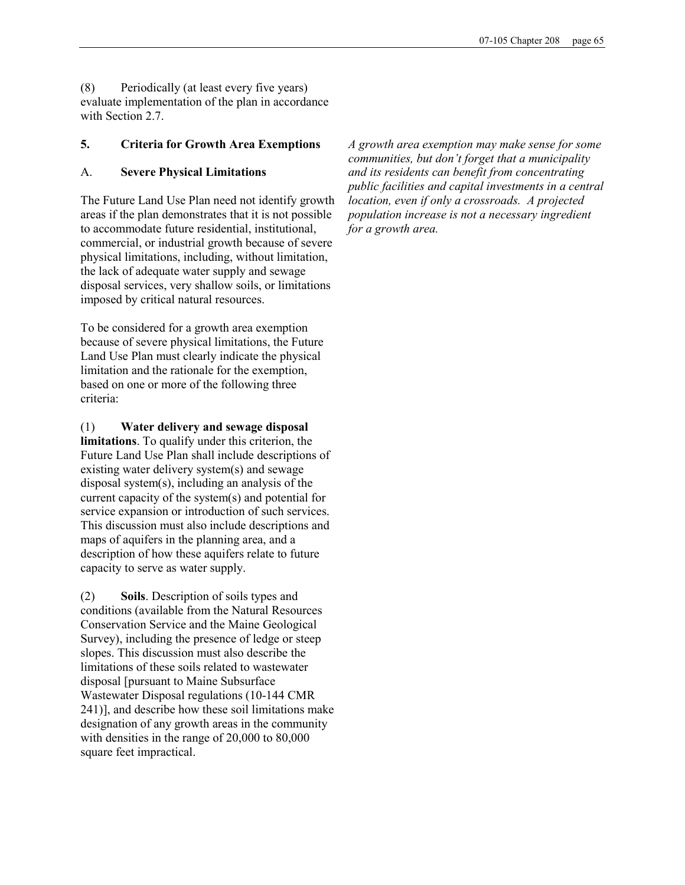(8) Periodically (at least every five years) evaluate implementation of the plan in accordance with Section 2.7

## 5. Criteria for Growth Area Exemptions

### A. Severe Physical Limitations

The Future Land Use Plan need not identify growth areas if the plan demonstrates that it is not possible to accommodate future residential, institutional, commercial, or industrial growth because of severe physical limitations, including, without limitation, the lack of adequate water supply and sewage disposal services, very shallow soils, or limitations imposed by critical natural resources.

To be considered for a growth area exemption because of severe physical limitations, the Future Land Use Plan must clearly indicate the physical limitation and the rationale for the exemption, based on one or more of the following three criteria:

#### (1) Water delivery and sewage disposal

limitations. To qualify under this criterion, the Future Land Use Plan shall include descriptions of existing water delivery system(s) and sewage disposal system(s), including an analysis of the current capacity of the system(s) and potential for service expansion or introduction of such services. This discussion must also include descriptions and maps of aquifers in the planning area, and a description of how these aquifers relate to future capacity to serve as water supply.

(2) Soils. Description of soils types and conditions (available from the Natural Resources Conservation Service and the Maine Geological Survey), including the presence of ledge or steep slopes. This discussion must also describe the limitations of these soils related to wastewater disposal [pursuant to Maine Subsurface Wastewater Disposal regulations (10-144 CMR 241)], and describe how these soil limitations make designation of any growth areas in the community with densities in the range of 20,000 to 80,000 square feet impractical.

A growth area exemption may make sense for some communities, but don't forget that a municipality and its residents can benefit from concentrating public facilities and capital investments in a central location, even if only a crossroads. A projected population increase is not a necessary ingredient for a growth area.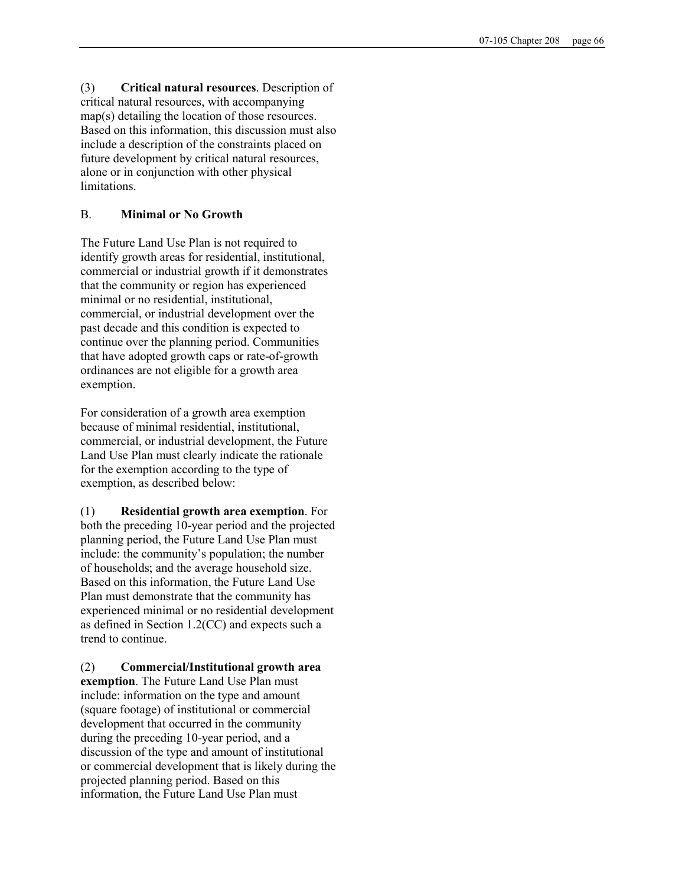(3) Critical natural resources. Description of critical natural resources, with accompanying map(s) detailing the location of those resources. Based on this information, this discussion must also include a description of the constraints placed on future development by critical natural resources, alone or in conjunction with other physical limitations.

### B. Minimal or No Growth

The Future Land Use Plan is not required to identify growth areas for residential, institutional, commercial or industrial growth if it demonstrates that the community or region has experienced minimal or no residential, institutional, commercial, or industrial development over the past decade and this condition is expected to continue over the planning period. Communities that have adopted growth caps or rate-of-growth ordinances are not eligible for a growth area exemption.

For consideration of a growth area exemption because of minimal residential, institutional, commercial, or industrial development, the Future Land Use Plan must clearly indicate the rationale for the exemption according to the type of exemption, as described below:

(1) Residential growth area exemption. For both the preceding 10-year period and the projected planning period, the Future Land Use Plan must include: the community's population; the number of households; and the average household size. Based on this information, the Future Land Use Plan must demonstrate that the community has experienced minimal or no residential development as defined in Section 1.2(CC) and expects such a trend to continue.

(2) Commercial/Institutional growth area exemption. The Future Land Use Plan must include: information on the type and amount (square footage) of institutional or commercial development that occurred in the community during the preceding 10-year period, and a discussion of the type and amount of institutional or commercial development that is likely during the projected planning period. Based on this information, the Future Land Use Plan must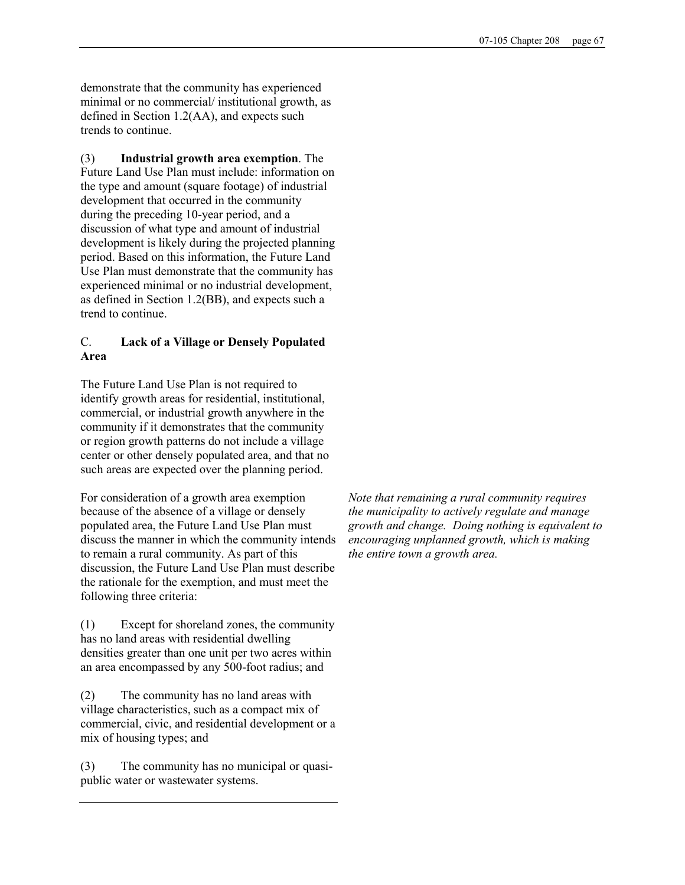demonstrate that the community has experienced minimal or no commercial/ institutional growth, as defined in Section 1.2(AA), and expects such trends to continue.

(3) Industrial growth area exemption. The Future Land Use Plan must include: information on the type and amount (square footage) of industrial development that occurred in the community during the preceding 10-year period, and a discussion of what type and amount of industrial development is likely during the projected planning period. Based on this information, the Future Land Use Plan must demonstrate that the community has experienced minimal or no industrial development, as defined in Section 1.2(BB), and expects such a trend to continue.

# C. Lack of a Village or Densely Populated Area

The Future Land Use Plan is not required to identify growth areas for residential, institutional, commercial, or industrial growth anywhere in the community if it demonstrates that the community or region growth patterns do not include a village center or other densely populated area, and that no such areas are expected over the planning period.

For consideration of a growth area exemption because of the absence of a village or densely populated area, the Future Land Use Plan must discuss the manner in which the community intends to remain a rural community. As part of this discussion, the Future Land Use Plan must describe the rationale for the exemption, and must meet the following three criteria:

(1) Except for shoreland zones, the community has no land areas with residential dwelling densities greater than one unit per two acres within an area encompassed by any 500-foot radius; and

(2) The community has no land areas with village characteristics, such as a compact mix of commercial, civic, and residential development or a mix of housing types; and

(3) The community has no municipal or quasipublic water or wastewater systems.

Note that remaining a rural community requires the municipality to actively regulate and manage growth and change. Doing nothing is equivalent to encouraging unplanned growth, which is making the entire town a growth area.